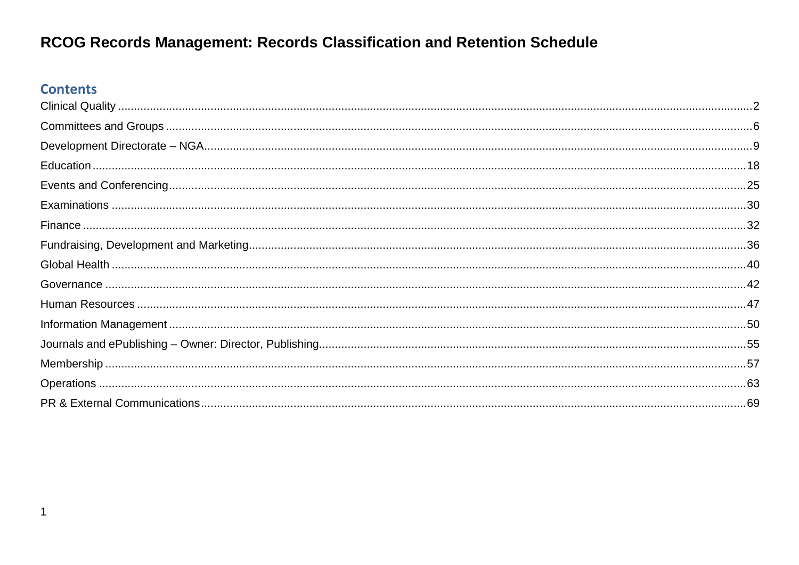#### **Contents**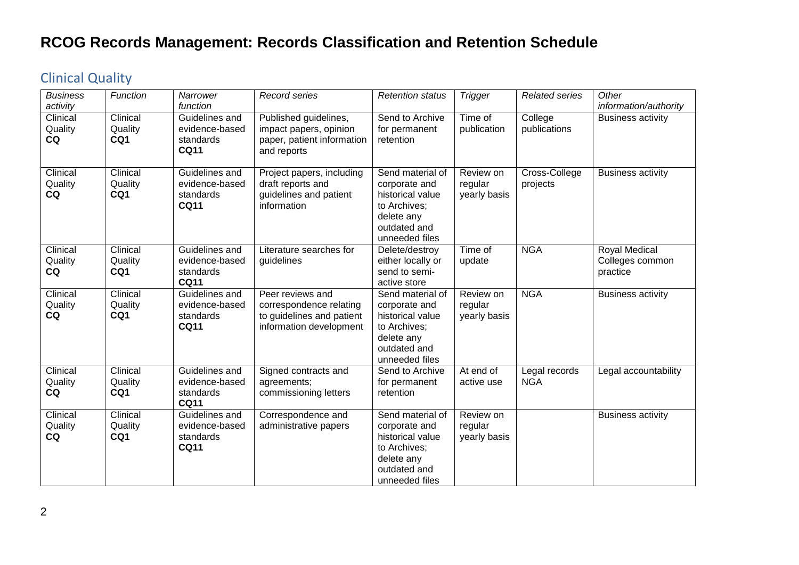#### <span id="page-1-0"></span>Clinical Quality

| <b>Business</b><br>activity | Function                   | Narrower<br>function                                         | Record series                                                                                       | <b>Retention status</b>                                                                                               | <b>Trigger</b>                       | <b>Related series</b>       | Other<br>information/authority               |
|-----------------------------|----------------------------|--------------------------------------------------------------|-----------------------------------------------------------------------------------------------------|-----------------------------------------------------------------------------------------------------------------------|--------------------------------------|-----------------------------|----------------------------------------------|
| Clinical<br>Quality<br>CQ   | Clinical<br>Quality<br>CQ1 | Guidelines and<br>evidence-based<br>standards<br><b>CQ11</b> | Published guidelines,<br>impact papers, opinion<br>paper, patient information<br>and reports        | Send to Archive<br>for permanent<br>retention                                                                         | Time of<br>publication               | College<br>publications     | <b>Business activity</b>                     |
| Clinical<br>Quality<br>CQ   | Clinical<br>Quality<br>CQ1 | Guidelines and<br>evidence-based<br>standards<br><b>CQ11</b> | Project papers, including<br>draft reports and<br>guidelines and patient<br>information             | Send material of<br>corporate and<br>historical value<br>to Archives;<br>delete any<br>outdated and<br>unneeded files | Review on<br>regular<br>yearly basis | Cross-College<br>projects   | <b>Business activity</b>                     |
| Clinical<br>Quality<br>CQ   | Clinical<br>Quality<br>CQ1 | Guidelines and<br>evidence-based<br>standards<br><b>CQ11</b> | Literature searches for<br>guidelines                                                               | Delete/destroy<br>either locally or<br>send to semi-<br>active store                                                  | Time of<br>update                    | <b>NGA</b>                  | Royal Medical<br>Colleges common<br>practice |
| Clinical<br>Quality<br>CQ   | Clinical<br>Quality<br>CQ1 | Guidelines and<br>evidence-based<br>standards<br><b>CQ11</b> | Peer reviews and<br>correspondence relating<br>to guidelines and patient<br>information development | Send material of<br>corporate and<br>historical value<br>to Archives;<br>delete any<br>outdated and<br>unneeded files | Review on<br>regular<br>yearly basis | <b>NGA</b>                  | <b>Business activity</b>                     |
| Clinical<br>Quality<br>CQ   | Clinical<br>Quality<br>CQ1 | Guidelines and<br>evidence-based<br>standards<br><b>CQ11</b> | Signed contracts and<br>agreements;<br>commissioning letters                                        | Send to Archive<br>for permanent<br>retention                                                                         | At end of<br>active use              | Legal records<br><b>NGA</b> | Legal accountability                         |
| Clinical<br>Quality<br>CQ   | Clinical<br>Quality<br>CQ1 | Guidelines and<br>evidence-based<br>standards<br><b>CQ11</b> | Correspondence and<br>administrative papers                                                         | Send material of<br>corporate and<br>historical value<br>to Archives;<br>delete any<br>outdated and<br>unneeded files | Review on<br>regular<br>yearly basis |                             | <b>Business activity</b>                     |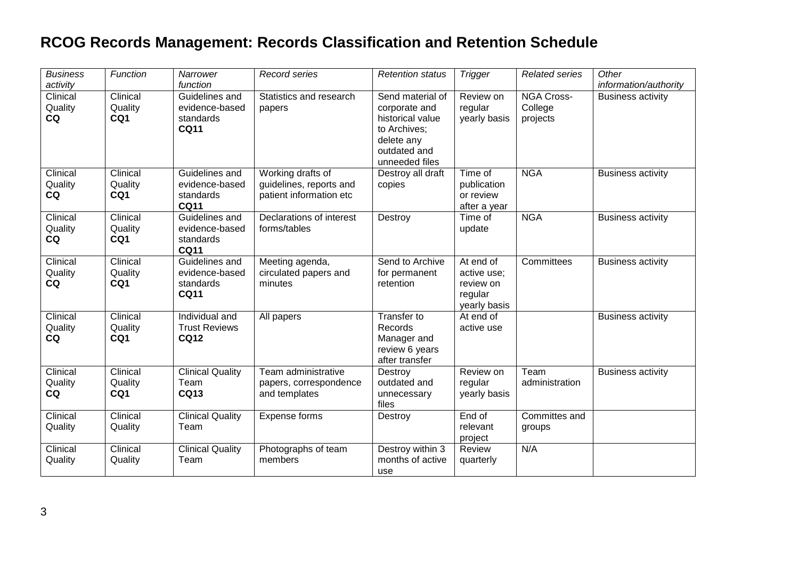| <b>Business</b><br>activity | Function                   | Narrower<br>function                                         | Record series                                                           | <b>Retention status</b>                                                                                               | <b>Trigger</b>                                                   | <b>Related series</b>                    | Other<br>information/authority |
|-----------------------------|----------------------------|--------------------------------------------------------------|-------------------------------------------------------------------------|-----------------------------------------------------------------------------------------------------------------------|------------------------------------------------------------------|------------------------------------------|--------------------------------|
| Clinical<br>Quality<br>CQ   | Clinical<br>Quality<br>CQ1 | Guidelines and<br>evidence-based<br>standards<br><b>CQ11</b> | Statistics and research<br>papers                                       | Send material of<br>corporate and<br>historical value<br>to Archives;<br>delete any<br>outdated and<br>unneeded files | Review on<br>regular<br>yearly basis                             | <b>NGA Cross-</b><br>College<br>projects | <b>Business activity</b>       |
| Clinical<br>Quality<br>CQ   | Clinical<br>Quality<br>CQ1 | Guidelines and<br>evidence-based<br>standards<br><b>CQ11</b> | Working drafts of<br>guidelines, reports and<br>patient information etc | Destroy all draft<br>copies                                                                                           | Time of<br>publication<br>or review<br>after a year              | <b>NGA</b>                               | <b>Business activity</b>       |
| Clinical<br>Quality<br>CQ   | Clinical<br>Quality<br>CQ1 | Guidelines and<br>evidence-based<br>standards<br><b>CQ11</b> | Declarations of interest<br>forms/tables                                | Destroy                                                                                                               | Time of<br>update                                                | <b>NGA</b>                               | <b>Business activity</b>       |
| Clinical<br>Quality<br>CQ   | Clinical<br>Quality<br>CQ1 | Guidelines and<br>evidence-based<br>standards<br><b>CQ11</b> | Meeting agenda,<br>circulated papers and<br>minutes                     | Send to Archive<br>for permanent<br>retention                                                                         | At end of<br>active use;<br>review on<br>regular<br>yearly basis | Committees                               | <b>Business activity</b>       |
| Clinical<br>Quality<br>CQ   | Clinical<br>Quality<br>CQ1 | Individual and<br><b>Trust Reviews</b><br><b>CQ12</b>        | All papers                                                              | Transfer to<br>Records<br>Manager and<br>review 6 years<br>after transfer                                             | At end of<br>active use                                          |                                          | <b>Business activity</b>       |
| Clinical<br>Quality<br>CQ   | Clinical<br>Quality<br>CQ1 | <b>Clinical Quality</b><br>Team<br><b>CQ13</b>               | Team administrative<br>papers, correspondence<br>and templates          | Destroy<br>outdated and<br>unnecessary<br>files                                                                       | Review on<br>regular<br>yearly basis                             | Team<br>administration                   | <b>Business activity</b>       |
| Clinical<br>Quality         | Clinical<br>Quality        | <b>Clinical Quality</b><br>Team                              | Expense forms                                                           | Destroy                                                                                                               | End of<br>relevant<br>project                                    | Committes and<br>groups                  |                                |
| Clinical<br>Quality         | Clinical<br>Quality        | <b>Clinical Quality</b><br>Team                              | Photographs of team<br>members                                          | Destroy within 3<br>months of active<br>use                                                                           | Review<br>quarterly                                              | N/A                                      |                                |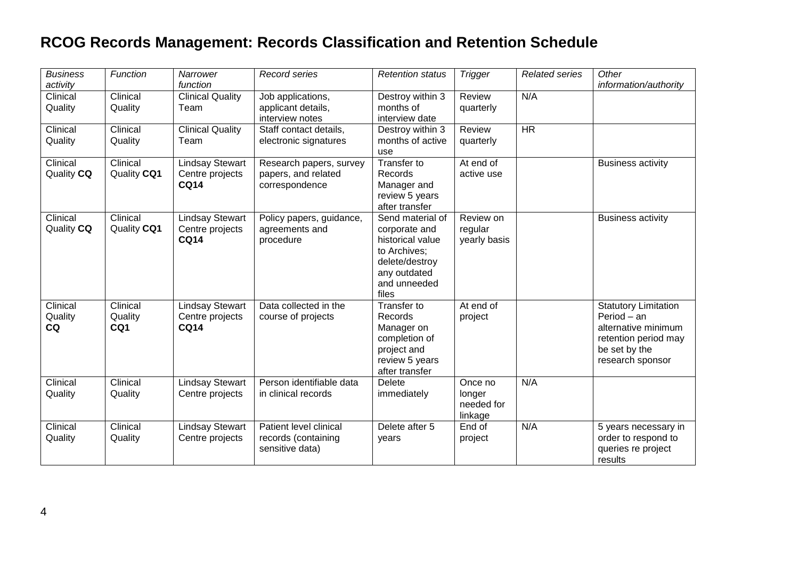| <b>Business</b><br>activity | Function                   | Narrower<br>function                                     | Record series                                                    | <b>Retention status</b>                                                                                                          | <b>Trigger</b>                             | <b>Related series</b> | Other<br>information/authority                                                                                                 |
|-----------------------------|----------------------------|----------------------------------------------------------|------------------------------------------------------------------|----------------------------------------------------------------------------------------------------------------------------------|--------------------------------------------|-----------------------|--------------------------------------------------------------------------------------------------------------------------------|
| Clinical<br>Quality         | Clinical<br>Quality        | <b>Clinical Quality</b><br>Team                          | Job applications,<br>applicant details,<br>interview notes       | Destroy within 3<br>months of<br>interview date                                                                                  | Review<br>quarterly                        | N/A                   |                                                                                                                                |
| Clinical<br>Quality         | Clinical<br>Quality        | <b>Clinical Quality</b><br>Team                          | Staff contact details,<br>electronic signatures                  | Destroy within 3<br>months of active<br>use                                                                                      | Review<br>quarterly                        | HR                    |                                                                                                                                |
| Clinical<br>Quality CQ      | Clinical<br>Quality CQ1    | <b>Lindsay Stewart</b><br>Centre projects<br><b>CQ14</b> | Research papers, survey<br>papers, and related<br>correspondence | <b>Transfer to</b><br>Records<br>Manager and<br>review 5 years<br>after transfer                                                 | At end of<br>active use                    |                       | <b>Business activity</b>                                                                                                       |
| Clinical<br>Quality CQ      | Clinical<br>Quality CQ1    | <b>Lindsay Stewart</b><br>Centre projects<br><b>CQ14</b> | Policy papers, guidance,<br>agreements and<br>procedure          | Send material of<br>corporate and<br>historical value<br>to Archives:<br>delete/destroy<br>any outdated<br>and unneeded<br>files | Review on<br>regular<br>yearly basis       |                       | <b>Business activity</b>                                                                                                       |
| Clinical<br>Quality<br>CQ   | Clinical<br>Quality<br>CQ1 | <b>Lindsay Stewart</b><br>Centre projects<br><b>CQ14</b> | Data collected in the<br>course of projects                      | Transfer to<br>Records<br>Manager on<br>completion of<br>project and<br>review 5 years<br>after transfer                         | At end of<br>project                       |                       | <b>Statutory Limitation</b><br>Period - an<br>alternative minimum<br>retention period may<br>be set by the<br>research sponsor |
| Clinical<br>Quality         | Clinical<br>Quality        | <b>Lindsay Stewart</b><br>Centre projects                | Person identifiable data<br>in clinical records                  | <b>Delete</b><br>immediately                                                                                                     | Once no<br>longer<br>needed for<br>linkage | N/A                   |                                                                                                                                |
| Clinical<br>Quality         | Clinical<br>Quality        | <b>Lindsay Stewart</b><br>Centre projects                | Patient level clinical<br>records (containing<br>sensitive data) | Delete after 5<br>years                                                                                                          | End of<br>project                          | N/A                   | 5 years necessary in<br>order to respond to<br>queries re project<br>results                                                   |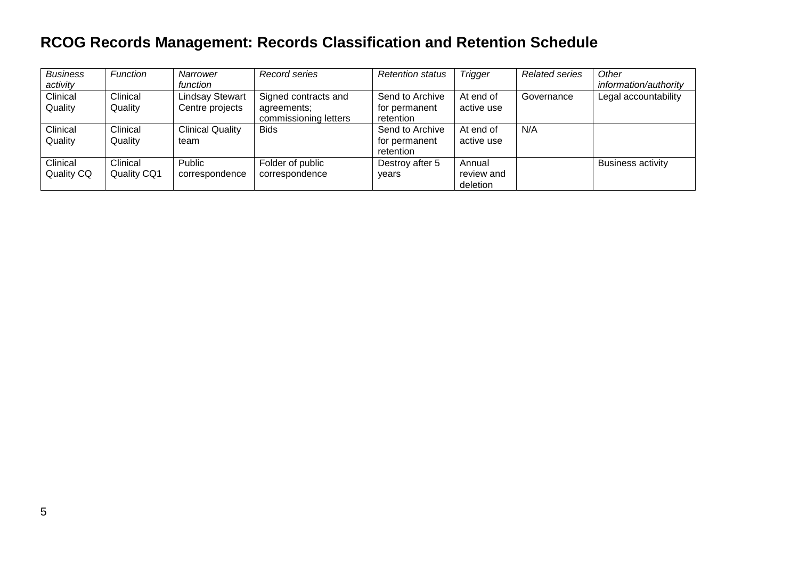| <b>Business</b><br>activity   | Function                       | Narrower<br>function                      | Record series                                                | <b>Retention status</b>                       | <b>Trigger</b>                   | <b>Related series</b> | Other<br>information/authority |
|-------------------------------|--------------------------------|-------------------------------------------|--------------------------------------------------------------|-----------------------------------------------|----------------------------------|-----------------------|--------------------------------|
| Clinical<br>Quality           | Clinical<br>Quality            | <b>Lindsay Stewart</b><br>Centre projects | Signed contracts and<br>agreements;<br>commissioning letters | Send to Archive<br>for permanent<br>retention | At end of<br>active use          | Governance            | Legal accountability           |
| Clinical<br>Quality           | Clinical<br>Quality            | <b>Clinical Quality</b><br>team           | <b>Bids</b>                                                  | Send to Archive<br>for permanent<br>retention | At end of<br>active use          | N/A                   |                                |
| Clinical<br><b>Quality CQ</b> | Clinical<br><b>Quality CQ1</b> | Public<br>correspondence                  | Folder of public<br>correspondence                           | Destroy after 5<br>vears                      | Annual<br>review and<br>deletion |                       | <b>Business activity</b>       |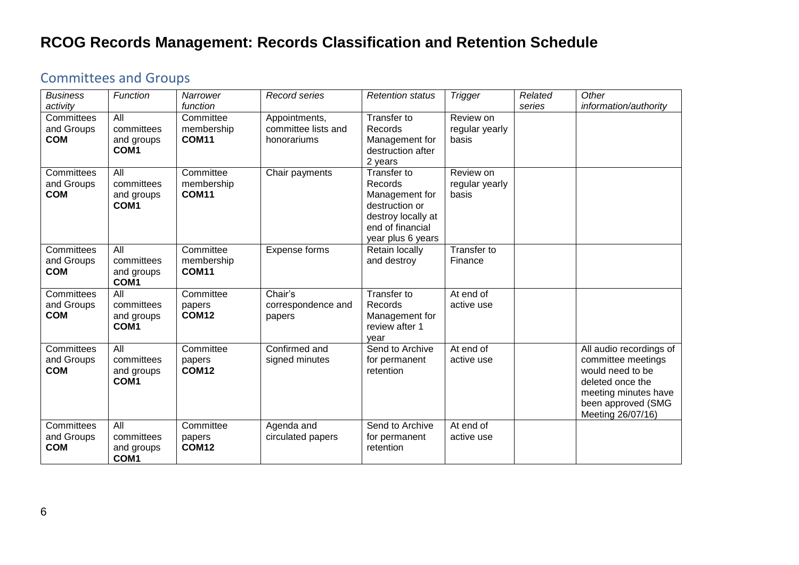#### <span id="page-5-0"></span>Committees and Groups

| <b>Business</b><br>activity            | Function                                            | Narrower<br>function                    | Record series                                       | <b>Retention status</b>                                                                                                   | <b>Trigger</b>                       | Related<br>series | Other<br>information/authority                                                                                                                           |
|----------------------------------------|-----------------------------------------------------|-----------------------------------------|-----------------------------------------------------|---------------------------------------------------------------------------------------------------------------------------|--------------------------------------|-------------------|----------------------------------------------------------------------------------------------------------------------------------------------------------|
| Committees<br>and Groups<br><b>COM</b> | All<br>committees<br>and groups<br>COM <sub>1</sub> | Committee<br>membership<br><b>COM11</b> | Appointments,<br>committee lists and<br>honorariums | Transfer to<br>Records<br>Management for<br>destruction after<br>2 years                                                  | Review on<br>regular yearly<br>basis |                   |                                                                                                                                                          |
| Committees<br>and Groups<br><b>COM</b> | All<br>committees<br>and groups<br>COM <sub>1</sub> | Committee<br>membership<br><b>COM11</b> | Chair payments                                      | Transfer to<br>Records<br>Management for<br>destruction or<br>destroy locally at<br>end of financial<br>year plus 6 years | Review on<br>regular yearly<br>basis |                   |                                                                                                                                                          |
| Committees<br>and Groups<br><b>COM</b> | All<br>committees<br>and groups<br>COM1             | Committee<br>membership<br><b>COM11</b> | Expense forms                                       | Retain locally<br>and destroy                                                                                             | Transfer to<br>Finance               |                   |                                                                                                                                                          |
| Committees<br>and Groups<br><b>COM</b> | All<br>committees<br>and groups<br>COM <sub>1</sub> | Committee<br>papers<br><b>COM12</b>     | Chair's<br>correspondence and<br>papers             | Transfer to<br>Records<br>Management for<br>review after 1<br>year                                                        | At end of<br>active use              |                   |                                                                                                                                                          |
| Committees<br>and Groups<br><b>COM</b> | All<br>committees<br>and groups<br>COM <sub>1</sub> | Committee<br>papers<br><b>COM12</b>     | Confirmed and<br>signed minutes                     | Send to Archive<br>for permanent<br>retention                                                                             | At end of<br>active use              |                   | All audio recordings of<br>committee meetings<br>would need to be<br>deleted once the<br>meeting minutes have<br>been approved (SMG<br>Meeting 26/07/16) |
| Committees<br>and Groups<br><b>COM</b> | All<br>committees<br>and groups<br>COM1             | Committee<br>papers<br><b>COM12</b>     | Agenda and<br>circulated papers                     | Send to Archive<br>for permanent<br>retention                                                                             | At end $of$<br>active use            |                   |                                                                                                                                                          |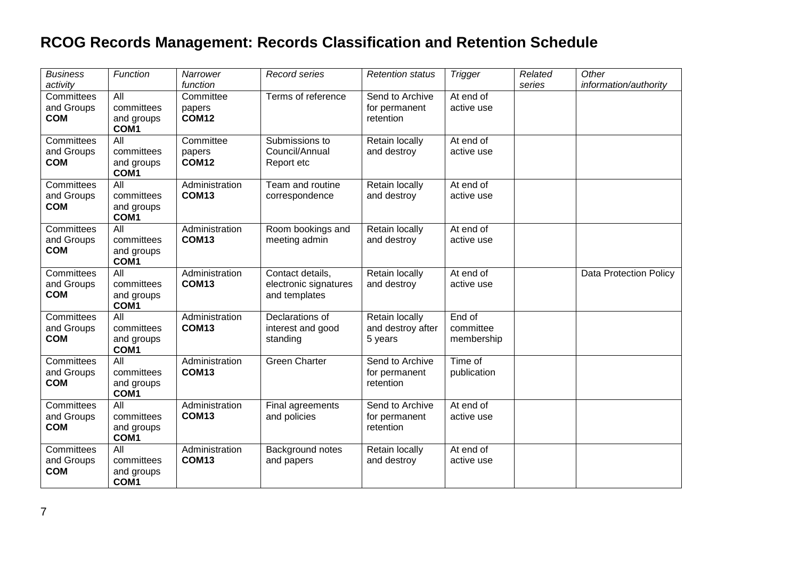| <b>Business</b><br>activity            | Function                                             | Narrower<br>function                | Record series                                              | <b>Retention status</b>                        | <b>Trigger</b>                    | Related<br>series | Other<br>information/authority |
|----------------------------------------|------------------------------------------------------|-------------------------------------|------------------------------------------------------------|------------------------------------------------|-----------------------------------|-------------------|--------------------------------|
| Committees<br>and Groups<br><b>COM</b> | All<br>committees<br>and groups<br>COM1              | Committee<br>papers<br><b>COM12</b> | Terms of reference                                         | Send to Archive<br>for permanent<br>retention  | At end of<br>active use           |                   |                                |
| Committees<br>and Groups<br><b>COM</b> | All<br>committees<br>and groups<br>COM1              | Committee<br>papers<br><b>COM12</b> | Submissions to<br>Council/Annual<br>Report etc             | Retain locally<br>and destroy                  | At end of<br>active use           |                   |                                |
| Committees<br>and Groups<br><b>COM</b> | $\overline{All}$<br>committees<br>and groups<br>COM1 | Administration<br>COM <sub>13</sub> | Team and routine<br>correspondence                         | Retain locally<br>and destroy                  | At end of<br>active use           |                   |                                |
| Committees<br>and Groups<br><b>COM</b> | All<br>committees<br>and groups<br>COM1              | Administration<br>COM <sub>13</sub> | Room bookings and<br>meeting admin                         | Retain locally<br>and destroy                  | At end of<br>active use           |                   |                                |
| Committees<br>and Groups<br><b>COM</b> | All<br>committees<br>and groups<br>COM1              | Administration<br><b>COM13</b>      | Contact details,<br>electronic signatures<br>and templates | Retain locally<br>and destroy                  | At end of<br>active use           |                   | Data Protection Policy         |
| Committees<br>and Groups<br><b>COM</b> | $\overline{All}$<br>committees<br>and groups<br>COM1 | Administration<br>COM <sub>13</sub> | Declarations of<br>interest and good<br>standing           | Retain locally<br>and destroy after<br>5 years | End of<br>committee<br>membership |                   |                                |
| Committees<br>and Groups<br><b>COM</b> | All<br>committees<br>and groups<br>COM1              | Administration<br><b>COM13</b>      | <b>Green Charter</b>                                       | Send to Archive<br>for permanent<br>retention  | Time of<br>publication            |                   |                                |
| Committees<br>and Groups<br><b>COM</b> | $\overline{All}$<br>committees<br>and groups<br>COM1 | Administration<br>COM <sub>13</sub> | Final agreements<br>and policies                           | Send to Archive<br>for permanent<br>retention  | At end of<br>active use           |                   |                                |
| Committees<br>and Groups<br><b>COM</b> | <b>All</b><br>committees<br>and groups<br>COM1       | Administration<br><b>COM13</b>      | Background notes<br>and papers                             | Retain locally<br>and destroy                  | At end of<br>active use           |                   |                                |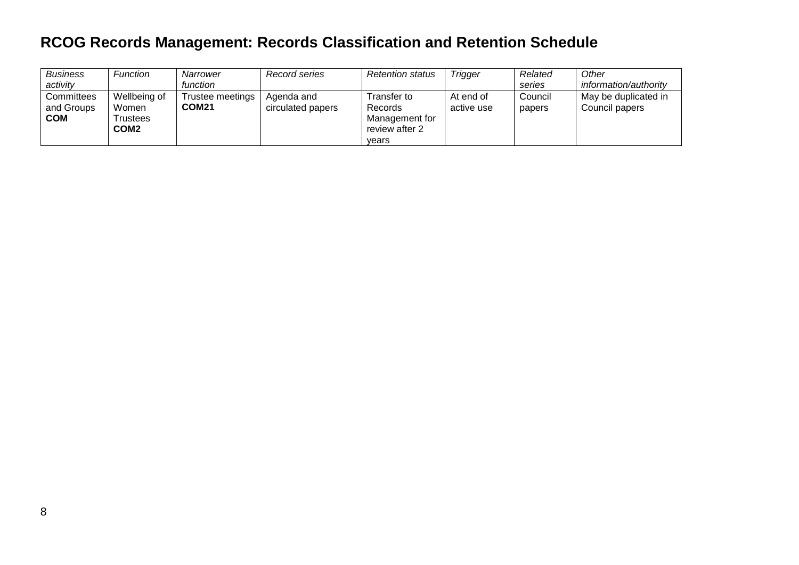| <b>Business</b>                        | Function                                              | Narrower                         | Record series                   | <b>Retention status</b>                                                    | <b>Trigger</b>          | Related           | Other                                  |
|----------------------------------------|-------------------------------------------------------|----------------------------------|---------------------------------|----------------------------------------------------------------------------|-------------------------|-------------------|----------------------------------------|
| activity                               |                                                       | function                         |                                 |                                                                            |                         | series            | information/authority                  |
| Committees<br>and Groups<br><b>COM</b> | Wellbeing of<br>Women<br>Trustees<br>COM <sub>2</sub> | Trustee meetings<br><b>COM21</b> | Agenda and<br>circulated papers | Transfer to<br><b>Records</b><br>Management for<br>review after 2<br>vears | At end of<br>active use | Council<br>papers | May be duplicated in<br>Council papers |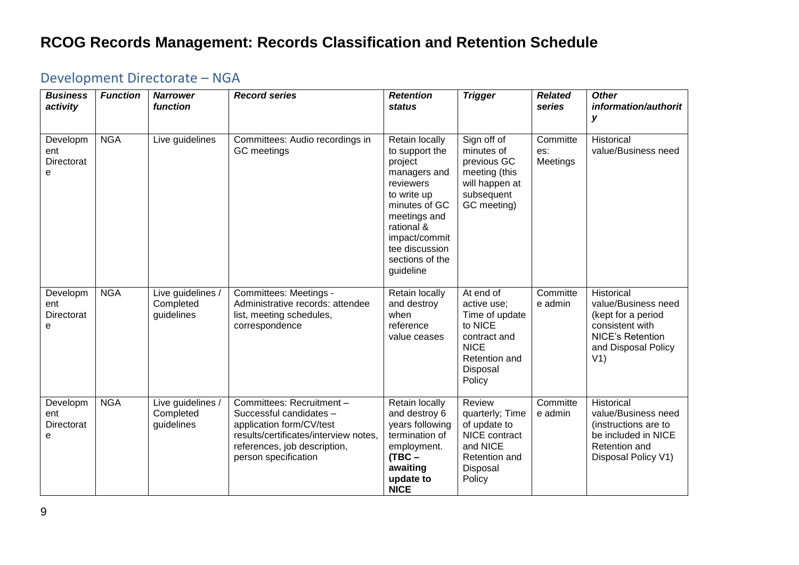# <span id="page-8-0"></span>Development Directorate – NGA

| <b>Business</b><br>activity        | <b>Function</b> | <b>Narrower</b><br>function                  | <b>Record series</b>                                                                                                                                                              | <b>Retention</b><br>status                                                                                                                                                                                | <b>Trigger</b>                                                                                                              | <b>Related</b><br>series    | <b>Other</b><br>information/authorit<br>У                                                                                           |
|------------------------------------|-----------------|----------------------------------------------|-----------------------------------------------------------------------------------------------------------------------------------------------------------------------------------|-----------------------------------------------------------------------------------------------------------------------------------------------------------------------------------------------------------|-----------------------------------------------------------------------------------------------------------------------------|-----------------------------|-------------------------------------------------------------------------------------------------------------------------------------|
| Developm<br>ent<br>Directorat<br>e | <b>NGA</b>      | Live guidelines                              | Committees: Audio recordings in<br>GC meetings                                                                                                                                    | Retain locally<br>to support the<br>project<br>managers and<br>reviewers<br>to write up<br>minutes of GC<br>meetings and<br>rational &<br>impact/commit<br>tee discussion<br>sections of the<br>guideline | Sign off of<br>minutes of<br>previous GC<br>meeting (this<br>will happen at<br>subsequent<br>GC meeting)                    | Committe<br>es:<br>Meetings | Historical<br>value/Business need                                                                                                   |
| Developm<br>ent<br>Directorat<br>е | <b>NGA</b>      | Live guidelines /<br>Completed<br>guidelines | Committees: Meetings -<br>Administrative records: attendee<br>list, meeting schedules,<br>correspondence                                                                          | Retain locally<br>and destroy<br>when<br>reference<br>value ceases                                                                                                                                        | At end of<br>active use;<br>Time of update<br>to NICE<br>contract and<br><b>NICE</b><br>Retention and<br>Disposal<br>Policy | Committe<br>e admin         | Historical<br>value/Business need<br>(kept for a period<br>consistent with<br><b>NICE's Retention</b><br>and Disposal Policy<br>V1) |
| Developm<br>ent<br>Directorat<br>e | <b>NGA</b>      | Live guidelines /<br>Completed<br>guidelines | Committees: Recruitment -<br>Successful candidates -<br>application form/CV/test<br>results/certificates/interview notes,<br>references, job description,<br>person specification | Retain locally<br>and destroy 6<br>years following<br>termination of<br>employment.<br>$(TBC -$<br>awaiting<br>update to<br><b>NICE</b>                                                                   | <b>Review</b><br>quarterly; Time<br>of update to<br>NICE contract<br>and NICE<br>Retention and<br>Disposal<br>Policy        | Committe<br>e admin         | Historical<br>value/Business need<br>(instructions are to<br>be included in NICE<br>Retention and<br>Disposal Policy V1)            |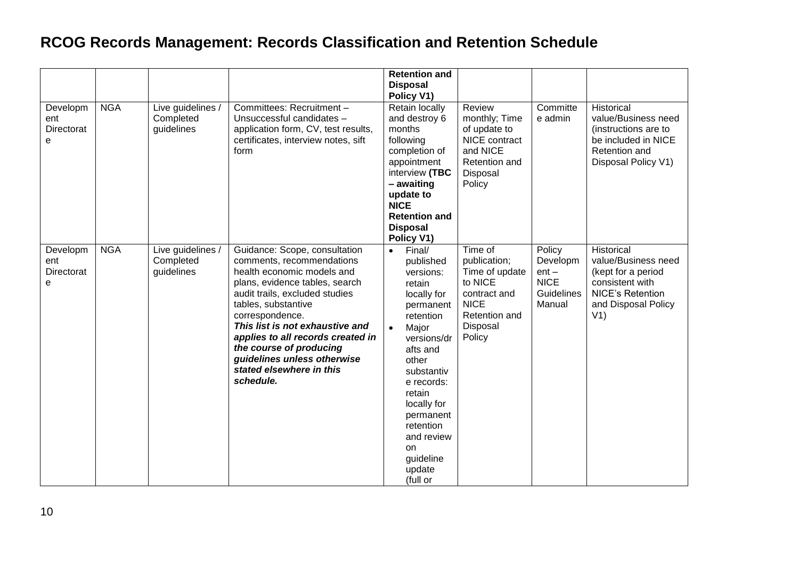| Developm<br>ent<br>Directorat<br>e | <b>NGA</b> | Live guidelines /<br>Completed<br>guidelines | Committees: Recruitment -<br>Unsuccessful candidates -<br>application form, CV, test results,<br>certificates, interview notes, sift<br>form                                                                                                                                                                                                                                      | <b>Retention and</b><br><b>Disposal</b><br>Policy V1)<br>Retain locally<br>and destroy 6<br>months<br>following<br>completion of<br>appointment<br>interview (TBC<br>- awaiting<br>update to<br><b>NICE</b><br><b>Retention and</b><br><b>Disposal</b>                                                                | Review<br>monthly; Time<br>of update to<br>NICE contract<br>and NICE<br>Retention and<br>Disposal<br>Policy                | Committe<br>e admin                                                         | Historical<br>value/Business need<br>(instructions are to<br>be included in NICE<br>Retention and<br>Disposal Policy V1)            |
|------------------------------------|------------|----------------------------------------------|-----------------------------------------------------------------------------------------------------------------------------------------------------------------------------------------------------------------------------------------------------------------------------------------------------------------------------------------------------------------------------------|-----------------------------------------------------------------------------------------------------------------------------------------------------------------------------------------------------------------------------------------------------------------------------------------------------------------------|----------------------------------------------------------------------------------------------------------------------------|-----------------------------------------------------------------------------|-------------------------------------------------------------------------------------------------------------------------------------|
| Developm<br>ent<br>Directorat<br>е | <b>NGA</b> | Live guidelines /<br>Completed<br>guidelines | Guidance: Scope, consultation<br>comments, recommendations<br>health economic models and<br>plans, evidence tables, search<br>audit trails, excluded studies<br>tables, substantive<br>correspondence.<br>This list is not exhaustive and<br>applies to all records created in<br>the course of producing<br>guidelines unless otherwise<br>stated elsewhere in this<br>schedule. | Policy V1)<br>Final/<br>$\bullet$<br>published<br>versions:<br>retain<br>locally for<br>permanent<br>retention<br>Major<br>$\bullet$<br>versions/dr<br>afts and<br>other<br>substantiv<br>e records:<br>retain<br>locally for<br>permanent<br>retention<br>and review<br><b>on</b><br>guideline<br>update<br>(full or | Time of<br>publication;<br>Time of update<br>to NICE<br>contract and<br><b>NICE</b><br>Retention and<br>Disposal<br>Policy | Policy<br>Developm<br>$ent -$<br><b>NICE</b><br><b>Guidelines</b><br>Manual | Historical<br>value/Business need<br>(kept for a period<br>consistent with<br><b>NICE's Retention</b><br>and Disposal Policy<br>V1) |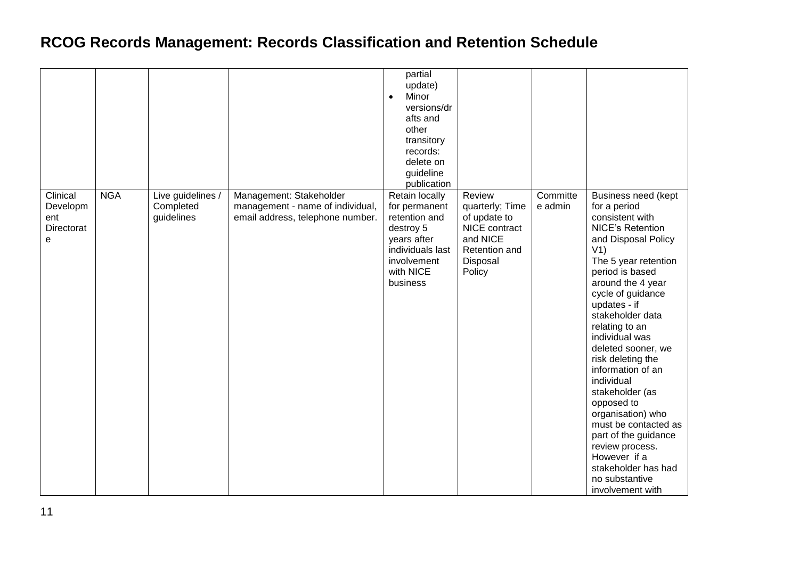|                                                |            |                                              |                                                                                                 | partial<br>update)<br>Minor<br>$\bullet$<br>versions/dr<br>afts and<br>other<br>transitory<br>records:<br>delete on<br>guideline<br>publication |                                                                                                               |                     |                                                                                                                                                                                                                                                                                                                                                                                                                                                                                                                                                                  |
|------------------------------------------------|------------|----------------------------------------------|-------------------------------------------------------------------------------------------------|-------------------------------------------------------------------------------------------------------------------------------------------------|---------------------------------------------------------------------------------------------------------------|---------------------|------------------------------------------------------------------------------------------------------------------------------------------------------------------------------------------------------------------------------------------------------------------------------------------------------------------------------------------------------------------------------------------------------------------------------------------------------------------------------------------------------------------------------------------------------------------|
| Clinical<br>Developm<br>ent<br>Directorat<br>е | <b>NGA</b> | Live guidelines /<br>Completed<br>guidelines | Management: Stakeholder<br>management - name of individual,<br>email address, telephone number. | Retain locally<br>for permanent<br>retention and<br>destroy 5<br>years after<br>individuals last<br>involvement<br>with NICE<br>business        | Review<br>quarterly; Time<br>of update to<br>NICE contract<br>and NICE<br>Retention and<br>Disposal<br>Policy | Committe<br>e admin | Business need (kept<br>for a period<br>consistent with<br><b>NICE's Retention</b><br>and Disposal Policy<br>V1)<br>The 5 year retention<br>period is based<br>around the 4 year<br>cycle of guidance<br>updates - if<br>stakeholder data<br>relating to an<br>individual was<br>deleted sooner, we<br>risk deleting the<br>information of an<br>individual<br>stakeholder (as<br>opposed to<br>organisation) who<br>must be contacted as<br>part of the guidance<br>review process.<br>However if a<br>stakeholder has had<br>no substantive<br>involvement with |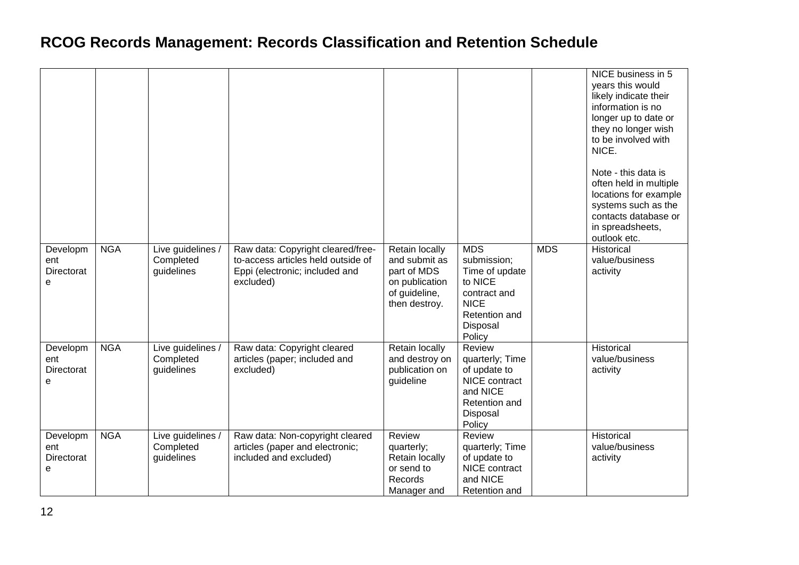|                                    |            |                                              |                                                                                                                        |                                                                                                    |                                                                                                                              |            | NICE business in 5<br>years this would<br>likely indicate their<br>information is no<br>longer up to date or<br>they no longer wish<br>to be involved with<br>NICE.<br>Note - this data is<br>often held in multiple<br>locations for example<br>systems such as the<br>contacts database or<br>in spreadsheets,<br>outlook etc. |
|------------------------------------|------------|----------------------------------------------|------------------------------------------------------------------------------------------------------------------------|----------------------------------------------------------------------------------------------------|------------------------------------------------------------------------------------------------------------------------------|------------|----------------------------------------------------------------------------------------------------------------------------------------------------------------------------------------------------------------------------------------------------------------------------------------------------------------------------------|
| Developm<br>ent<br>Directorat<br>e | <b>NGA</b> | Live guidelines /<br>Completed<br>guidelines | Raw data: Copyright cleared/free-<br>to-access articles held outside of<br>Eppi (electronic; included and<br>excluded) | Retain locally<br>and submit as<br>part of MDS<br>on publication<br>of guideline,<br>then destroy. | <b>MDS</b><br>submission;<br>Time of update<br>to NICE<br>contract and<br><b>NICE</b><br>Retention and<br>Disposal<br>Policy | <b>MDS</b> | Historical<br>value/business<br>activity                                                                                                                                                                                                                                                                                         |
| Developm<br>ent<br>Directorat<br>e | <b>NGA</b> | Live guidelines /<br>Completed<br>guidelines | Raw data: Copyright cleared<br>articles (paper; included and<br>excluded)                                              | Retain locally<br>and destroy on<br>publication on<br>guideline                                    | Review<br>quarterly; Time<br>of update to<br>NICE contract<br>and NICE<br>Retention and<br>Disposal<br>Policy                |            | Historical<br>value/business<br>activity                                                                                                                                                                                                                                                                                         |
| Developm<br>ent<br>Directorat<br>e | <b>NGA</b> | Live guidelines /<br>Completed<br>guidelines | Raw data: Non-copyright cleared<br>articles (paper and electronic;<br>included and excluded)                           | Review<br>quarterly;<br>Retain locally<br>or send to<br>Records<br>Manager and                     | Review<br>quarterly; Time<br>of update to<br>NICE contract<br>and NICE<br>Retention and                                      |            | Historical<br>value/business<br>activity                                                                                                                                                                                                                                                                                         |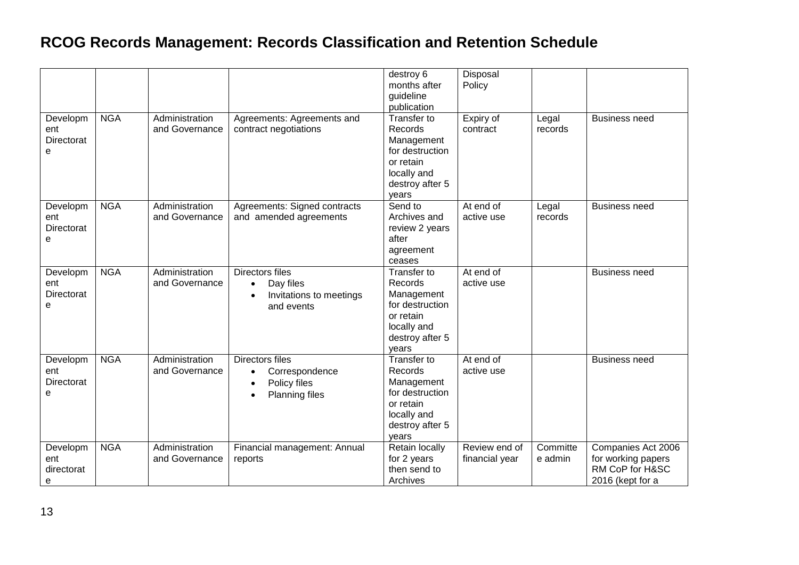|            |            |                |                                      | destroy 6<br>months after<br>guideline | Disposal<br>Policy |          |                      |
|------------|------------|----------------|--------------------------------------|----------------------------------------|--------------------|----------|----------------------|
|            |            |                |                                      | publication                            |                    |          |                      |
| Developm   | <b>NGA</b> | Administration | Agreements: Agreements and           | Transfer to                            | Expiry of          | Legal    | <b>Business need</b> |
| ent        |            | and Governance | contract negotiations                | Records                                | contract           | records  |                      |
| Directorat |            |                |                                      | Management                             |                    |          |                      |
| e          |            |                |                                      | for destruction                        |                    |          |                      |
|            |            |                |                                      | or retain                              |                    |          |                      |
|            |            |                |                                      | locally and                            |                    |          |                      |
|            |            |                |                                      | destroy after 5                        |                    |          |                      |
|            |            |                |                                      | years                                  |                    |          |                      |
| Developm   | <b>NGA</b> | Administration | Agreements: Signed contracts         | Send to                                | At end of          | Legal    | <b>Business need</b> |
| ent        |            | and Governance | and amended agreements               | Archives and                           | active use         | records  |                      |
| Directorat |            |                |                                      | review 2 years                         |                    |          |                      |
| e          |            |                |                                      | after                                  |                    |          |                      |
|            |            |                |                                      | agreement                              |                    |          |                      |
|            |            |                |                                      | ceases                                 |                    |          |                      |
| Developm   | <b>NGA</b> | Administration | <b>Directors files</b>               | Transfer to<br>Records                 | At end of          |          | <b>Business need</b> |
| ent        |            | and Governance | Day files<br>$\bullet$               |                                        | active use         |          |                      |
| Directorat |            |                | Invitations to meetings<br>$\bullet$ | Management<br>for destruction          |                    |          |                      |
| e          |            |                | and events                           | or retain                              |                    |          |                      |
|            |            |                |                                      | locally and                            |                    |          |                      |
|            |            |                |                                      | destroy after 5                        |                    |          |                      |
|            |            |                |                                      | years                                  |                    |          |                      |
| Developm   | <b>NGA</b> | Administration | <b>Directors files</b>               | Transfer to                            | At end of          |          | <b>Business need</b> |
| ent        |            | and Governance | Correspondence                       | Records                                | active use         |          |                      |
| Directorat |            |                | Policy files<br>$\bullet$            | Management                             |                    |          |                      |
| е          |            |                | <b>Planning files</b><br>$\bullet$   | for destruction                        |                    |          |                      |
|            |            |                |                                      | or retain                              |                    |          |                      |
|            |            |                |                                      | locally and                            |                    |          |                      |
|            |            |                |                                      | destroy after 5                        |                    |          |                      |
|            |            |                |                                      | years                                  |                    |          |                      |
| Developm   | <b>NGA</b> | Administration | Financial management: Annual         | Retain locally                         | Review end of      | Committe | Companies Act 2006   |
| ent        |            | and Governance | reports                              | for 2 years                            | financial year     | e admin  | for working papers   |
| directorat |            |                |                                      | then send to                           |                    |          | RM CoP for H&SC      |
| e          |            |                |                                      | Archives                               |                    |          | 2016 (kept for a     |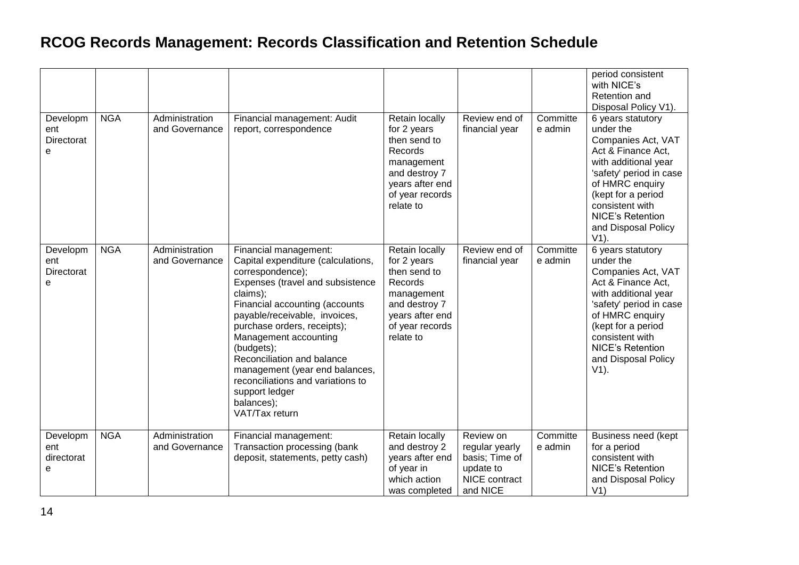|                                    |            |                                  |                                                                                                                                                                                                                                                                                                                                                                                                                                 |                                                                                                                                                   |                                                                                         |                     | period consistent<br>with NICE's<br>Retention and<br>Disposal Policy V1).                                                                                                                                                                              |
|------------------------------------|------------|----------------------------------|---------------------------------------------------------------------------------------------------------------------------------------------------------------------------------------------------------------------------------------------------------------------------------------------------------------------------------------------------------------------------------------------------------------------------------|---------------------------------------------------------------------------------------------------------------------------------------------------|-----------------------------------------------------------------------------------------|---------------------|--------------------------------------------------------------------------------------------------------------------------------------------------------------------------------------------------------------------------------------------------------|
| Developm<br>ent<br>Directorat<br>e | <b>NGA</b> | Administration<br>and Governance | Financial management: Audit<br>report, correspondence                                                                                                                                                                                                                                                                                                                                                                           | <b>Retain locally</b><br>for 2 years<br>then send to<br>Records<br>management<br>and destroy 7<br>years after end<br>of year records<br>relate to | Review end of<br>financial year                                                         | Committe<br>e admin | 6 years statutory<br>under the<br>Companies Act, VAT<br>Act & Finance Act,<br>with additional year<br>'safety' period in case<br>of HMRC enquiry<br>(kept for a period<br>consistent with<br><b>NICE's Retention</b><br>and Disposal Policy<br>$V1$ ). |
| Developm<br>ent<br>Directorat<br>e | <b>NGA</b> | Administration<br>and Governance | Financial management:<br>Capital expenditure (calculations,<br>correspondence);<br>Expenses (travel and subsistence<br>claims);<br>Financial accounting (accounts<br>payable/receivable, invoices,<br>purchase orders, receipts);<br>Management accounting<br>(budgets);<br>Reconciliation and balance<br>management (year end balances,<br>reconciliations and variations to<br>support ledger<br>balances);<br>VAT/Tax return | Retain locally<br>for 2 years<br>then send to<br>Records<br>management<br>and destroy 7<br>years after end<br>of year records<br>relate to        | Review end of<br>financial year                                                         | Committe<br>e admin | 6 years statutory<br>under the<br>Companies Act, VAT<br>Act & Finance Act,<br>with additional year<br>'safety' period in case<br>of HMRC enquiry<br>(kept for a period<br>consistent with<br><b>NICE's Retention</b><br>and Disposal Policy<br>$V1$ ). |
| Developm<br>ent<br>directorat<br>е | <b>NGA</b> | Administration<br>and Governance | Financial management:<br>Transaction processing (bank<br>deposit, statements, petty cash)                                                                                                                                                                                                                                                                                                                                       | Retain locally<br>and destroy 2<br>years after end<br>of year in<br>which action<br>was completed                                                 | Review on<br>regular yearly<br>basis; Time of<br>update to<br>NICE contract<br>and NICE | Committe<br>e admin | Business need (kept<br>for a period<br>consistent with<br><b>NICE's Retention</b><br>and Disposal Policy<br>V1)                                                                                                                                        |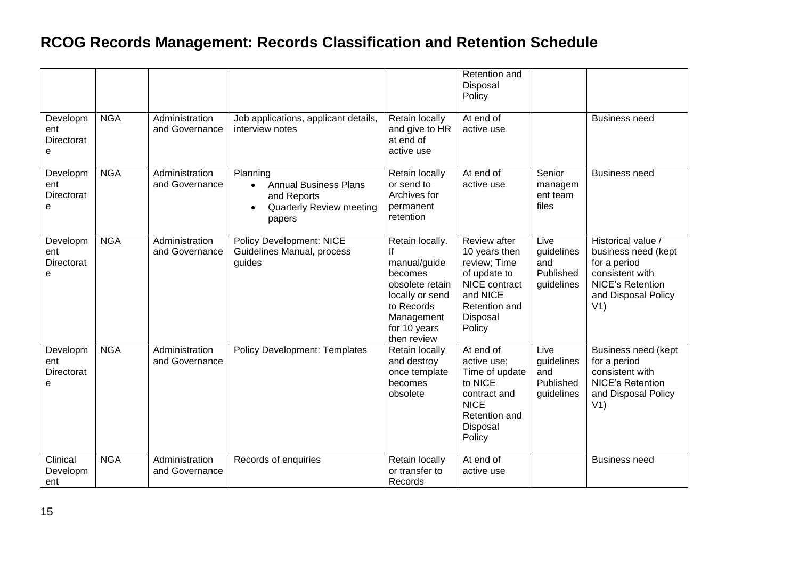|                                    |            |                                  |                                                                                                                                |                                                                                                                                                   | Retention and<br>Disposal<br>Policy                                                                                               |                                                      |                                                                                                                                       |
|------------------------------------|------------|----------------------------------|--------------------------------------------------------------------------------------------------------------------------------|---------------------------------------------------------------------------------------------------------------------------------------------------|-----------------------------------------------------------------------------------------------------------------------------------|------------------------------------------------------|---------------------------------------------------------------------------------------------------------------------------------------|
| Developm<br>ent<br>Directorat<br>e | <b>NGA</b> | Administration<br>and Governance | Job applications, applicant details,<br>interview notes                                                                        | Retain locally<br>and give to HR<br>at end of<br>active use                                                                                       | At end of<br>active use                                                                                                           |                                                      | <b>Business need</b>                                                                                                                  |
| Developm<br>ent<br>Directorat<br>е | <b>NGA</b> | Administration<br>and Governance | Planning<br><b>Annual Business Plans</b><br>$\bullet$<br>and Reports<br><b>Quarterly Review meeting</b><br>$\bullet$<br>papers | Retain locally<br>or send to<br>Archives for<br>permanent<br>retention                                                                            | At end of<br>active use                                                                                                           | Senior<br>managem<br>ent team<br>files               | <b>Business need</b>                                                                                                                  |
| Developm<br>ent<br>Directorat<br>e | <b>NGA</b> | Administration<br>and Governance | <b>Policy Development: NICE</b><br>Guidelines Manual, process<br>guides                                                        | Retain locally.<br>If<br>manual/guide<br>becomes<br>obsolete retain<br>locally or send<br>to Records<br>Management<br>for 10 years<br>then review | Review after<br>10 years then<br>review; Time<br>of update to<br>NICE contract<br>and NICE<br>Retention and<br>Disposal<br>Policy | Live<br>guidelines<br>and<br>Published<br>guidelines | Historical value /<br>business need (kept<br>for a period<br>consistent with<br><b>NICE's Retention</b><br>and Disposal Policy<br>V1) |
| Developm<br>ent<br>Directorat<br>e | <b>NGA</b> | Administration<br>and Governance | <b>Policy Development: Templates</b>                                                                                           | Retain locally<br>and destroy<br>once template<br>becomes<br>obsolete                                                                             | At end of<br>active use;<br>Time of update<br>to NICE<br>contract and<br><b>NICE</b><br>Retention and<br>Disposal<br>Policy       | Live<br>guidelines<br>and<br>Published<br>guidelines | Business need (kept<br>for a period<br>consistent with<br><b>NICE's Retention</b><br>and Disposal Policy<br>V1)                       |
| Clinical<br>Developm<br>ent        | <b>NGA</b> | Administration<br>and Governance | Records of enquiries                                                                                                           | Retain locally<br>or transfer to<br>Records                                                                                                       | At end of<br>active use                                                                                                           |                                                      | <b>Business need</b>                                                                                                                  |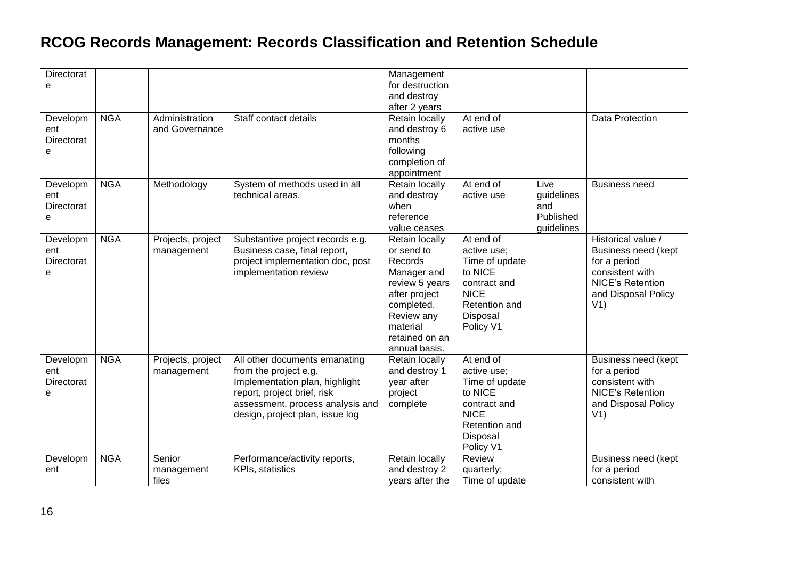| Directorat |            |                   |                                  | Management                    |                |            |                         |
|------------|------------|-------------------|----------------------------------|-------------------------------|----------------|------------|-------------------------|
| e          |            |                   |                                  | for destruction               |                |            |                         |
|            |            |                   |                                  | and destroy                   |                |            |                         |
|            |            |                   |                                  | after 2 years                 |                |            |                         |
| Developm   | <b>NGA</b> | Administration    | Staff contact details            | <b>Retain locally</b>         | At end of      |            | Data Protection         |
| ent        |            | and Governance    |                                  | and destroy 6                 | active use     |            |                         |
| Directorat |            |                   |                                  | months                        |                |            |                         |
| e          |            |                   |                                  | following                     |                |            |                         |
|            |            |                   |                                  | completion of                 |                |            |                         |
|            |            |                   |                                  | appointment                   |                |            |                         |
| Developm   | <b>NGA</b> | Methodology       | System of methods used in all    | Retain locally                | At end of      | Live       | <b>Business need</b>    |
| ent        |            |                   | technical areas.                 | and destroy                   | active use     | guidelines |                         |
| Directorat |            |                   |                                  | when                          |                | and        |                         |
| e          |            |                   |                                  | reference                     |                | Published  |                         |
|            |            |                   |                                  | value ceases                  |                | guidelines |                         |
| Developm   | <b>NGA</b> | Projects, project | Substantive project records e.g. | Retain locally                | At end of      |            | Historical value /      |
| ent        |            | management        | Business case, final report,     | or send to                    | active use;    |            | Business need (kept     |
| Directorat |            |                   | project implementation doc, post | Records                       | Time of update |            | for a period            |
|            |            |                   | implementation review            |                               | to NICE        |            | consistent with         |
| e          |            |                   |                                  | Manager and<br>review 5 years | contract and   |            | <b>NICE's Retention</b> |
|            |            |                   |                                  |                               | <b>NICE</b>    |            |                         |
|            |            |                   |                                  | after project                 | Retention and  |            | and Disposal Policy     |
|            |            |                   |                                  | completed.                    |                |            | V1)                     |
|            |            |                   |                                  | Review any                    | Disposal       |            |                         |
|            |            |                   |                                  | material                      | Policy V1      |            |                         |
|            |            |                   |                                  | retained on an                |                |            |                         |
|            |            |                   |                                  | annual basis.                 |                |            |                         |
| Developm   | <b>NGA</b> | Projects, project | All other documents emanating    | Retain locally                | At end of      |            | Business need (kept     |
| ent        |            | management        | from the project e.g.            | and destroy 1                 | active use;    |            | for a period            |
| Directorat |            |                   | Implementation plan, highlight   | year after                    | Time of update |            | consistent with         |
| е          |            |                   | report, project brief, risk      | project                       | to NICE        |            | <b>NICE's Retention</b> |
|            |            |                   | assessment, process analysis and | complete                      | contract and   |            | and Disposal Policy     |
|            |            |                   | design, project plan, issue log  |                               | <b>NICE</b>    |            | V1)                     |
|            |            |                   |                                  |                               | Retention and  |            |                         |
|            |            |                   |                                  |                               | Disposal       |            |                         |
|            |            |                   |                                  |                               | Policy V1      |            |                         |
| Developm   | <b>NGA</b> | Senior            | Performance/activity reports,    | Retain locally                | Review         |            | Business need (kept     |
| ent        |            | management        | KPIs, statistics                 | and destroy 2                 | quarterly;     |            | for a period            |
|            |            | files             |                                  | years after the               | Time of update |            | consistent with         |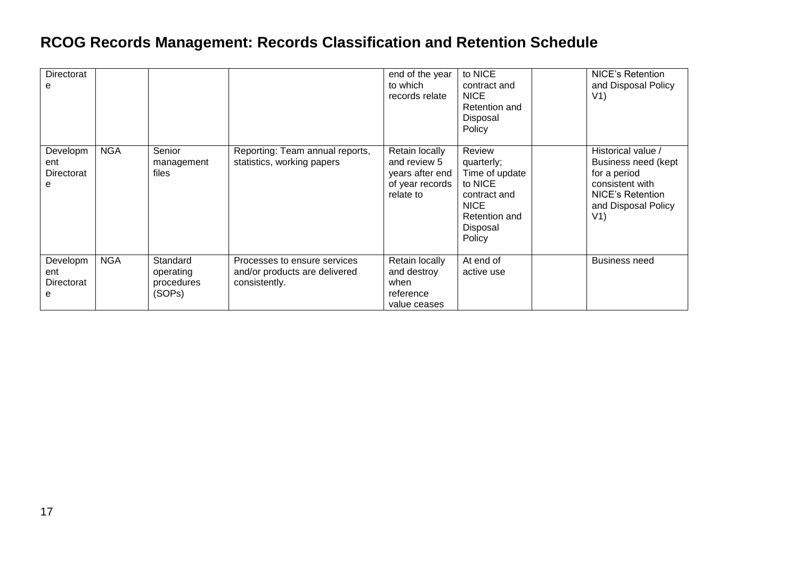| Directorat<br>e                    |            |                                               |                                                                                | end of the year<br>to which<br>records relate                                     | to NICE<br>contract and<br><b>NICE</b><br>Retention and<br>Disposal<br>Policy                                           | <b>NICE's Retention</b><br>and Disposal Policy<br>V1)                                                                                 |
|------------------------------------|------------|-----------------------------------------------|--------------------------------------------------------------------------------|-----------------------------------------------------------------------------------|-------------------------------------------------------------------------------------------------------------------------|---------------------------------------------------------------------------------------------------------------------------------------|
| Developm<br>ent<br>Directorat<br>e | <b>NGA</b> | Senior<br>management<br>files                 | Reporting: Team annual reports,<br>statistics, working papers                  | Retain locally<br>and review 5<br>years after end<br>of year records<br>relate to | Review<br>quarterly;<br>Time of update<br>to NICE<br>contract and<br><b>NICE</b><br>Retention and<br>Disposal<br>Policy | Historical value /<br>Business need (kept<br>for a period<br>consistent with<br><b>NICE's Retention</b><br>and Disposal Policy<br>V1) |
| Developm<br>ent<br>Directorat<br>е | <b>NGA</b> | Standard<br>operating<br>procedures<br>(SOPs) | Processes to ensure services<br>and/or products are delivered<br>consistently. | Retain locally<br>and destroy<br>when<br>reference<br>value ceases                | At end of<br>active use                                                                                                 | <b>Business need</b>                                                                                                                  |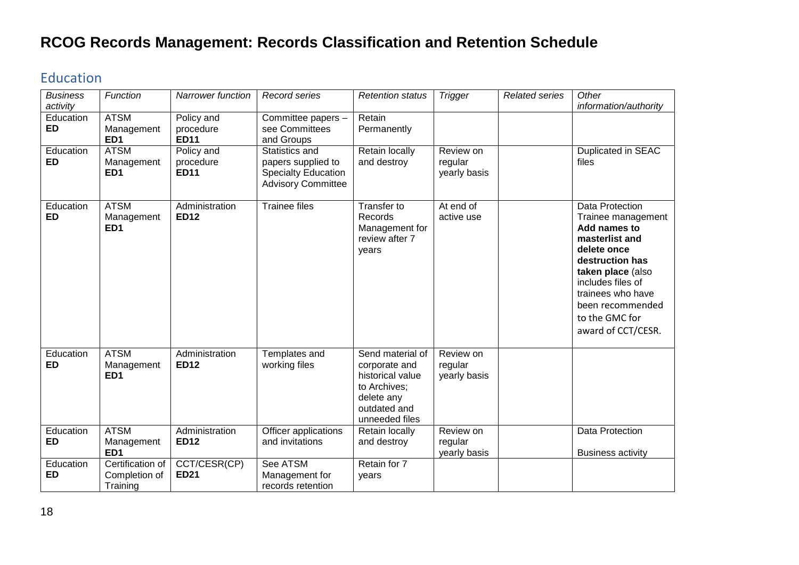#### <span id="page-17-0"></span>Education

| <b>Business</b><br>activity | Function                                      | <b>Narrower function</b>               | <b>Record series</b>                                                                            | <b>Retention status</b>                                                                                               | <b>Trigger</b>                       | <b>Related series</b> | Other<br>information/authority                                                                                                                                                                                                       |
|-----------------------------|-----------------------------------------------|----------------------------------------|-------------------------------------------------------------------------------------------------|-----------------------------------------------------------------------------------------------------------------------|--------------------------------------|-----------------------|--------------------------------------------------------------------------------------------------------------------------------------------------------------------------------------------------------------------------------------|
| Education<br><b>ED</b>      | <b>ATSM</b><br>Management<br>ED <sub>1</sub>  | Policy and<br>procedure<br><b>ED11</b> | Committee papers -<br>see Committees<br>and Groups                                              | Retain<br>Permanently                                                                                                 |                                      |                       |                                                                                                                                                                                                                                      |
| Education<br><b>ED</b>      | <b>ATSM</b><br>Management<br>ED <sub>1</sub>  | Policy and<br>procedure<br><b>ED11</b> | Statistics and<br>papers supplied to<br><b>Specialty Education</b><br><b>Advisory Committee</b> | Retain locally<br>and destroy                                                                                         | Review on<br>regular<br>yearly basis |                       | Duplicated in SEAC<br>files                                                                                                                                                                                                          |
| Education<br><b>ED</b>      | <b>ATSM</b><br>Management<br>ED <sub>1</sub>  | Administration<br><b>ED12</b>          | <b>Trainee files</b>                                                                            | Transfer to<br>Records<br>Management for<br>review after 7<br>years                                                   | At end of<br>active use              |                       | Data Protection<br>Trainee management<br>Add names to<br>masterlist and<br>delete once<br>destruction has<br>taken place (also<br>includes files of<br>trainees who have<br>been recommended<br>to the GMC for<br>award of CCT/CESR. |
| Education<br><b>ED</b>      | <b>ATSM</b><br>Management<br>ED <sub>1</sub>  | Administration<br><b>ED12</b>          | Templates and<br>working files                                                                  | Send material of<br>corporate and<br>historical value<br>to Archives;<br>delete any<br>outdated and<br>unneeded files | Review on<br>regular<br>yearly basis |                       |                                                                                                                                                                                                                                      |
| Education<br><b>ED</b>      | <b>ATSM</b><br>Management<br>ED <sub>1</sub>  | Administration<br><b>ED12</b>          | Officer applications<br>and invitations                                                         | Retain locally<br>and destroy                                                                                         | Review on<br>regular<br>yearly basis |                       | Data Protection<br><b>Business activity</b>                                                                                                                                                                                          |
| Education<br><b>ED</b>      | Certification of<br>Completion of<br>Training | CCT/CESR(CP)<br><b>ED21</b>            | See ATSM<br>Management for<br>records retention                                                 | Retain for 7<br>years                                                                                                 |                                      |                       |                                                                                                                                                                                                                                      |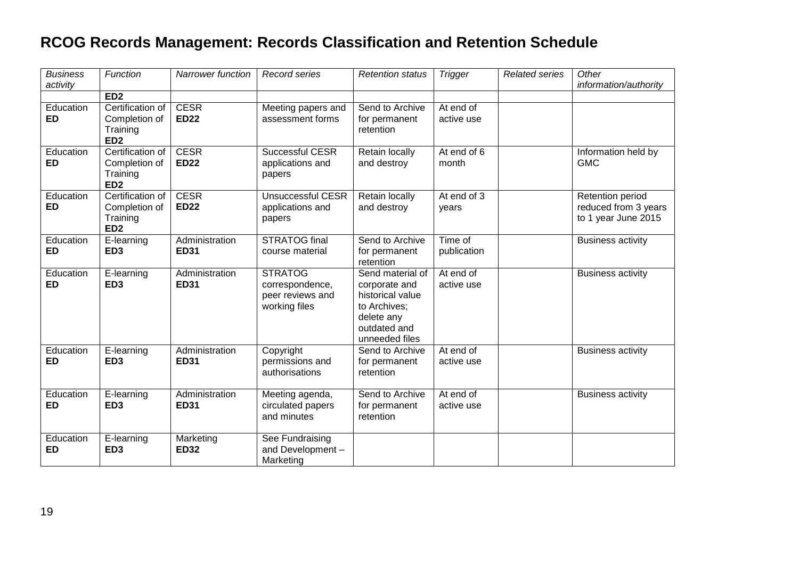| <b>Business</b><br>activity | Function                                                         | <b>Narrower function</b>      | Record series                                                          | <b>Retention status</b>                                                                                               | <b>Trigger</b>          | <b>Related series</b> | Other<br>information/authority                                  |
|-----------------------------|------------------------------------------------------------------|-------------------------------|------------------------------------------------------------------------|-----------------------------------------------------------------------------------------------------------------------|-------------------------|-----------------------|-----------------------------------------------------------------|
|                             | ED <sub>2</sub>                                                  |                               |                                                                        |                                                                                                                       |                         |                       |                                                                 |
| Education<br><b>ED</b>      | Certification of<br>Completion of<br>Training<br>ED <sub>2</sub> | <b>CESR</b><br><b>ED22</b>    | Meeting papers and<br>assessment forms                                 | Send to Archive<br>for permanent<br>retention                                                                         | At end of<br>active use |                       |                                                                 |
| Education<br><b>ED</b>      | Certification of<br>Completion of<br>Training<br>ED <sub>2</sub> | <b>CESR</b><br><b>ED22</b>    | Successful CESR<br>applications and<br>papers                          | Retain locally<br>and destroy                                                                                         | At end of 6<br>month    |                       | Information held by<br><b>GMC</b>                               |
| Education<br><b>ED</b>      | Certification of<br>Completion of<br>Training<br>ED <sub>2</sub> | <b>CESR</b><br><b>ED22</b>    | <b>Unsuccessful CESR</b><br>applications and<br>papers                 | Retain locally<br>and destroy                                                                                         | At end of 3<br>years    |                       | Retention period<br>reduced from 3 years<br>to 1 year June 2015 |
| Education<br><b>ED</b>      | E-learning<br>ED <sub>3</sub>                                    | Administration<br><b>ED31</b> | <b>STRATOG final</b><br>course material                                | Send to Archive<br>for permanent<br>retention                                                                         | Time of<br>publication  |                       | <b>Business activity</b>                                        |
| Education<br><b>ED</b>      | E-learning<br>ED <sub>3</sub>                                    | Administration<br><b>ED31</b> | <b>STRATOG</b><br>correspondence,<br>peer reviews and<br>working files | Send material of<br>corporate and<br>historical value<br>to Archives;<br>delete any<br>outdated and<br>unneeded files | At end of<br>active use |                       | <b>Business activity</b>                                        |
| Education<br><b>ED</b>      | E-learning<br>ED <sub>3</sub>                                    | Administration<br><b>ED31</b> | Copyright<br>permissions and<br>authorisations                         | Send to Archive<br>for permanent<br>retention                                                                         | At end of<br>active use |                       | <b>Business activity</b>                                        |
| Education<br><b>ED</b>      | E-learning<br>ED <sub>3</sub>                                    | Administration<br><b>ED31</b> | Meeting agenda,<br>circulated papers<br>and minutes                    | Send to Archive<br>for permanent<br>retention                                                                         | At end of<br>active use |                       | <b>Business activity</b>                                        |
| Education<br><b>ED</b>      | E-learning<br>ED <sub>3</sub>                                    | Marketing<br><b>ED32</b>      | See Fundraising<br>and Development-<br>Marketing                       |                                                                                                                       |                         |                       |                                                                 |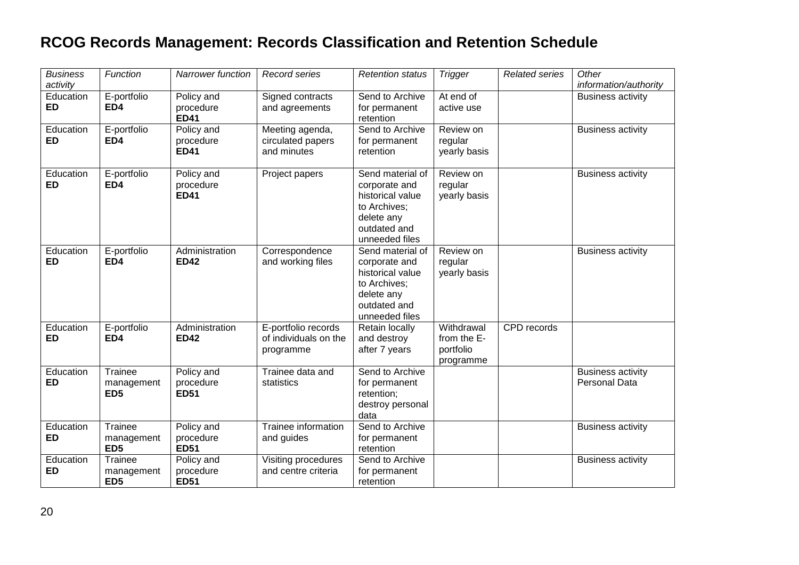| <b>Business</b><br>activity | Function                                 | Narrower function                      | Record series                                             | <b>Retention status</b>                                                                                               | <b>Trigger</b>                                      | <b>Related series</b> | Other<br>information/authority                   |
|-----------------------------|------------------------------------------|----------------------------------------|-----------------------------------------------------------|-----------------------------------------------------------------------------------------------------------------------|-----------------------------------------------------|-----------------------|--------------------------------------------------|
| Education<br><b>ED</b>      | E-portfolio<br>ED4                       | Policy and<br>procedure<br><b>ED41</b> | Signed contracts<br>and agreements                        | Send to Archive<br>for permanent<br>retention                                                                         | At end of<br>active use                             |                       | <b>Business activity</b>                         |
| Education<br><b>ED</b>      | E-portfolio<br>ED4                       | Policy and<br>procedure<br><b>ED41</b> | Meeting agenda,<br>circulated papers<br>and minutes       | Send to Archive<br>for permanent<br>retention                                                                         | Review on<br>regular<br>yearly basis                |                       | <b>Business activity</b>                         |
| Education<br><b>ED</b>      | E-portfolio<br>ED4                       | Policy and<br>procedure<br><b>ED41</b> | Project papers                                            | Send material of<br>corporate and<br>historical value<br>to Archives:<br>delete any<br>outdated and<br>unneeded files | Review on<br>regular<br>yearly basis                |                       | <b>Business activity</b>                         |
| Education<br><b>ED</b>      | E-portfolio<br>ED4                       | Administration<br><b>ED42</b>          | Correspondence<br>and working files                       | Send material of<br>corporate and<br>historical value<br>to Archives;<br>delete any<br>outdated and<br>unneeded files | Review on<br>regular<br>yearly basis                |                       | <b>Business activity</b>                         |
| Education<br><b>ED</b>      | E-portfolio<br>ED4                       | Administration<br><b>ED42</b>          | E-portfolio records<br>of individuals on the<br>programme | Retain locally<br>and destroy<br>after 7 years                                                                        | Withdrawal<br>from the E-<br>portfolio<br>programme | CPD records           |                                                  |
| Education<br>ED             | Trainee<br>management<br>ED <sub>5</sub> | Policy and<br>procedure<br><b>ED51</b> | Trainee data and<br>statistics                            | Send to Archive<br>for permanent<br>retention;<br>destroy personal<br>data                                            |                                                     |                       | <b>Business activity</b><br><b>Personal Data</b> |
| Education<br>ED             | Trainee<br>management<br>ED <sub>5</sub> | Policy and<br>procedure<br><b>ED51</b> | Trainee information<br>and guides                         | Send to Archive<br>for permanent<br>retention                                                                         |                                                     |                       | <b>Business activity</b>                         |
| Education<br><b>ED</b>      | Trainee<br>management<br>ED <sub>5</sub> | Policy and<br>procedure<br><b>ED51</b> | Visiting procedures<br>and centre criteria                | Send to Archive<br>for permanent<br>retention                                                                         |                                                     |                       | <b>Business activity</b>                         |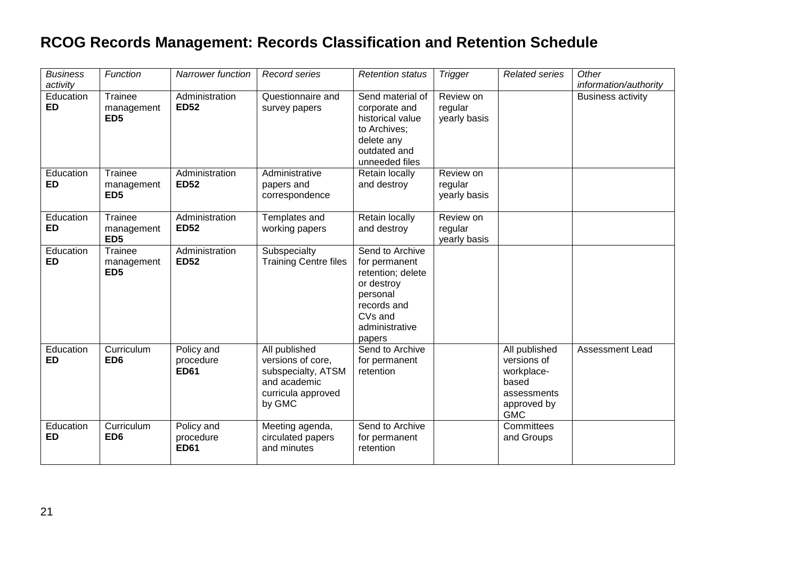| <b>Business</b><br>activity | Function                                 | <b>Narrower function</b>               | Record series                                                                                            | <b>Retention status</b>                                                                                                                           | <b>Trigger</b>                       | <b>Related series</b>                                                                           | Other<br>information/authority |
|-----------------------------|------------------------------------------|----------------------------------------|----------------------------------------------------------------------------------------------------------|---------------------------------------------------------------------------------------------------------------------------------------------------|--------------------------------------|-------------------------------------------------------------------------------------------------|--------------------------------|
| Education<br><b>ED</b>      | Trainee<br>management<br>ED <sub>5</sub> | Administration<br><b>ED52</b>          | Questionnaire and<br>survey papers                                                                       | Send material of<br>corporate and<br>historical value<br>to Archives;<br>delete any<br>outdated and<br>unneeded files                             | Review on<br>regular<br>yearly basis |                                                                                                 | <b>Business activity</b>       |
| Education<br>ED             | Trainee<br>management<br>ED <sub>5</sub> | Administration<br><b>ED52</b>          | Administrative<br>papers and<br>correspondence                                                           | Retain locally<br>and destroy                                                                                                                     | Review on<br>regular<br>yearly basis |                                                                                                 |                                |
| Education<br><b>ED</b>      | Trainee<br>management<br>ED <sub>5</sub> | Administration<br><b>ED52</b>          | Templates and<br>working papers                                                                          | Retain locally<br>and destroy                                                                                                                     | Review on<br>regular<br>yearly basis |                                                                                                 |                                |
| Education<br><b>ED</b>      | Trainee<br>management<br>ED <sub>5</sub> | Administration<br><b>ED52</b>          | Subspecialty<br><b>Training Centre files</b>                                                             | Send to Archive<br>for permanent<br>retention; delete<br>or destroy<br>personal<br>records and<br>CV <sub>s</sub> and<br>administrative<br>papers |                                      |                                                                                                 |                                |
| Education<br><b>ED</b>      | Curriculum<br>ED <sub>6</sub>            | Policy and<br>procedure<br><b>ED61</b> | All published<br>versions of core,<br>subspecialty, ATSM<br>and academic<br>curricula approved<br>by GMC | Send to Archive<br>for permanent<br>retention                                                                                                     |                                      | All published<br>versions of<br>workplace-<br>based<br>assessments<br>approved by<br><b>GMC</b> | Assessment Lead                |
| Education<br>ED             | Curriculum<br>ED <sub>6</sub>            | Policy and<br>procedure<br><b>ED61</b> | Meeting agenda,<br>circulated papers<br>and minutes                                                      | Send to Archive<br>for permanent<br>retention                                                                                                     |                                      | Committees<br>and Groups                                                                        |                                |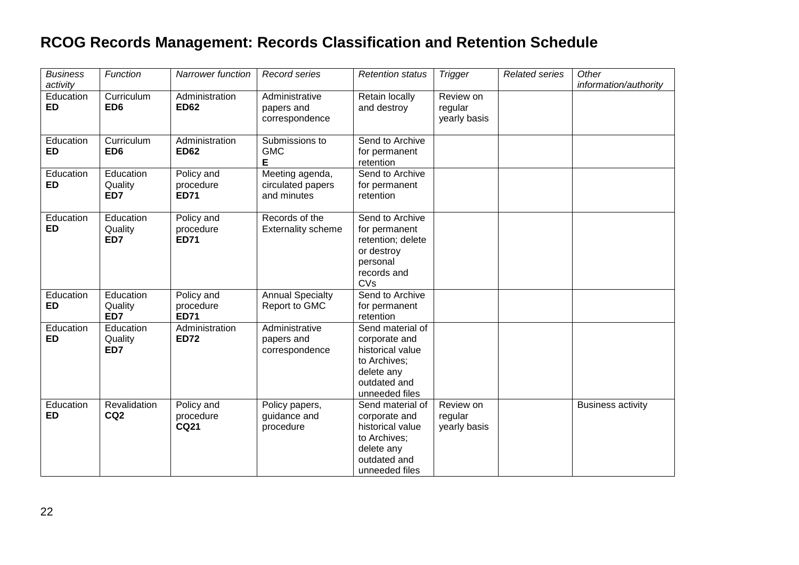| <b>Business</b><br>activity | Function                        | <b>Narrower function</b>               | Record series                                       | <b>Retention status</b>                                                                                               | <b>Trigger</b>                       | <b>Related series</b> | Other<br>information/authority |
|-----------------------------|---------------------------------|----------------------------------------|-----------------------------------------------------|-----------------------------------------------------------------------------------------------------------------------|--------------------------------------|-----------------------|--------------------------------|
| Education<br><b>ED</b>      | Curriculum<br>ED <sub>6</sub>   | Administration<br><b>ED62</b>          | Administrative<br>papers and<br>correspondence      | Retain locally<br>and destroy                                                                                         | Review on<br>regular<br>yearly basis |                       |                                |
| Education<br><b>ED</b>      | Curriculum<br>ED <sub>6</sub>   | Administration<br><b>ED62</b>          | Submissions to<br><b>GMC</b><br>Е                   | Send to Archive<br>for permanent<br>retention                                                                         |                                      |                       |                                |
| Education<br><b>ED</b>      | Education<br>Quality<br>ED7     | Policy and<br>procedure<br><b>ED71</b> | Meeting agenda,<br>circulated papers<br>and minutes | Send to Archive<br>for permanent<br>retention                                                                         |                                      |                       |                                |
| Education<br><b>ED</b>      | Education<br>Quality<br>ED7     | Policy and<br>procedure<br><b>ED71</b> | Records of the<br><b>Externality scheme</b>         | Send to Archive<br>for permanent<br>retention; delete<br>or destroy<br>personal<br>records and<br>CVs                 |                                      |                       |                                |
| Education<br><b>ED</b>      | Education<br>Quality<br>ED7     | Policy and<br>procedure<br><b>ED71</b> | <b>Annual Specialty</b><br>Report to GMC            | Send to Archive<br>for permanent<br>retention                                                                         |                                      |                       |                                |
| Education<br><b>ED</b>      | Education<br>Quality<br>ED7     | Administration<br><b>ED72</b>          | Administrative<br>papers and<br>correspondence      | Send material of<br>corporate and<br>historical value<br>to Archives;<br>delete any<br>outdated and<br>unneeded files |                                      |                       |                                |
| Education<br>ED             | Revalidation<br>CQ <sub>2</sub> | Policy and<br>procedure<br><b>CQ21</b> | Policy papers,<br>guidance and<br>procedure         | Send material of<br>corporate and<br>historical value<br>to Archives;<br>delete any<br>outdated and<br>unneeded files | Review on<br>regular<br>yearly basis |                       | <b>Business activity</b>       |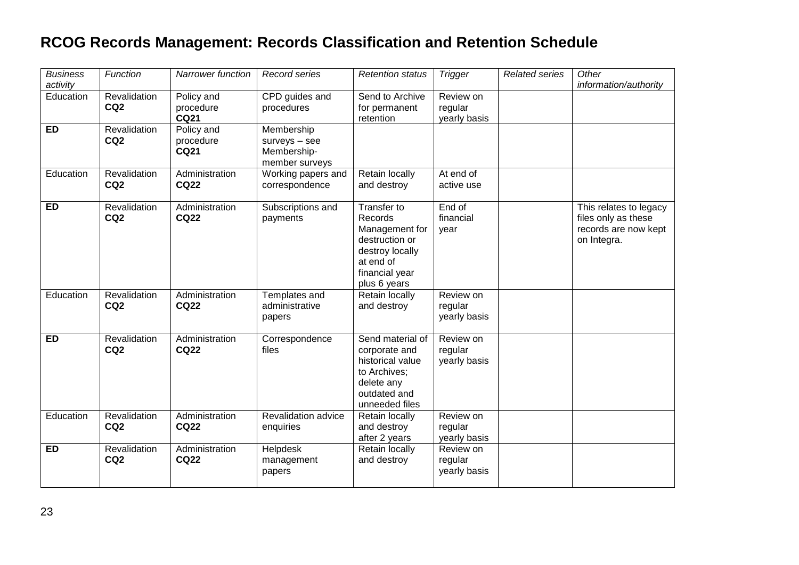| <b>Business</b><br>activity | Function                        | Narrower function                      | Record series                                                | <b>Retention status</b>                                                                                                      | <b>Trigger</b>                       | <b>Related series</b> | Other<br>information/authority                                                       |
|-----------------------------|---------------------------------|----------------------------------------|--------------------------------------------------------------|------------------------------------------------------------------------------------------------------------------------------|--------------------------------------|-----------------------|--------------------------------------------------------------------------------------|
| Education                   | Revalidation<br>CQ <sub>2</sub> | Policy and<br>procedure<br><b>CQ21</b> | CPD guides and<br>procedures                                 | Send to Archive<br>for permanent<br>retention                                                                                | Review on<br>regular<br>yearly basis |                       |                                                                                      |
| <b>ED</b>                   | Revalidation<br>CQ <sub>2</sub> | Policy and<br>procedure<br><b>CQ21</b> | Membership<br>surveys - see<br>Membership-<br>member surveys |                                                                                                                              |                                      |                       |                                                                                      |
| Education                   | Revalidation<br>CQ <sub>2</sub> | Administration<br><b>CQ22</b>          | Working papers and<br>correspondence                         | Retain locally<br>and destroy                                                                                                | At end of<br>active use              |                       |                                                                                      |
| <b>ED</b>                   | Revalidation<br>CQ <sub>2</sub> | Administration<br><b>CQ22</b>          | Subscriptions and<br>payments                                | Transfer to<br>Records<br>Management for<br>destruction or<br>destroy locally<br>at end of<br>financial year<br>plus 6 years | End of<br>financial<br>year          |                       | This relates to legacy<br>files only as these<br>records are now kept<br>on Integra. |
| Education                   | Revalidation<br>CQ <sub>2</sub> | Administration<br><b>CQ22</b>          | Templates and<br>administrative<br>papers                    | Retain locally<br>and destroy                                                                                                | Review on<br>regular<br>yearly basis |                       |                                                                                      |
| ED                          | Revalidation<br>CQ <sub>2</sub> | Administration<br><b>CQ22</b>          | Correspondence<br>files                                      | Send material of<br>corporate and<br>historical value<br>to Archives;<br>delete any<br>outdated and<br>unneeded files        | Review on<br>regular<br>yearly basis |                       |                                                                                      |
| Education                   | Revalidation<br>CQ <sub>2</sub> | Administration<br><b>CQ22</b>          | Revalidation advice<br>enquiries                             | Retain locally<br>and destroy<br>after 2 years                                                                               | Review on<br>regular<br>yearly basis |                       |                                                                                      |
| <b>ED</b>                   | Revalidation<br>CQ <sub>2</sub> | Administration<br><b>CQ22</b>          | Helpdesk<br>management<br>papers                             | Retain locally<br>and destroy                                                                                                | Review on<br>regular<br>yearly basis |                       |                                                                                      |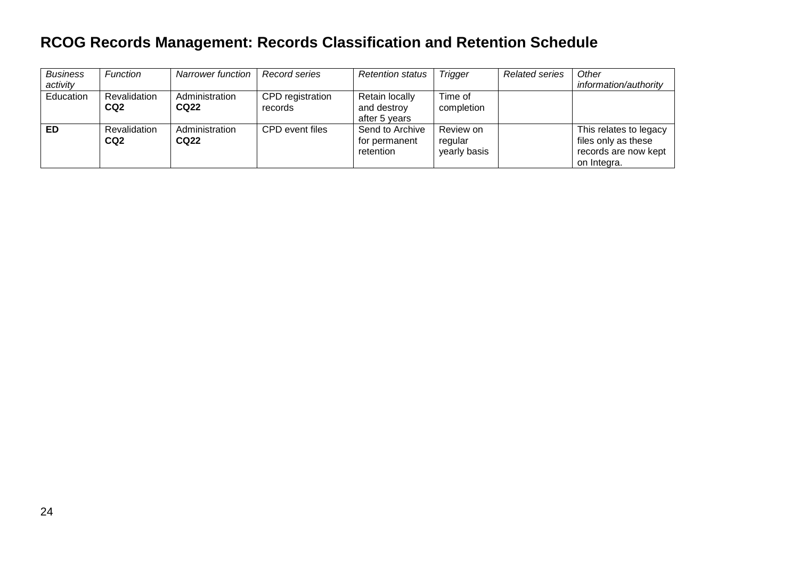| <b>Business</b><br>activity | <b>Function</b>                 | <b>Narrower function</b> | Record series               | <b>Retention status</b>                        | Trigger                              | <b>Related series</b> | Other<br>information/authority                                                       |
|-----------------------------|---------------------------------|--------------------------|-----------------------------|------------------------------------------------|--------------------------------------|-----------------------|--------------------------------------------------------------------------------------|
| Education                   | Revalidation<br>CQ <sub>2</sub> | Administration<br>CQ22   | CPD registration<br>records | Retain locally<br>and destroy<br>after 5 years | Time of<br>completion                |                       |                                                                                      |
| <b>ED</b>                   | Revalidation<br>CQ <sub>2</sub> | Administration<br>CQ22   | CPD event files             | Send to Archive<br>for permanent<br>retention  | Review on<br>regular<br>yearly basis |                       | This relates to legacy<br>files only as these<br>records are now kept<br>on Integra. |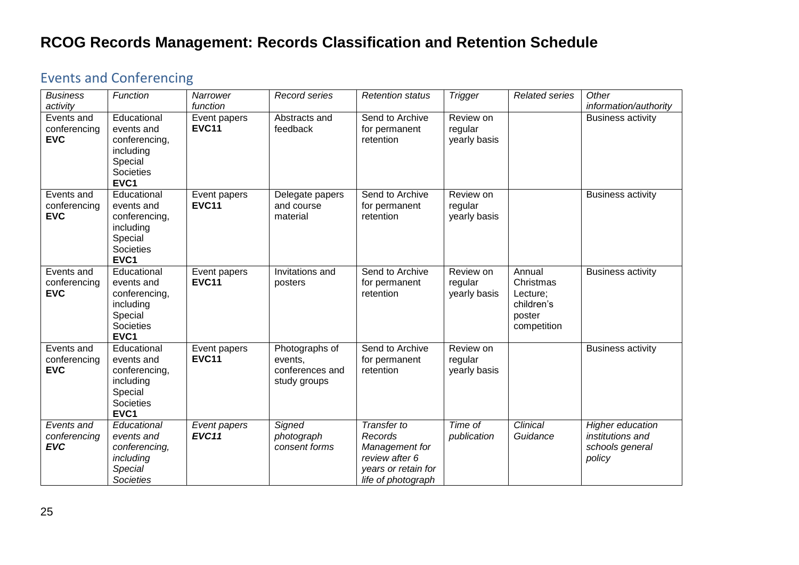#### <span id="page-24-0"></span>Events and Conferencing

| <b>Business</b><br>activity              | Function                                                                                | Narrower<br>function         | Record series                                                | <b>Retention status</b>                                                                                 | <b>Trigger</b>                       | <b>Related series</b>                                                  | Other<br>information/authority                                                  |
|------------------------------------------|-----------------------------------------------------------------------------------------|------------------------------|--------------------------------------------------------------|---------------------------------------------------------------------------------------------------------|--------------------------------------|------------------------------------------------------------------------|---------------------------------------------------------------------------------|
| Events and<br>conferencing<br><b>EVC</b> | Educational<br>events and<br>conferencing,<br>including<br>Special<br>Societies<br>EVC1 | Event papers<br><b>EVC11</b> | Abstracts and<br>feedback                                    | Send to Archive<br>for permanent<br>retention                                                           | Review on<br>regular<br>yearly basis |                                                                        | <b>Business activity</b>                                                        |
| Events and<br>conferencing<br><b>EVC</b> | Educational<br>events and<br>conferencing,<br>including<br>Special<br>Societies<br>EVC1 | Event papers<br><b>EVC11</b> | Delegate papers<br>and course<br>material                    | Send to Archive<br>for permanent<br>retention                                                           | Review on<br>regular<br>yearly basis |                                                                        | <b>Business activity</b>                                                        |
| Events and<br>conferencing<br><b>EVC</b> | Educational<br>events and<br>conferencing,<br>including<br>Special<br>Societies<br>EVC1 | Event papers<br><b>EVC11</b> | Invitations and<br>posters                                   | Send to Archive<br>for permanent<br>retention                                                           | Review on<br>regular<br>yearly basis | Annual<br>Christmas<br>Lecture;<br>children's<br>poster<br>competition | <b>Business activity</b>                                                        |
| Events and<br>conferencing<br><b>EVC</b> | Educational<br>events and<br>conferencing,<br>including<br>Special<br>Societies<br>EVC1 | Event papers<br><b>EVC11</b> | Photographs of<br>events,<br>conferences and<br>study groups | Send to Archive<br>for permanent<br>retention                                                           | Review on<br>regular<br>yearly basis |                                                                        | <b>Business activity</b>                                                        |
| Events and<br>conferencing<br><b>EVC</b> | Educational<br>events and<br>conferencing,<br>including<br>Special<br><b>Societies</b>  | Event papers<br>EVC11        | Signed<br>photograph<br>consent forms                        | Transfer to<br>Records<br>Management for<br>review after 6<br>years or retain for<br>life of photograph | Time of<br>publication               | Clinical<br>Guidance                                                   | <b>Higher education</b><br><i>institutions and</i><br>schools general<br>policy |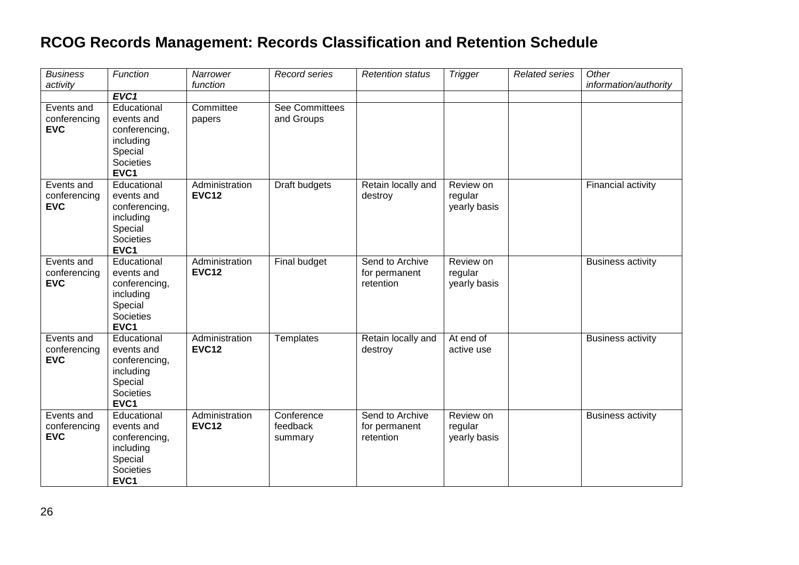| <b>Business</b><br>activity              | Function                                                                                | Narrower<br>function           | Record series                       | <b>Retention status</b>                       | <b>Trigger</b>                       | <b>Related series</b> | Other<br>information/authority |
|------------------------------------------|-----------------------------------------------------------------------------------------|--------------------------------|-------------------------------------|-----------------------------------------------|--------------------------------------|-----------------------|--------------------------------|
|                                          | EVC1                                                                                    |                                |                                     |                                               |                                      |                       |                                |
| Events and<br>conferencing<br><b>EVC</b> | Educational<br>events and<br>conferencing,<br>including<br>Special<br>Societies<br>EVC1 | Committee<br>papers            | <b>See Committees</b><br>and Groups |                                               |                                      |                       |                                |
| Events and<br>conferencing<br><b>EVC</b> | Educational<br>events and<br>conferencing,<br>including<br>Special<br>Societies<br>EVC1 | Administration<br><b>EVC12</b> | Draft budgets                       | Retain locally and<br>destroy                 | Review on<br>regular<br>yearly basis |                       | Financial activity             |
| Events and<br>conferencing<br><b>EVC</b> | Educational<br>events and<br>conferencing,<br>including<br>Special<br>Societies<br>EVC1 | Administration<br><b>EVC12</b> | Final budget                        | Send to Archive<br>for permanent<br>retention | Review on<br>regular<br>yearly basis |                       | <b>Business activity</b>       |
| Events and<br>conferencing<br><b>EVC</b> | Educational<br>events and<br>conferencing,<br>including<br>Special<br>Societies<br>EVC1 | Administration<br><b>EVC12</b> | Templates                           | Retain locally and<br>destroy                 | At end of<br>active use              |                       | <b>Business activity</b>       |
| Events and<br>conferencing<br><b>EVC</b> | Educational<br>events and<br>conferencing,<br>including<br>Special<br>Societies<br>EVC1 | Administration<br><b>EVC12</b> | Conference<br>feedback<br>summary   | Send to Archive<br>for permanent<br>retention | Review on<br>regular<br>yearly basis |                       | <b>Business activity</b>       |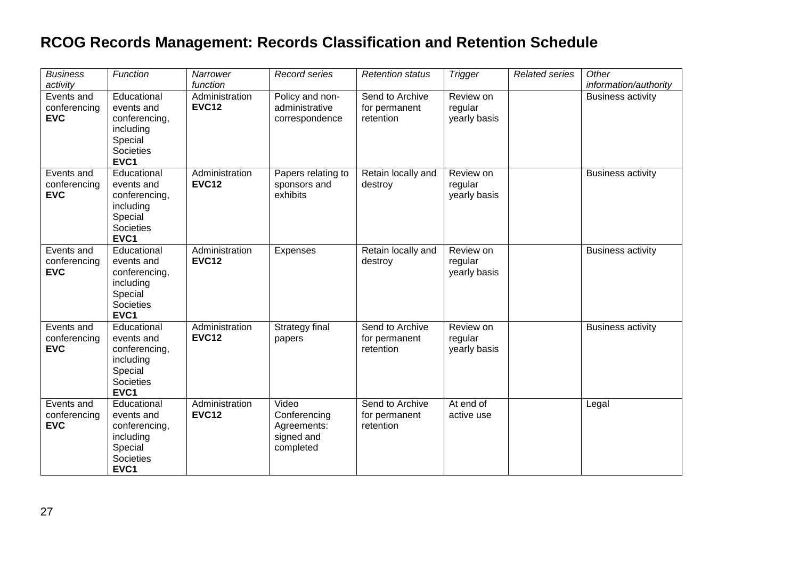| <b>Business</b><br>activity              | Function                                                                                       | Narrower<br>function           | Record series                                                   | <b>Retention status</b>                       | <b>Trigger</b>                       | <b>Related series</b> | Other<br>information/authority |
|------------------------------------------|------------------------------------------------------------------------------------------------|--------------------------------|-----------------------------------------------------------------|-----------------------------------------------|--------------------------------------|-----------------------|--------------------------------|
| Events and<br>conferencing<br><b>EVC</b> | Educational<br>events and<br>conferencing,<br>including<br>Special<br><b>Societies</b><br>EVC1 | Administration<br><b>EVC12</b> | Policy and non-<br>administrative<br>correspondence             | Send to Archive<br>for permanent<br>retention | Review on<br>regular<br>yearly basis |                       | <b>Business activity</b>       |
| Events and<br>conferencing<br><b>EVC</b> | Educational<br>events and<br>conferencing,<br>including<br>Special<br>Societies<br>EVC1        | Administration<br><b>EVC12</b> | Papers relating to<br>sponsors and<br>exhibits                  | Retain locally and<br>destroy                 | Review on<br>regular<br>yearly basis |                       | <b>Business activity</b>       |
| Events and<br>conferencing<br><b>EVC</b> | Educational<br>events and<br>conferencing,<br>including<br>Special<br>Societies<br>EVC1        | Administration<br><b>EVC12</b> | Expenses                                                        | Retain locally and<br>destroy                 | Review on<br>regular<br>yearly basis |                       | <b>Business activity</b>       |
| Events and<br>conferencing<br><b>EVC</b> | Educational<br>events and<br>conferencing,<br>including<br>Special<br>Societies<br>EVC1        | Administration<br><b>EVC12</b> | Strategy final<br>papers                                        | Send to Archive<br>for permanent<br>retention | Review on<br>regular<br>yearly basis |                       | <b>Business activity</b>       |
| Events and<br>conferencing<br><b>EVC</b> | Educational<br>events and<br>conferencing,<br>including<br>Special<br>Societies<br>EVC1        | Administration<br><b>EVC12</b> | Video<br>Conferencing<br>Agreements:<br>signed and<br>completed | Send to Archive<br>for permanent<br>retention | At end of<br>active use              |                       | Legal                          |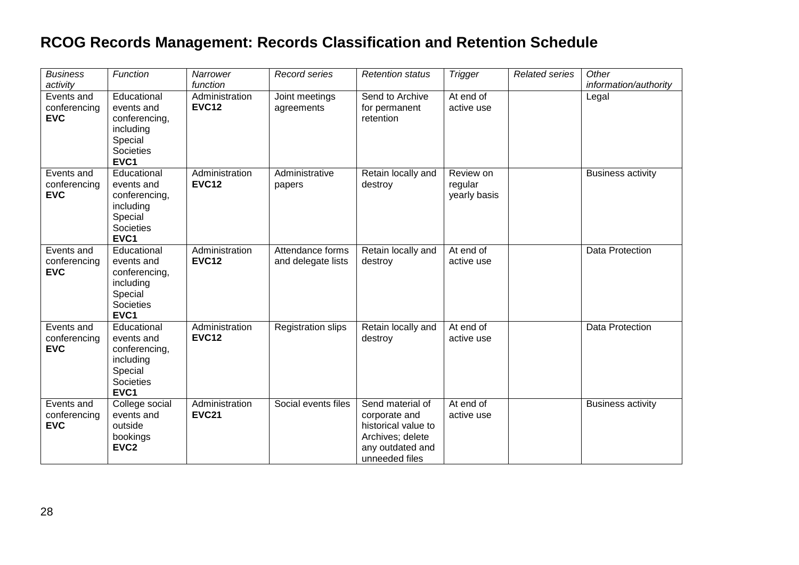| <b>Business</b><br>activity              | Function                                                                                                   | Narrower<br>function           | Record series                          | <b>Retention status</b>                                                                                            | <b>Trigger</b>                       | <b>Related series</b> | Other<br>information/authority |
|------------------------------------------|------------------------------------------------------------------------------------------------------------|--------------------------------|----------------------------------------|--------------------------------------------------------------------------------------------------------------------|--------------------------------------|-----------------------|--------------------------------|
| Events and<br>conferencing<br><b>EVC</b> | Educational<br>events and<br>conferencing,<br>including<br>Special<br>Societies<br>EVC1                    | Administration<br><b>EVC12</b> | Joint meetings<br>agreements           | Send to Archive<br>for permanent<br>retention                                                                      | At end of<br>active use              |                       | Legal                          |
| Events and<br>conferencing<br><b>EVC</b> | Educational<br>events and<br>conferencing,<br>including<br>Special<br><b>Societies</b><br>EVC <sub>1</sub> | Administration<br><b>EVC12</b> | Administrative<br>papers               | Retain locally and<br>destroy                                                                                      | Review on<br>regular<br>yearly basis |                       | <b>Business activity</b>       |
| Events and<br>conferencing<br><b>EVC</b> | Educational<br>events and<br>conferencing,<br>including<br>Special<br>Societies<br>EVC1                    | Administration<br><b>EVC12</b> | Attendance forms<br>and delegate lists | Retain locally and<br>destroy                                                                                      | At end of<br>active use              |                       | Data Protection                |
| Events and<br>conferencing<br><b>EVC</b> | Educational<br>events and<br>conferencing,<br>including<br>Special<br><b>Societies</b><br>EVC1             | Administration<br><b>EVC12</b> | <b>Registration slips</b>              | Retain locally and<br>destroy                                                                                      | At end of<br>active use              |                       | Data Protection                |
| Events and<br>conferencing<br><b>EVC</b> | College social<br>events and<br>outside<br>bookings<br>EVC <sub>2</sub>                                    | Administration<br><b>EVC21</b> | Social events files                    | Send material of<br>corporate and<br>historical value to<br>Archives; delete<br>any outdated and<br>unneeded files | At end of<br>active use              |                       | <b>Business activity</b>       |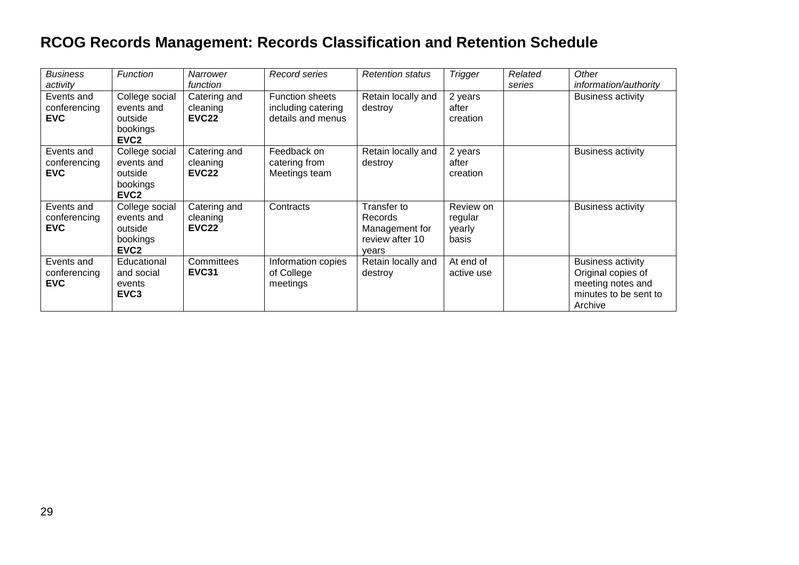| <b>Business</b><br>activity              | Function                                                                | Narrower<br>function                          | Record series                                                     | <b>Retention status</b>                                              | <b>Trigger</b>                          | Related<br>series | Other<br>information/authority                                                                          |
|------------------------------------------|-------------------------------------------------------------------------|-----------------------------------------------|-------------------------------------------------------------------|----------------------------------------------------------------------|-----------------------------------------|-------------------|---------------------------------------------------------------------------------------------------------|
| Events and<br>conferencing<br><b>EVC</b> | College social<br>events and<br>outside<br>bookings<br>EVC <sub>2</sub> | Catering and<br>cleaning<br>EVC <sub>22</sub> | <b>Function sheets</b><br>including catering<br>details and menus | Retain locally and<br>destroy                                        | 2 years<br>after<br>creation            |                   | <b>Business activity</b>                                                                                |
| Events and<br>conferencing<br><b>EVC</b> | College social<br>events and<br>outside<br>bookings<br>EVC <sub>2</sub> | Catering and<br>cleaning<br>EVC <sub>22</sub> | Feedback on<br>catering from<br>Meetings team                     | Retain locally and<br>destroy                                        | 2 years<br>after<br>creation            |                   | <b>Business activity</b>                                                                                |
| Events and<br>conferencing<br><b>EVC</b> | College social<br>events and<br>outside<br>bookings<br>EVC <sub>2</sub> | Catering and<br>cleaning<br>EVC <sub>22</sub> | Contracts                                                         | Transfer to<br>Records<br>Management for<br>review after 10<br>years | Review on<br>regular<br>yearly<br>basis |                   | <b>Business activity</b>                                                                                |
| Events and<br>conferencing<br><b>EVC</b> | Educational<br>and social<br>events<br>EVC <sub>3</sub>                 | Committees<br><b>EVC31</b>                    | Information copies<br>of College<br>meetings                      | Retain locally and<br>destroy                                        | At end of<br>active use                 |                   | <b>Business activity</b><br>Original copies of<br>meeting notes and<br>minutes to be sent to<br>Archive |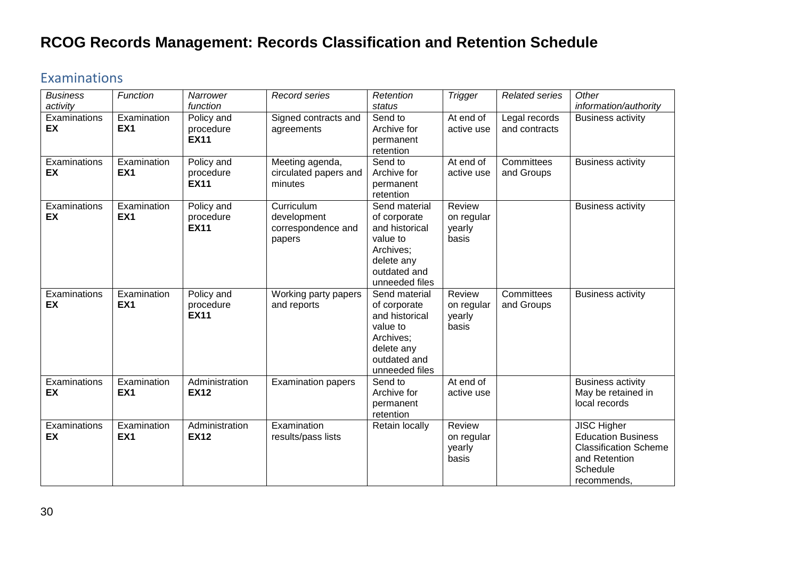#### <span id="page-29-0"></span>Examinations

| <b>Business</b><br>activity | Function                       | Narrower<br>function                   | <b>Record series</b>                                      | Retention<br>status                                                                                                      | <b>Trigger</b>                          | <b>Related series</b>          | Other<br>information/authority                                                                                              |
|-----------------------------|--------------------------------|----------------------------------------|-----------------------------------------------------------|--------------------------------------------------------------------------------------------------------------------------|-----------------------------------------|--------------------------------|-----------------------------------------------------------------------------------------------------------------------------|
| Examinations<br>EX          | Examination<br>EX <sub>1</sub> | Policy and<br>procedure<br><b>EX11</b> | Signed contracts and<br>agreements                        | Send to<br>Archive for<br>permanent<br>retention                                                                         | At end of<br>active use                 | Legal records<br>and contracts | <b>Business activity</b>                                                                                                    |
| Examinations<br>EX          | Examination<br>EX <sub>1</sub> | Policy and<br>procedure<br><b>EX11</b> | Meeting agenda,<br>circulated papers and<br>minutes       | Send to<br>Archive for<br>permanent<br>retention                                                                         | $\overline{At}$ end of<br>active use    | Committees<br>and Groups       | <b>Business activity</b>                                                                                                    |
| Examinations<br>EX          | Examination<br>EX <sub>1</sub> | Policy and<br>procedure<br><b>EX11</b> | Curriculum<br>development<br>correspondence and<br>papers | Send material<br>of corporate<br>and historical<br>value to<br>Archives;<br>delete any<br>outdated and<br>unneeded files | Review<br>on regular<br>yearly<br>basis |                                | <b>Business activity</b>                                                                                                    |
| Examinations<br>EX          | Examination<br>EX <sub>1</sub> | Policy and<br>procedure<br><b>EX11</b> | Working party papers<br>and reports                       | Send material<br>of corporate<br>and historical<br>value to<br>Archives;<br>delete any<br>outdated and<br>unneeded files | Review<br>on regular<br>yearly<br>basis | Committees<br>and Groups       | <b>Business activity</b>                                                                                                    |
| Examinations<br>EX          | Examination<br>EX <sub>1</sub> | Administration<br><b>EX12</b>          | <b>Examination papers</b>                                 | Send to<br>Archive for<br>permanent<br>retention                                                                         | At end of<br>active use                 |                                | <b>Business activity</b><br>May be retained in<br>local records                                                             |
| Examinations<br>EX          | Examination<br>EX <sub>1</sub> | Administration<br><b>EX12</b>          | Examination<br>results/pass lists                         | Retain locally                                                                                                           | Review<br>on regular<br>yearly<br>basis |                                | <b>JISC Higher</b><br><b>Education Business</b><br><b>Classification Scheme</b><br>and Retention<br>Schedule<br>recommends, |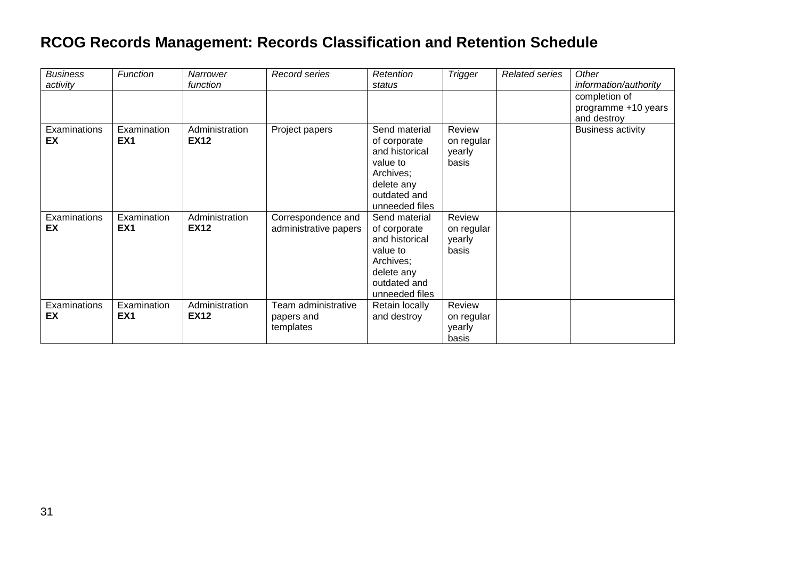| <b>Business</b><br>activity | <b>Function</b>                | Narrower<br>function          | Record series                                  | Retention<br>status                                                                                                      | <b>Trigger</b>                          | <b>Related series</b> | Other<br>information/authority                      |
|-----------------------------|--------------------------------|-------------------------------|------------------------------------------------|--------------------------------------------------------------------------------------------------------------------------|-----------------------------------------|-----------------------|-----------------------------------------------------|
|                             |                                |                               |                                                |                                                                                                                          |                                         |                       | completion of<br>programme +10 years<br>and destroy |
| Examinations<br>EX          | Examination<br>EX <sub>1</sub> | Administration<br><b>EX12</b> | Project papers                                 | Send material<br>of corporate<br>and historical<br>value to<br>Archives;<br>delete any<br>outdated and<br>unneeded files | Review<br>on regular<br>yearly<br>basis |                       | <b>Business activity</b>                            |
| Examinations<br>EX          | Examination<br>EX <sub>1</sub> | Administration<br><b>EX12</b> | Correspondence and<br>administrative papers    | Send material<br>of corporate<br>and historical<br>value to<br>Archives;<br>delete any<br>outdated and<br>unneeded files | Review<br>on regular<br>yearly<br>basis |                       |                                                     |
| Examinations<br>EX          | Examination<br>EX <sub>1</sub> | Administration<br><b>EX12</b> | Team administrative<br>papers and<br>templates | Retain locally<br>and destroy                                                                                            | Review<br>on regular<br>yearly<br>basis |                       |                                                     |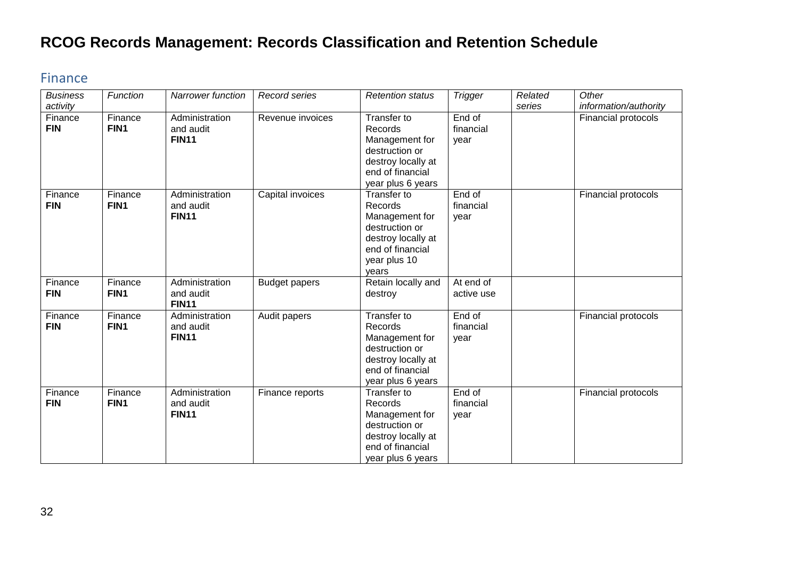#### <span id="page-31-0"></span>Finance

| <b>Business</b><br>activity | Function        | Narrower function                           | Record series        | <b>Retention status</b>                                                                                                       | <b>Trigger</b>              | Related<br>series | Other<br>information/authority |
|-----------------------------|-----------------|---------------------------------------------|----------------------|-------------------------------------------------------------------------------------------------------------------------------|-----------------------------|-------------------|--------------------------------|
| Finance<br><b>FIN</b>       | Finance<br>FIN1 | Administration<br>and audit<br><b>FIN11</b> | Revenue invoices     | Transfer to<br>Records<br>Management for<br>destruction or<br>destroy locally at<br>end of financial<br>year plus 6 years     | End of<br>financial<br>year |                   | Financial protocols            |
| Finance<br><b>FIN</b>       | Finance<br>FIN1 | Administration<br>and audit<br><b>FIN11</b> | Capital invoices     | Transfer to<br>Records<br>Management for<br>destruction or<br>destroy locally at<br>end of financial<br>year plus 10<br>vears | End of<br>financial<br>year |                   | Financial protocols            |
| Finance<br><b>FIN</b>       | Finance<br>FIN1 | Administration<br>and audit<br><b>FIN11</b> | <b>Budget papers</b> | Retain locally and<br>destroy                                                                                                 | At end of<br>active use     |                   |                                |
| Finance<br><b>FIN</b>       | Finance<br>FIN1 | Administration<br>and audit<br><b>FIN11</b> | Audit papers         | Transfer to<br>Records<br>Management for<br>destruction or<br>destroy locally at<br>end of financial<br>year plus 6 years     | End of<br>financial<br>year |                   | Financial protocols            |
| Finance<br><b>FIN</b>       | Finance<br>FIN1 | Administration<br>and audit<br><b>FIN11</b> | Finance reports      | Transfer to<br>Records<br>Management for<br>destruction or<br>destroy locally at<br>end of financial<br>year plus 6 years     | End of<br>financial<br>year |                   | Financial protocols            |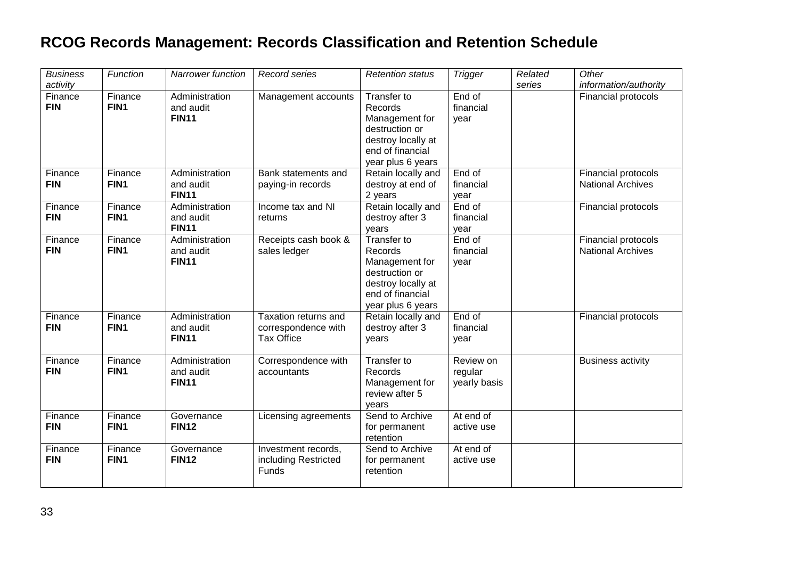| <b>Business</b><br>activity | Function                    | Narrower function                           | Record series                                                    | <b>Retention status</b>                                                                                                   | <b>Trigger</b>                       | Related<br>series | Other<br>information/authority                  |
|-----------------------------|-----------------------------|---------------------------------------------|------------------------------------------------------------------|---------------------------------------------------------------------------------------------------------------------------|--------------------------------------|-------------------|-------------------------------------------------|
| Finance<br><b>FIN</b>       | Finance<br>FIN1             | Administration<br>and audit<br><b>FIN11</b> | Management accounts                                              | Transfer to<br>Records<br>Management for<br>destruction or<br>destroy locally at<br>end of financial<br>year plus 6 years | End of<br>financial<br>year          |                   | Financial protocols                             |
| Finance<br><b>FIN</b>       | Finance<br>FIN1             | Administration<br>and audit<br><b>FIN11</b> | Bank statements and<br>paying-in records                         | Retain locally and<br>destroy at end of<br>2 years                                                                        | End of<br>financial<br>year          |                   | Financial protocols<br><b>National Archives</b> |
| Finance<br><b>FIN</b>       | Finance<br>FIN1             | Administration<br>and audit<br><b>FIN11</b> | Income tax and NI<br>returns                                     | Retain locally and<br>destroy after 3<br>years                                                                            | End of<br>financial<br>year          |                   | Financial protocols                             |
| Finance<br><b>FIN</b>       | Finance<br>FIN1             | Administration<br>and audit<br><b>FIN11</b> | Receipts cash book &<br>sales ledger                             | Transfer to<br>Records<br>Management for<br>destruction or<br>destroy locally at<br>end of financial<br>year plus 6 years | End of<br>financial<br>year          |                   | Financial protocols<br><b>National Archives</b> |
| Finance<br><b>FIN</b>       | Finance<br>FIN <sub>1</sub> | Administration<br>and audit<br><b>FIN11</b> | Taxation returns and<br>correspondence with<br><b>Tax Office</b> | Retain locally and<br>destroy after 3<br>years                                                                            | End of<br>financial<br>year          |                   | Financial protocols                             |
| Finance<br><b>FIN</b>       | Finance<br>FIN1             | Administration<br>and audit<br><b>FIN11</b> | Correspondence with<br>accountants                               | Transfer to<br>Records<br>Management for<br>review after 5<br>years                                                       | Review on<br>regular<br>yearly basis |                   | <b>Business activity</b>                        |
| Finance<br><b>FIN</b>       | Finance<br>FIN1             | Governance<br><b>FIN12</b>                  | Licensing agreements                                             | Send to Archive<br>for permanent<br>retention                                                                             | At end of<br>active use              |                   |                                                 |
| Finance<br><b>FIN</b>       | Finance<br>FIN1             | Governance<br><b>FIN12</b>                  | Investment records,<br>including Restricted<br>Funds             | Send to Archive<br>for permanent<br>retention                                                                             | At end of<br>active use              |                   |                                                 |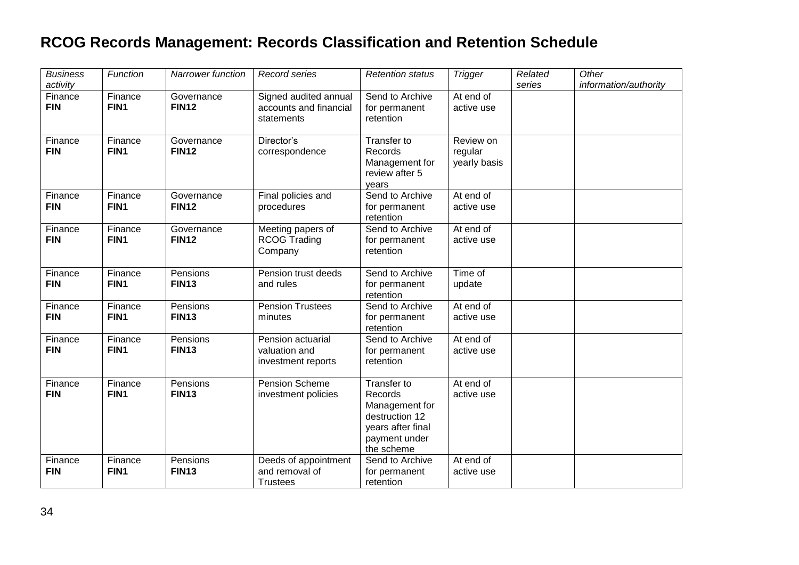| <b>Business</b><br>activity | Function                    | <b>Narrower function</b>   | Record series                                                 | <b>Retention status</b>                                                                                        | <b>Trigger</b>                       | Related<br>series | Other<br>information/authority |
|-----------------------------|-----------------------------|----------------------------|---------------------------------------------------------------|----------------------------------------------------------------------------------------------------------------|--------------------------------------|-------------------|--------------------------------|
| Finance<br><b>FIN</b>       | Finance<br>FIN1             | Governance<br><b>FIN12</b> | Signed audited annual<br>accounts and financial<br>statements | Send to Archive<br>for permanent<br>retention                                                                  | At end of<br>active use              |                   |                                |
| Finance<br><b>FIN</b>       | Finance<br>FIN1             | Governance<br><b>FIN12</b> | Director's<br>correspondence                                  | Transfer to<br>Records<br>Management for<br>review after 5<br>years                                            | Review on<br>regular<br>yearly basis |                   |                                |
| Finance<br><b>FIN</b>       | Finance<br>FIN1             | Governance<br><b>FIN12</b> | Final policies and<br>procedures                              | Send to Archive<br>for permanent<br>retention                                                                  | At end of<br>active use              |                   |                                |
| Finance<br><b>FIN</b>       | Finance<br>FIN1             | Governance<br><b>FIN12</b> | Meeting papers of<br><b>RCOG Trading</b><br>Company           | Send to Archive<br>for permanent<br>retention                                                                  | At end of<br>active use              |                   |                                |
| Finance<br><b>FIN</b>       | Finance<br>FIN1             | Pensions<br><b>FIN13</b>   | Pension trust deeds<br>and rules                              | Send to Archive<br>for permanent<br>retention                                                                  | Time of<br>update                    |                   |                                |
| Finance<br><b>FIN</b>       | Finance<br>FIN <sub>1</sub> | Pensions<br><b>FIN13</b>   | <b>Pension Trustees</b><br>minutes                            | Send to Archive<br>for permanent<br>retention                                                                  | At end of<br>active use              |                   |                                |
| Finance<br><b>FIN</b>       | Finance<br>FIN1             | Pensions<br><b>FIN13</b>   | Pension actuarial<br>valuation and<br>investment reports      | Send to Archive<br>for permanent<br>retention                                                                  | At end of<br>active use              |                   |                                |
| Finance<br><b>FIN</b>       | Finance<br>FIN1             | Pensions<br><b>FIN13</b>   | Pension Scheme<br>investment policies                         | Transfer to<br>Records<br>Management for<br>destruction 12<br>years after final<br>payment under<br>the scheme | At end of<br>active use              |                   |                                |
| Finance<br><b>FIN</b>       | Finance<br>FIN1             | Pensions<br><b>FIN13</b>   | Deeds of appointment<br>and removal of<br><b>Trustees</b>     | Send to Archive<br>for permanent<br>retention                                                                  | At end of<br>active use              |                   |                                |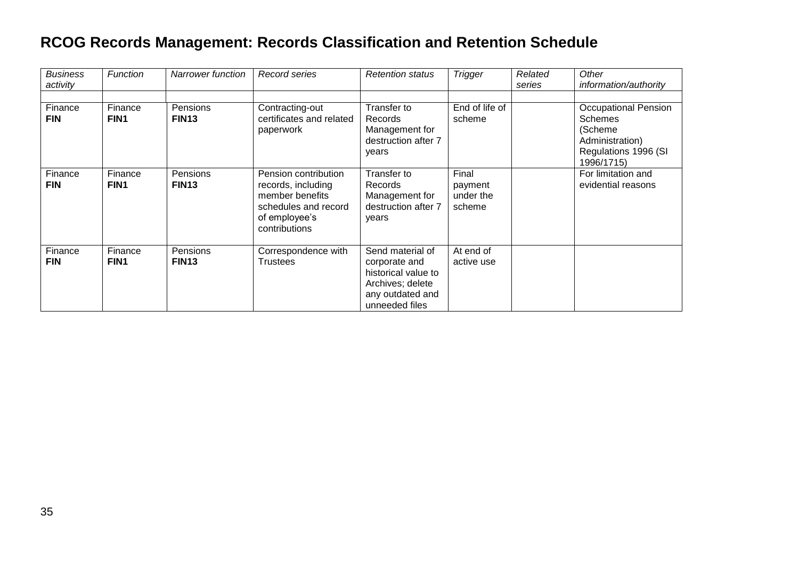| <b>Business</b><br>activity | Function                    | <b>Narrower function</b>      | Record series                                                                                                           | <b>Retention status</b>                                                                                            | <b>Trigger</b>                          | Related<br>series | Other<br>information/authority                                                                             |
|-----------------------------|-----------------------------|-------------------------------|-------------------------------------------------------------------------------------------------------------------------|--------------------------------------------------------------------------------------------------------------------|-----------------------------------------|-------------------|------------------------------------------------------------------------------------------------------------|
| Finance<br><b>FIN</b>       | Finance<br>FIN <sub>1</sub> | Pensions<br>FIN <sub>13</sub> | Contracting-out<br>certificates and related<br>paperwork                                                                | Transfer to<br>Records<br>Management for<br>destruction after 7<br>years                                           | End of life of<br>scheme                |                   | <b>Occupational Pension</b><br>Schemes<br>(Scheme<br>Administration)<br>Regulations 1996 (SI<br>1996/1715) |
| Finance<br><b>FIN</b>       | Finance<br>FIN1             | Pensions<br><b>FIN13</b>      | Pension contribution<br>records, including<br>member benefits<br>schedules and record<br>of employee's<br>contributions | Transfer to<br>Records<br>Management for<br>destruction after 7<br>years                                           | Final<br>payment<br>under the<br>scheme |                   | For limitation and<br>evidential reasons                                                                   |
| Finance<br><b>FIN</b>       | Finance<br>FIN1             | Pensions<br><b>FIN13</b>      | Correspondence with<br><b>Trustees</b>                                                                                  | Send material of<br>corporate and<br>historical value to<br>Archives; delete<br>any outdated and<br>unneeded files | At end of<br>active use                 |                   |                                                                                                            |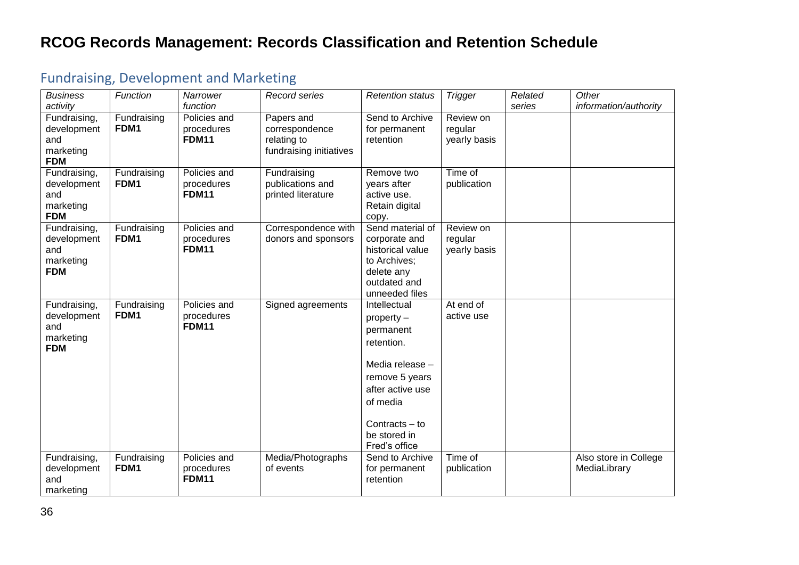| <b>Business</b>    | Function            | Narrower     | Record series           | <b>Retention status</b> | <b>Trigger</b> | Related | Other                 |
|--------------------|---------------------|--------------|-------------------------|-------------------------|----------------|---------|-----------------------|
| activity           |                     | function     |                         |                         |                | series  | information/authority |
| Fundraising,       | Fundraising         | Policies and | Papers and              | Send to Archive         | Review on      |         |                       |
| development        | FDM1                | procedures   | correspondence          | for permanent           | regular        |         |                       |
| and                |                     | <b>FDM11</b> | relating to             | retention               | yearly basis   |         |                       |
| marketing          |                     |              | fundraising initiatives |                         |                |         |                       |
| <b>FDM</b>         |                     |              |                         |                         |                |         |                       |
| Fundraising,       | Fundraising         | Policies and | Fundraising             | Remove two              | Time of        |         |                       |
| development        | FDM1                | procedures   | publications and        | years after             | publication    |         |                       |
| and                |                     | <b>FDM11</b> | printed literature      | active use.             |                |         |                       |
| marketing          |                     |              |                         | Retain digital          |                |         |                       |
| <b>FDM</b>         |                     |              |                         | copy.                   |                |         |                       |
| Fundraising,       | Fundraising         | Policies and | Correspondence with     | Send material of        | Review on      |         |                       |
| development        | FDM1                | procedures   | donors and sponsors     | corporate and           | regular        |         |                       |
| and                |                     | FDM11        |                         | historical value        | yearly basis   |         |                       |
| marketing          |                     |              |                         | to Archives;            |                |         |                       |
| <b>FDM</b>         |                     |              |                         | delete any              |                |         |                       |
|                    |                     |              |                         | outdated and            |                |         |                       |
|                    |                     | Policies and |                         | unneeded files          | At end of      |         |                       |
| Fundraising,       | Fundraising<br>FDM1 | procedures   | Signed agreements       | Intellectual            | active use     |         |                       |
| development<br>and |                     | <b>FDM11</b> |                         | $property -$            |                |         |                       |
| marketing          |                     |              |                         | permanent               |                |         |                       |
| <b>FDM</b>         |                     |              |                         | retention.              |                |         |                       |
|                    |                     |              |                         | Media release -         |                |         |                       |
|                    |                     |              |                         | remove 5 years          |                |         |                       |
|                    |                     |              |                         | after active use        |                |         |                       |
|                    |                     |              |                         |                         |                |         |                       |
|                    |                     |              |                         | of media                |                |         |                       |
|                    |                     |              |                         | Contracts $-$ to        |                |         |                       |
|                    |                     |              |                         | be stored in            |                |         |                       |
|                    |                     |              |                         | Fred's office           |                |         |                       |
| Fundraising,       | Fundraising         | Policies and | Media/Photographs       | Send to Archive         | Time of        |         | Also store in College |
| development        | FDM1                | procedures   | of events               | for permanent           | publication    |         | MediaLibrary          |
| and                |                     | <b>FDM11</b> |                         | retention               |                |         |                       |
| marketing          |                     |              |                         |                         |                |         |                       |

# <span id="page-35-0"></span>Fundraising, Development and Marketing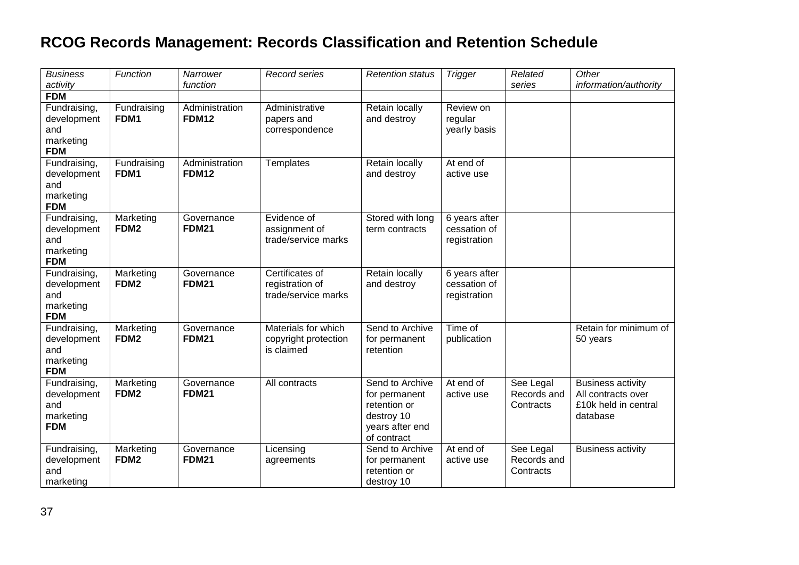| <b>Business</b><br>activity                                   | Function                      | Narrower<br>function           | Record series                                             | <b>Retention status</b>                                                                          | <b>Trigger</b>                                | Related<br>series                     | Other<br>information/authority                                                     |
|---------------------------------------------------------------|-------------------------------|--------------------------------|-----------------------------------------------------------|--------------------------------------------------------------------------------------------------|-----------------------------------------------|---------------------------------------|------------------------------------------------------------------------------------|
| <b>FDM</b>                                                    |                               |                                |                                                           |                                                                                                  |                                               |                                       |                                                                                    |
| Fundraising,<br>development<br>and<br>marketing<br><b>FDM</b> | Fundraising<br>FDM1           | Administration<br><b>FDM12</b> | Administrative<br>papers and<br>correspondence            | Retain locally<br>and destroy                                                                    | Review on<br>regular<br>yearly basis          |                                       |                                                                                    |
| Fundraising,<br>development<br>and<br>marketing<br><b>FDM</b> | Fundraising<br>FDM1           | Administration<br><b>FDM12</b> | Templates                                                 | Retain locally<br>and destroy                                                                    | At end of<br>active use                       |                                       |                                                                                    |
| Fundraising,<br>development<br>and<br>marketing<br><b>FDM</b> | Marketing<br>FDM <sub>2</sub> | Governance<br><b>FDM21</b>     | Evidence of<br>assignment of<br>trade/service marks       | Stored with long<br>term contracts                                                               | 6 years after<br>cessation of<br>registration |                                       |                                                                                    |
| Fundraising,<br>development<br>and<br>marketing<br><b>FDM</b> | Marketing<br>FDM <sub>2</sub> | Governance<br><b>FDM21</b>     | Certificates of<br>registration of<br>trade/service marks | Retain locally<br>and destroy                                                                    | 6 years after<br>cessation of<br>registration |                                       |                                                                                    |
| Fundraising,<br>development<br>and<br>marketing<br><b>FDM</b> | Marketing<br>FDM <sub>2</sub> | Governance<br><b>FDM21</b>     | Materials for which<br>copyright protection<br>is claimed | Send to Archive<br>for permanent<br>retention                                                    | Time of<br>publication                        |                                       | Retain for minimum of<br>50 years                                                  |
| Fundraising,<br>development<br>and<br>marketing<br><b>FDM</b> | Marketing<br>FDM <sub>2</sub> | Governance<br><b>FDM21</b>     | All contracts                                             | Send to Archive<br>for permanent<br>retention or<br>destroy 10<br>years after end<br>of contract | At end of<br>active use                       | See Legal<br>Records and<br>Contracts | <b>Business activity</b><br>All contracts over<br>£10k held in central<br>database |
| Fundraising,<br>development<br>and<br>marketing               | Marketing<br>FDM <sub>2</sub> | Governance<br><b>FDM21</b>     | Licensing<br>agreements                                   | Send to Archive<br>for permanent<br>retention or<br>destroy 10                                   | At end of<br>active use                       | See Legal<br>Records and<br>Contracts | <b>Business activity</b>                                                           |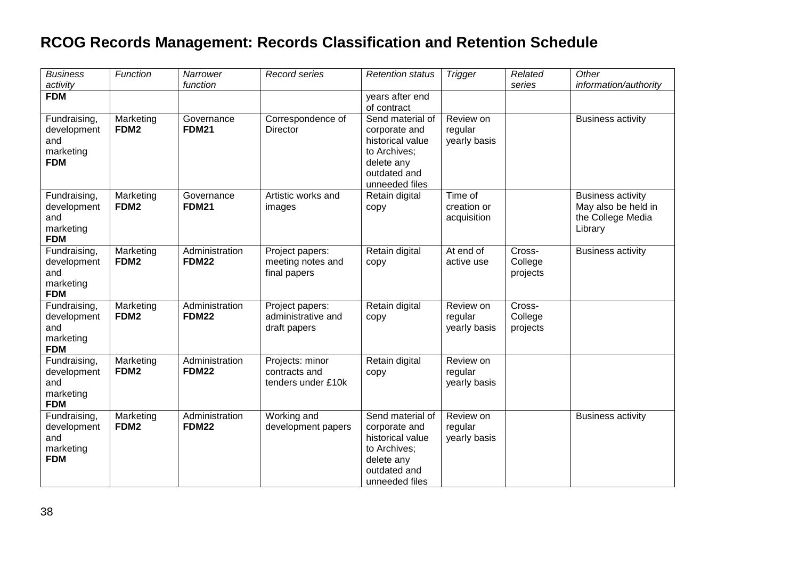| <b>Business</b><br>activity                                   | Function                      | Narrower<br>function           | <b>Record series</b>                                   | <b>Retention status</b>                                                                                               | <b>Trigger</b>                        | Related<br>series             | Other<br>information/authority                                                  |
|---------------------------------------------------------------|-------------------------------|--------------------------------|--------------------------------------------------------|-----------------------------------------------------------------------------------------------------------------------|---------------------------------------|-------------------------------|---------------------------------------------------------------------------------|
| <b>FDM</b>                                                    |                               |                                |                                                        | years after end<br>of contract                                                                                        |                                       |                               |                                                                                 |
| Fundraising,<br>development<br>and<br>marketing<br><b>FDM</b> | Marketing<br>FDM <sub>2</sub> | Governance<br><b>FDM21</b>     | Correspondence of<br>Director                          | Send material of<br>corporate and<br>historical value<br>to Archives;<br>delete any<br>outdated and<br>unneeded files | Review on<br>regular<br>yearly basis  |                               | <b>Business activity</b>                                                        |
| Fundraising,<br>development<br>and<br>marketing<br><b>FDM</b> | Marketing<br>FDM <sub>2</sub> | Governance<br><b>FDM21</b>     | Artistic works and<br>images                           | Retain digital<br>copy                                                                                                | Time of<br>creation or<br>acquisition |                               | <b>Business activity</b><br>May also be held in<br>the College Media<br>Library |
| Fundraising,<br>development<br>and<br>marketing<br><b>FDM</b> | Marketing<br>FDM <sub>2</sub> | Administration<br><b>FDM22</b> | Project papers:<br>meeting notes and<br>final papers   | Retain digital<br>copy                                                                                                | At end of<br>active use               | Cross-<br>College<br>projects | <b>Business activity</b>                                                        |
| Fundraising,<br>development<br>and<br>marketing<br><b>FDM</b> | Marketing<br>FDM <sub>2</sub> | Administration<br><b>FDM22</b> | Project papers:<br>administrative and<br>draft papers  | Retain digital<br>copy                                                                                                | Review on<br>regular<br>yearly basis  | Cross-<br>College<br>projects |                                                                                 |
| Fundraising,<br>development<br>and<br>marketing<br><b>FDM</b> | Marketing<br>FDM <sub>2</sub> | Administration<br><b>FDM22</b> | Projects: minor<br>contracts and<br>tenders under £10k | Retain digital<br>copy                                                                                                | Review on<br>regular<br>yearly basis  |                               |                                                                                 |
| Fundraising,<br>development<br>and<br>marketing<br><b>FDM</b> | Marketing<br>FDM <sub>2</sub> | Administration<br><b>FDM22</b> | Working and<br>development papers                      | Send material of<br>corporate and<br>historical value<br>to Archives;<br>delete any<br>outdated and<br>unneeded files | Review on<br>regular<br>yearly basis  |                               | <b>Business activity</b>                                                        |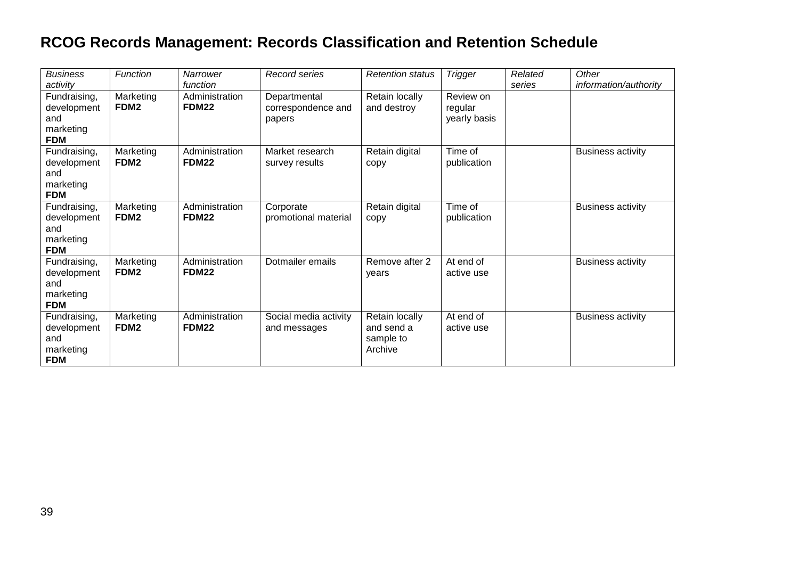| <b>Business</b><br>activity                                   | Function                      | Narrower<br>function           | Record series                                | <b>Retention status</b>                              | <b>Trigger</b>                       | Related<br>series | Other<br>information/authority |
|---------------------------------------------------------------|-------------------------------|--------------------------------|----------------------------------------------|------------------------------------------------------|--------------------------------------|-------------------|--------------------------------|
| Fundraising,<br>development<br>and<br>marketing<br><b>FDM</b> | Marketing<br>FDM <sub>2</sub> | Administration<br>FDM22        | Departmental<br>correspondence and<br>papers | Retain locally<br>and destroy                        | Review on<br>regular<br>yearly basis |                   |                                |
| Fundraising,<br>development<br>and<br>marketing<br><b>FDM</b> | Marketing<br>FDM <sub>2</sub> | Administration<br>FDM22        | Market research<br>survey results            | Retain digital<br>copy                               | Time of<br>publication               |                   | <b>Business activity</b>       |
| Fundraising,<br>development<br>and<br>marketing<br><b>FDM</b> | Marketing<br>FDM <sub>2</sub> | Administration<br><b>FDM22</b> | Corporate<br>promotional material            | Retain digital<br>copy                               | Time of<br>publication               |                   | <b>Business activity</b>       |
| Fundraising,<br>development<br>and<br>marketing<br><b>FDM</b> | Marketing<br>FDM <sub>2</sub> | Administration<br><b>FDM22</b> | Dotmailer emails                             | Remove after 2<br>years                              | At end of<br>active use              |                   | <b>Business activity</b>       |
| Fundraising,<br>development<br>and<br>marketing<br><b>FDM</b> | Marketing<br>FDM <sub>2</sub> | Administration<br>FDM22        | Social media activity<br>and messages        | Retain locally<br>and send a<br>sample to<br>Archive | At end of<br>active use              |                   | <b>Business activity</b>       |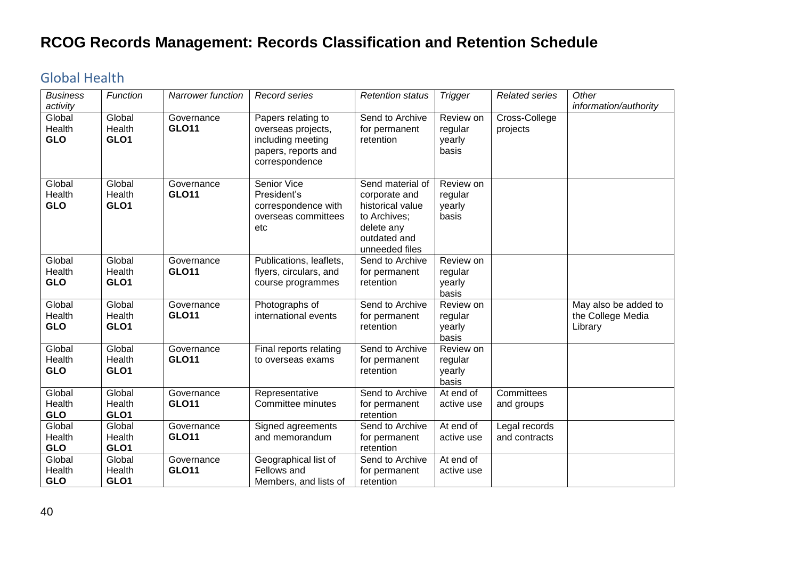#### <span id="page-39-0"></span>Global Health

| <b>Business</b>                | Function                 | <b>Narrower function</b>   | Record series                                                                                          | <b>Retention status</b>                                                                                               | <b>Trigger</b>                          | <b>Related series</b>          | Other                                                |
|--------------------------------|--------------------------|----------------------------|--------------------------------------------------------------------------------------------------------|-----------------------------------------------------------------------------------------------------------------------|-----------------------------------------|--------------------------------|------------------------------------------------------|
| activity                       |                          |                            |                                                                                                        |                                                                                                                       |                                         |                                | information/authority                                |
| Global<br>Health<br><b>GLO</b> | Global<br>Health<br>GLO1 | Governance<br><b>GLO11</b> | Papers relating to<br>overseas projects,<br>including meeting<br>papers, reports and<br>correspondence | Send to Archive<br>for permanent<br>retention                                                                         | Review on<br>regular<br>yearly<br>basis | Cross-College<br>projects      |                                                      |
| Global<br>Health<br><b>GLO</b> | Global<br>Health<br>GLO1 | Governance<br><b>GLO11</b> | Senior Vice<br>President's<br>correspondence with<br>overseas committees<br>etc                        | Send material of<br>corporate and<br>historical value<br>to Archives;<br>delete any<br>outdated and<br>unneeded files | Review on<br>regular<br>yearly<br>basis |                                |                                                      |
| Global<br>Health<br><b>GLO</b> | Global<br>Health<br>GLO1 | Governance<br><b>GLO11</b> | Publications, leaflets,<br>flyers, circulars, and<br>course programmes                                 | Send to Archive<br>for permanent<br>retention                                                                         | Review on<br>regular<br>yearly<br>basis |                                |                                                      |
| Global<br>Health<br><b>GLO</b> | Global<br>Health<br>GLO1 | Governance<br><b>GLO11</b> | Photographs of<br>international events                                                                 | Send to Archive<br>for permanent<br>retention                                                                         | Review on<br>regular<br>yearly<br>basis |                                | May also be added to<br>the College Media<br>Library |
| Global<br>Health<br><b>GLO</b> | Global<br>Health<br>GLO1 | Governance<br><b>GLO11</b> | Final reports relating<br>to overseas exams                                                            | Send to Archive<br>for permanent<br>retention                                                                         | Review on<br>regular<br>yearly<br>basis |                                |                                                      |
| Global<br>Health<br><b>GLO</b> | Global<br>Health<br>GLO1 | Governance<br><b>GLO11</b> | Representative<br>Committee minutes                                                                    | Send to Archive<br>for permanent<br>retention                                                                         | At end of<br>active use                 | Committees<br>and groups       |                                                      |
| Global<br>Health<br><b>GLO</b> | Global<br>Health<br>GLO1 | Governance<br><b>GLO11</b> | Signed agreements<br>and memorandum                                                                    | Send to Archive<br>for permanent<br>retention                                                                         | At end of<br>active use                 | Legal records<br>and contracts |                                                      |
| Global<br>Health<br><b>GLO</b> | Global<br>Health<br>GLO1 | Governance<br><b>GLO11</b> | Geographical list of<br>Fellows and<br>Members, and lists of                                           | Send to Archive<br>for permanent<br>retention                                                                         | At end of<br>active use                 |                                |                                                      |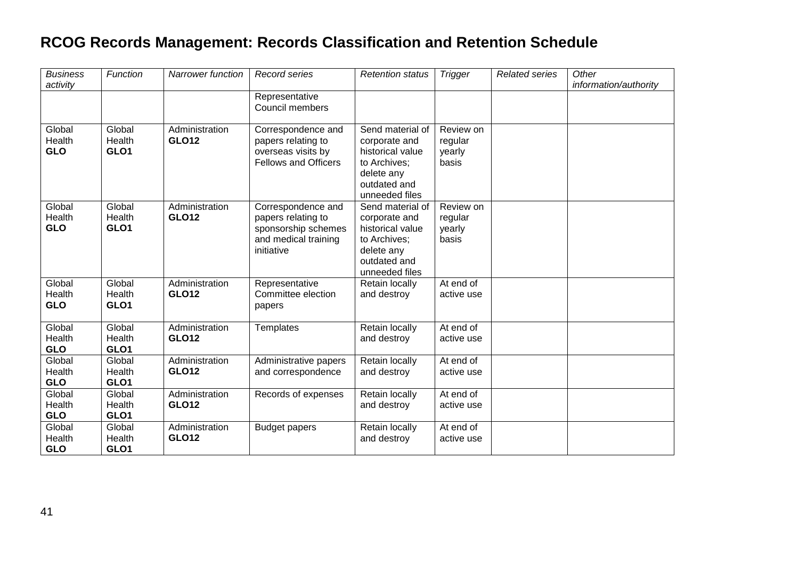| <b>Business</b><br>activity    | Function                             | <b>Narrower function</b>       | <b>Record series</b>                                                                                  | <b>Retention status</b>                                                                                               | <b>Trigger</b>                          | <b>Related series</b> | Other<br>information/authority |
|--------------------------------|--------------------------------------|--------------------------------|-------------------------------------------------------------------------------------------------------|-----------------------------------------------------------------------------------------------------------------------|-----------------------------------------|-----------------------|--------------------------------|
|                                |                                      |                                | Representative<br>Council members                                                                     |                                                                                                                       |                                         |                       |                                |
| Global<br>Health<br><b>GLO</b> | Global<br>Health<br>GLO1             | Administration<br><b>GLO12</b> | Correspondence and<br>papers relating to<br>overseas visits by                                        | Send material of<br>corporate and<br>historical value                                                                 | Review on<br>regular<br>yearly          |                       |                                |
|                                |                                      |                                | <b>Fellows and Officers</b>                                                                           | to Archives;<br>delete any<br>outdated and<br>unneeded files                                                          | basis                                   |                       |                                |
| Global<br>Health<br><b>GLO</b> | Global<br>Health<br>GLO1             | Administration<br><b>GLO12</b> | Correspondence and<br>papers relating to<br>sponsorship schemes<br>and medical training<br>initiative | Send material of<br>corporate and<br>historical value<br>to Archives;<br>delete any<br>outdated and<br>unneeded files | Review on<br>regular<br>yearly<br>basis |                       |                                |
| Global<br>Health<br><b>GLO</b> | Global<br>Health<br>GLO1             | Administration<br><b>GLO12</b> | Representative<br>Committee election<br>papers                                                        | Retain locally<br>and destroy                                                                                         | At end of<br>active use                 |                       |                                |
| Global<br>Health<br><b>GLO</b> | Global<br>Health<br>GLO1             | Administration<br><b>GLO12</b> | Templates                                                                                             | Retain locally<br>and destroy                                                                                         | At end of<br>active use                 |                       |                                |
| Global<br>Health<br><b>GLO</b> | Global<br>Health<br>GLO1             | Administration<br><b>GLO12</b> | Administrative papers<br>and correspondence                                                           | Retain locally<br>and destroy                                                                                         | At end of<br>active use                 |                       |                                |
| Global<br>Health<br><b>GLO</b> | Global<br>Health<br>GLO <sub>1</sub> | Administration<br><b>GLO12</b> | Records of expenses                                                                                   | Retain locally<br>and destroy                                                                                         | At end of<br>active use                 |                       |                                |
| Global<br>Health<br><b>GLO</b> | Global<br>Health<br>GLO1             | Administration<br><b>GLO12</b> | <b>Budget papers</b>                                                                                  | Retain locally<br>and destroy                                                                                         | At end of<br>active use                 |                       |                                |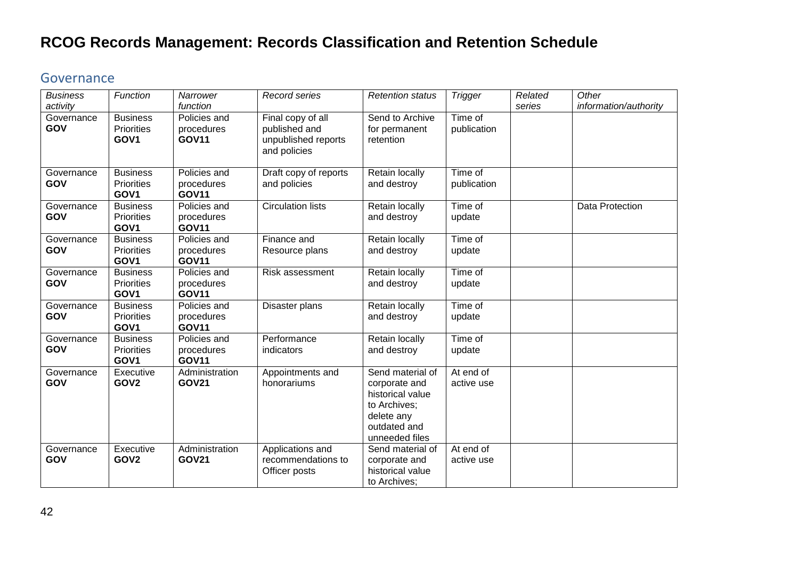#### <span id="page-41-0"></span>Governance

| <b>Business</b>               | Function                                                 | Narrower                                               | Record series                                                             | <b>Retention status</b>                                                                                               | <b>Trigger</b>          | Related | Other                 |
|-------------------------------|----------------------------------------------------------|--------------------------------------------------------|---------------------------------------------------------------------------|-----------------------------------------------------------------------------------------------------------------------|-------------------------|---------|-----------------------|
| activity<br>Governance<br>GOV | <b>Business</b><br><b>Priorities</b><br>GOV <sub>1</sub> | function<br>Policies and<br>procedures<br><b>GOV11</b> | Final copy of all<br>published and<br>unpublished reports<br>and policies | Send to Archive<br>for permanent<br>retention                                                                         | Time of<br>publication  | series  | information/authority |
| Governance<br>GOV             | <b>Business</b><br>Priorities<br>GOV1                    | Policies and<br>procedures<br><b>GOV11</b>             | Draft copy of reports<br>and policies                                     | Retain locally<br>and destroy                                                                                         | Time of<br>publication  |         |                       |
| Governance<br>GOV             | <b>Business</b><br><b>Priorities</b><br>GOV <sub>1</sub> | Policies and<br>procedures<br><b>GOV11</b>             | Circulation lists                                                         | Retain locally<br>and destroy                                                                                         | Time of<br>update       |         | Data Protection       |
| Governance<br>GOV             | <b>Business</b><br><b>Priorities</b><br>GOV <sub>1</sub> | Policies and<br>procedures<br><b>GOV11</b>             | Finance and<br>Resource plans                                             | Retain locally<br>and destroy                                                                                         | Time of<br>update       |         |                       |
| Governance<br>GOV             | <b>Business</b><br><b>Priorities</b><br>GOV <sub>1</sub> | Policies and<br>procedures<br><b>GOV11</b>             | Risk assessment                                                           | Retain locally<br>and destroy                                                                                         | Time of<br>update       |         |                       |
| Governance<br>GOV             | <b>Business</b><br><b>Priorities</b><br>GOV1             | Policies and<br>procedures<br><b>GOV11</b>             | Disaster plans                                                            | Retain locally<br>and destroy                                                                                         | Time of<br>update       |         |                       |
| Governance<br>GOV             | <b>Business</b><br><b>Priorities</b><br>GOV1             | Policies and<br>procedures<br><b>GOV11</b>             | Performance<br>indicators                                                 | Retain locally<br>and destroy                                                                                         | Time of<br>update       |         |                       |
| Governance<br>GOV             | Executive<br>GOV <sub>2</sub>                            | Administration<br><b>GOV21</b>                         | Appointments and<br>honorariums                                           | Send material of<br>corporate and<br>historical value<br>to Archives;<br>delete any<br>outdated and<br>unneeded files | At end of<br>active use |         |                       |
| Governance<br>GOV             | Executive<br>GOV <sub>2</sub>                            | Administration<br><b>GOV21</b>                         | Applications and<br>recommendations to<br>Officer posts                   | Send material of<br>corporate and<br>historical value<br>to Archives;                                                 | At end of<br>active use |         |                       |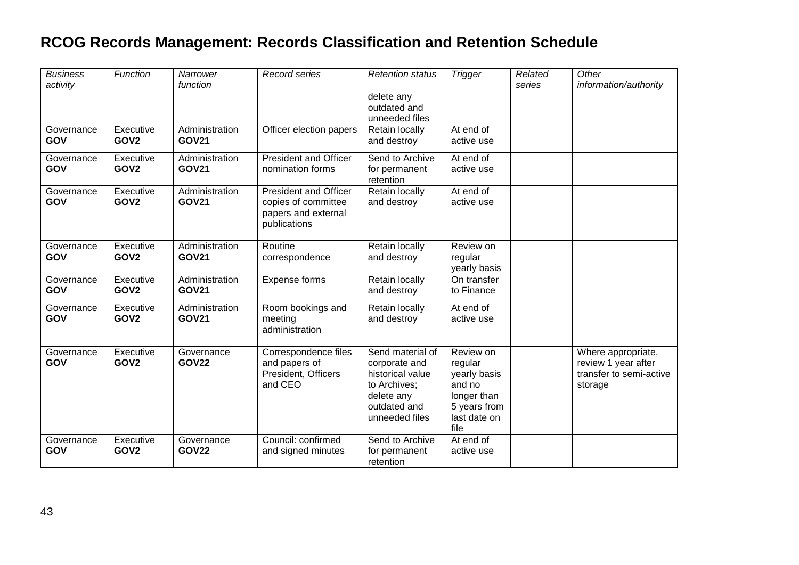| <b>Business</b>   | Function                      | Narrower                       | Record series                | <b>Retention status</b>        | <b>Trigger</b>            | Related | Other                   |
|-------------------|-------------------------------|--------------------------------|------------------------------|--------------------------------|---------------------------|---------|-------------------------|
| activity          |                               | function                       |                              |                                |                           | series  | information/authority   |
|                   |                               |                                |                              | delete any                     |                           |         |                         |
|                   |                               |                                |                              | outdated and<br>unneeded files |                           |         |                         |
| Governance        | Executive                     | Administration                 | Officer election papers      | Retain locally                 | At end of                 |         |                         |
| GOV               | GOV <sub>2</sub>              | <b>GOV21</b>                   |                              | and destroy                    | active use                |         |                         |
| Governance        | Executive                     | Administration                 | <b>President and Officer</b> | Send to Archive                | At end of                 |         |                         |
| GOV               | GOV <sub>2</sub>              | <b>GOV21</b>                   | nomination forms             | for permanent<br>retention     | active use                |         |                         |
| Governance        | Executive                     | Administration                 | <b>President and Officer</b> | Retain locally                 | At end of                 |         |                         |
| GOV               | GOV <sub>2</sub>              | <b>GOV21</b>                   | copies of committee          | and destroy                    | active use                |         |                         |
|                   |                               |                                | papers and external          |                                |                           |         |                         |
|                   |                               |                                | publications                 |                                |                           |         |                         |
| Governance        | Executive                     | Administration                 | Routine                      | Retain locally                 | Review on                 |         |                         |
| GOV               | GOV <sub>2</sub>              | <b>GOV21</b>                   | correspondence               | and destroy                    | regular                   |         |                         |
|                   |                               |                                |                              |                                | yearly basis              |         |                         |
| Governance<br>GOV | Executive<br>GOV <sub>2</sub> | Administration<br><b>GOV21</b> | Expense forms                | Retain locally<br>and destroy  | On transfer<br>to Finance |         |                         |
|                   |                               |                                |                              |                                |                           |         |                         |
| Governance        | Executive                     | Administration                 | Room bookings and            | Retain locally                 | At end of                 |         |                         |
| GOV               | GOV <sub>2</sub>              | <b>GOV21</b>                   | meeting                      | and destroy                    | active use                |         |                         |
|                   |                               |                                | administration               |                                |                           |         |                         |
| Governance        | Executive                     | Governance                     | Correspondence files         | Send material of               | Review on                 |         | Where appropriate,      |
| GOV               | GOV <sub>2</sub>              | <b>GOV22</b>                   | and papers of                | corporate and                  | regular                   |         | review 1 year after     |
|                   |                               |                                | President, Officers          | historical value               | yearly basis              |         | transfer to semi-active |
|                   |                               |                                | and CEO                      | to Archives;                   | and no                    |         | storage                 |
|                   |                               |                                |                              | delete any                     | longer than               |         |                         |
|                   |                               |                                |                              | outdated and                   | 5 years from              |         |                         |
|                   |                               |                                |                              | unneeded files                 | last date on<br>file      |         |                         |
| Governance        | Executive                     | Governance                     | Council: confirmed           | Send to Archive                | At end of                 |         |                         |
| GOV               | GOV <sub>2</sub>              | <b>GOV22</b>                   | and signed minutes           | for permanent                  | active use                |         |                         |
|                   |                               |                                |                              | retention                      |                           |         |                         |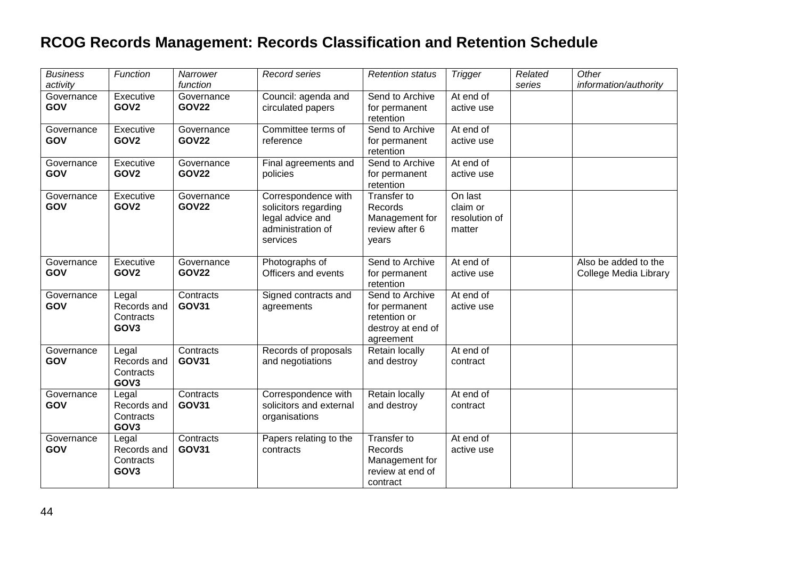| <b>Business</b><br>activity | Function                                              | Narrower<br>function       | Record series                                                                                    | <b>Retention status</b>                                                            | <b>Trigger</b>                                 | Related<br>series | Other<br>information/authority                |
|-----------------------------|-------------------------------------------------------|----------------------------|--------------------------------------------------------------------------------------------------|------------------------------------------------------------------------------------|------------------------------------------------|-------------------|-----------------------------------------------|
| Governance<br>GOV           | Executive<br>GOV <sub>2</sub>                         | Governance<br><b>GOV22</b> | Council: agenda and<br>circulated papers                                                         | Send to Archive<br>for permanent<br>retention                                      | At end of<br>active use                        |                   |                                               |
| Governance<br>GOV           | Executive<br>GOV <sub>2</sub>                         | Governance<br><b>GOV22</b> | Committee terms of<br>reference                                                                  | Send to Archive<br>for permanent<br>retention                                      | At end of<br>active use                        |                   |                                               |
| Governance<br>GOV           | Executive<br>GOV <sub>2</sub>                         | Governance<br><b>GOV22</b> | Final agreements and<br>policies                                                                 | Send to Archive<br>for permanent<br>retention                                      | At end of<br>active use                        |                   |                                               |
| Governance<br>GOV           | Executive<br>GOV <sub>2</sub>                         | Governance<br><b>GOV22</b> | Correspondence with<br>solicitors regarding<br>legal advice and<br>administration of<br>services | Transfer to<br>Records<br>Management for<br>review after 6<br>vears                | On last<br>claim or<br>resolution of<br>matter |                   |                                               |
| Governance<br>GOV           | Executive<br>GOV <sub>2</sub>                         | Governance<br><b>GOV22</b> | Photographs of<br>Officers and events                                                            | Send to Archive<br>for permanent<br>retention                                      | At end of<br>active use                        |                   | Also be added to the<br>College Media Library |
| Governance<br>GOV           | Legal<br>Records and<br>Contracts<br>GOV <sub>3</sub> | Contracts<br><b>GOV31</b>  | Signed contracts and<br>agreements                                                               | Send to Archive<br>for permanent<br>retention or<br>destroy at end of<br>agreement | At end of<br>active use                        |                   |                                               |
| Governance<br>GOV           | Legal<br>Records and<br>Contracts<br>GOV <sub>3</sub> | Contracts<br><b>GOV31</b>  | Records of proposals<br>and negotiations                                                         | Retain locally<br>and destroy                                                      | At end of<br>contract                          |                   |                                               |
| Governance<br>GOV           | Legal<br>Records and<br>Contracts<br>GOV <sub>3</sub> | Contracts<br><b>GOV31</b>  | Correspondence with<br>solicitors and external<br>organisations                                  | Retain locally<br>and destroy                                                      | At end of<br>contract                          |                   |                                               |
| Governance<br>GOV           | Legal<br>Records and<br>Contracts<br>GOV <sub>3</sub> | Contracts<br><b>GOV31</b>  | Papers relating to the<br>contracts                                                              | Transfer to<br>Records<br>Management for<br>review at end of<br>contract           | At end of<br>active use                        |                   |                                               |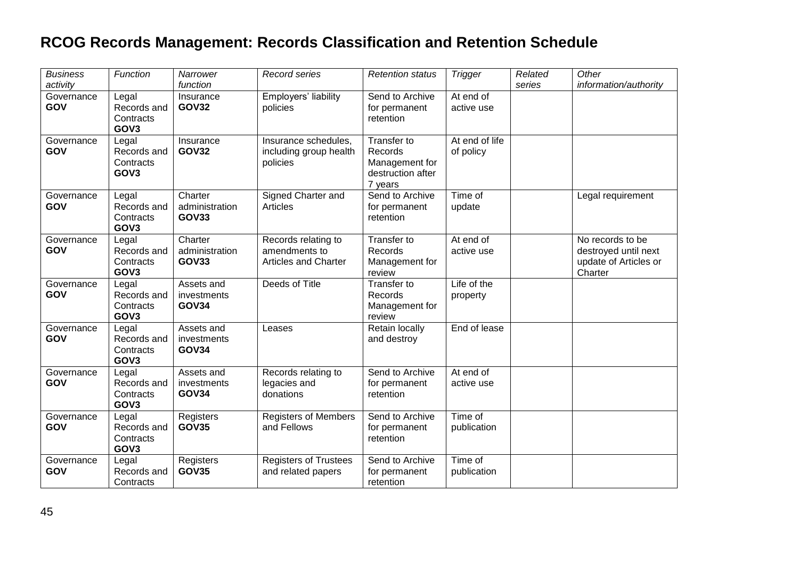| <b>Business</b><br>activity | Function                                              | Narrower<br>function                      | Record series                                                       | <b>Retention status</b>                                                  | <b>Trigger</b>              | Related<br>series | Other<br>information/authority                                               |
|-----------------------------|-------------------------------------------------------|-------------------------------------------|---------------------------------------------------------------------|--------------------------------------------------------------------------|-----------------------------|-------------------|------------------------------------------------------------------------------|
| Governance<br>GOV           | Legal<br>Records and<br>Contracts<br>GOV <sub>3</sub> | Insurance<br><b>GOV32</b>                 | Employers' liability<br>policies                                    | Send to Archive<br>for permanent<br>retention                            | At end of<br>active use     |                   |                                                                              |
| Governance<br>GOV           | Legal<br>Records and<br>Contracts<br>GOV3             | Insurance<br><b>GOV32</b>                 | Insurance schedules,<br>including group health<br>policies          | Transfer to<br>Records<br>Management for<br>destruction after<br>7 years | At end of life<br>of policy |                   |                                                                              |
| Governance<br>GOV           | Legal<br>Records and<br>Contracts<br>GOV <sub>3</sub> | Charter<br>administration<br><b>GOV33</b> | Signed Charter and<br>Articles                                      | Send to Archive<br>for permanent<br>retention                            | Time of<br>update           |                   | Legal requirement                                                            |
| Governance<br>GOV           | Legal<br>Records and<br>Contracts<br>GOV <sub>3</sub> | Charter<br>administration<br><b>GOV33</b> | Records relating to<br>amendments to<br><b>Articles and Charter</b> | Transfer to<br>Records<br>Management for<br>review                       | At end of<br>active use     |                   | No records to be<br>destroyed until next<br>update of Articles or<br>Charter |
| Governance<br>GOV           | Legal<br>Records and<br>Contracts<br>GOV <sub>3</sub> | Assets and<br>investments<br><b>GOV34</b> | Deeds of Title                                                      | <b>Transfer to</b><br>Records<br>Management for<br>review                | Life of the<br>property     |                   |                                                                              |
| Governance<br>GOV           | Legal<br>Records and<br>Contracts<br>GOV <sub>3</sub> | Assets and<br>investments<br><b>GOV34</b> | Leases                                                              | Retain locally<br>and destroy                                            | End of lease                |                   |                                                                              |
| Governance<br>GOV           | Legal<br>Records and<br>Contracts<br>GOV3             | Assets and<br>investments<br><b>GOV34</b> | Records relating to<br>legacies and<br>donations                    | Send to Archive<br>for permanent<br>retention                            | At end of<br>active use     |                   |                                                                              |
| Governance<br>GOV           | Legal<br>Records and<br>Contracts<br>GOV <sub>3</sub> | Registers<br><b>GOV35</b>                 | <b>Registers of Members</b><br>and Fellows                          | Send to Archive<br>for permanent<br>retention                            | Time of<br>publication      |                   |                                                                              |
| Governance<br>GOV           | Legal<br>Records and<br>Contracts                     | Registers<br><b>GOV35</b>                 | <b>Registers of Trustees</b><br>and related papers                  | Send to Archive<br>for permanent<br>retention                            | Time of<br>publication      |                   |                                                                              |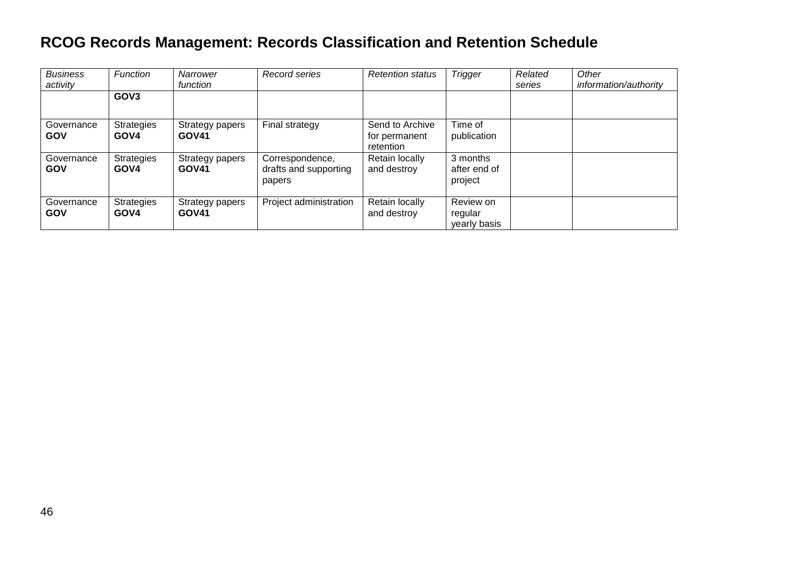| <b>Business</b><br>activity | <b>Function</b>           | Narrower<br>function            | Record series                                      | <b>Retention status</b>                       | <b>Trigger</b>                       | Related<br>series | Other<br>information/authority |
|-----------------------------|---------------------------|---------------------------------|----------------------------------------------------|-----------------------------------------------|--------------------------------------|-------------------|--------------------------------|
|                             | GOV <sub>3</sub>          |                                 |                                                    |                                               |                                      |                   |                                |
| Governance<br><b>GOV</b>    | <b>Strategies</b><br>GOV4 | Strategy papers<br><b>GOV41</b> | Final strategy                                     | Send to Archive<br>for permanent<br>retention | Time of<br>publication               |                   |                                |
| Governance<br><b>GOV</b>    | <b>Strategies</b><br>GOV4 | Strategy papers<br><b>GOV41</b> | Correspondence,<br>drafts and supporting<br>papers | Retain locally<br>and destroy                 | 3 months<br>after end of<br>project  |                   |                                |
| Governance<br><b>GOV</b>    | <b>Strategies</b><br>GOV4 | Strategy papers<br><b>GOV41</b> | Project administration                             | Retain locally<br>and destroy                 | Review on<br>regular<br>yearly basis |                   |                                |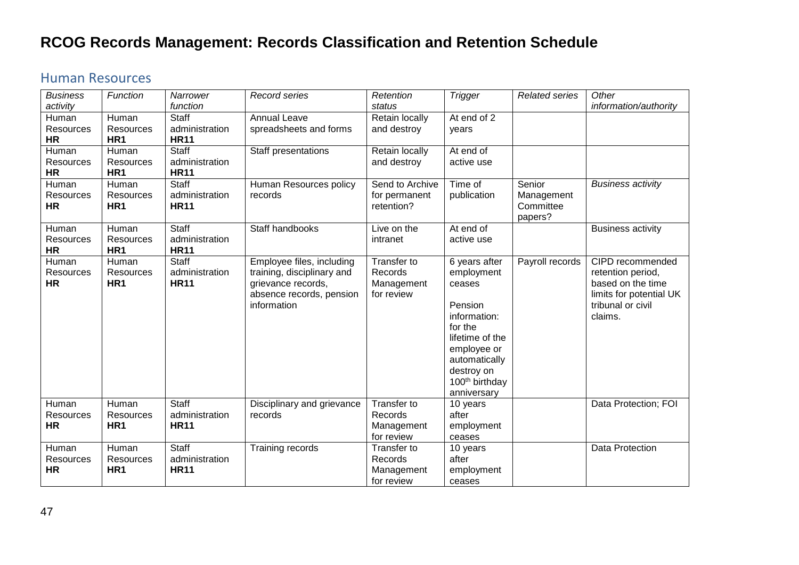#### <span id="page-46-0"></span>Human Resources

| <b>Business</b>  | Function        | Narrower       | <b>Record series</b>       | Retention       | <b>Trigger</b>             | <b>Related series</b> | Other                    |
|------------------|-----------------|----------------|----------------------------|-----------------|----------------------------|-----------------------|--------------------------|
| activity         |                 | function       |                            | status          |                            |                       | information/authority    |
| Human            | Human           | <b>Staff</b>   | <b>Annual Leave</b>        | Retain locally  | At end of 2                |                       |                          |
| Resources        | Resources       | administration | spreadsheets and forms     | and destroy     | vears                      |                       |                          |
| <b>HR</b>        | HR <sub>1</sub> | <b>HR11</b>    |                            |                 |                            |                       |                          |
| Human            | Human           | Staff          | Staff presentations        | Retain locally  | At end of                  |                       |                          |
| <b>Resources</b> | Resources       | administration |                            | and destroy     | active use                 |                       |                          |
| <b>HR</b>        | HR1             | <b>HR11</b>    |                            |                 |                            |                       |                          |
| Human            | Human           | Staff          | Human Resources policy     | Send to Archive | Time of                    | Senior                | <b>Business activity</b> |
| <b>Resources</b> | Resources       | administration | records                    | for permanent   | publication                | Management            |                          |
| <b>HR</b>        | HR <sub>1</sub> | <b>HR11</b>    |                            | retention?      |                            | Committee             |                          |
|                  |                 |                |                            |                 |                            | papers?               |                          |
| Human            | Human           | <b>Staff</b>   | Staff handbooks            | Live on the     | At end of                  |                       | <b>Business activity</b> |
| <b>Resources</b> | Resources       | administration |                            | intranet        | active use                 |                       |                          |
| <b>HR</b>        | HR <sub>1</sub> | <b>HR11</b>    |                            |                 |                            |                       |                          |
| Human            | Human           | <b>Staff</b>   | Employee files, including  | Transfer to     | 6 years after              | Payroll records       | CIPD recommended         |
| Resources        | Resources       | administration | training, disciplinary and | Records         | employment                 |                       | retention period,        |
| <b>HR</b>        | HR <sub>1</sub> | <b>HR11</b>    | grievance records,         | Management      | ceases                     |                       | based on the time        |
|                  |                 |                | absence records, pension   | for review      |                            |                       | limits for potential UK  |
|                  |                 |                | information                |                 | Pension                    |                       | tribunal or civil        |
|                  |                 |                |                            |                 | information:               |                       | claims.                  |
|                  |                 |                |                            |                 | for the                    |                       |                          |
|                  |                 |                |                            |                 | lifetime of the            |                       |                          |
|                  |                 |                |                            |                 | employee or                |                       |                          |
|                  |                 |                |                            |                 | automatically              |                       |                          |
|                  |                 |                |                            |                 | destroy on                 |                       |                          |
|                  |                 |                |                            |                 | 100 <sup>th</sup> birthday |                       |                          |
|                  |                 |                |                            |                 | anniversary                |                       |                          |
| Human            | Human           | Staff          | Disciplinary and grievance | Transfer to     | 10 years                   |                       | Data Protection; FOI     |
| <b>Resources</b> | Resources       | administration | records                    | Records         | after                      |                       |                          |
| ΗR               | HR <sub>1</sub> | <b>HR11</b>    |                            | Management      | employment                 |                       |                          |
|                  |                 |                |                            | for review      | ceases                     |                       |                          |
| Human            | Human           | <b>Staff</b>   | Training records           | Transfer to     | 10 years                   |                       | Data Protection          |
| <b>Resources</b> | Resources       | administration |                            | Records         | after                      |                       |                          |
| <b>HR</b>        | HR <sub>1</sub> | <b>HR11</b>    |                            | Management      | employment                 |                       |                          |
|                  |                 |                |                            | for review      | ceases                     |                       |                          |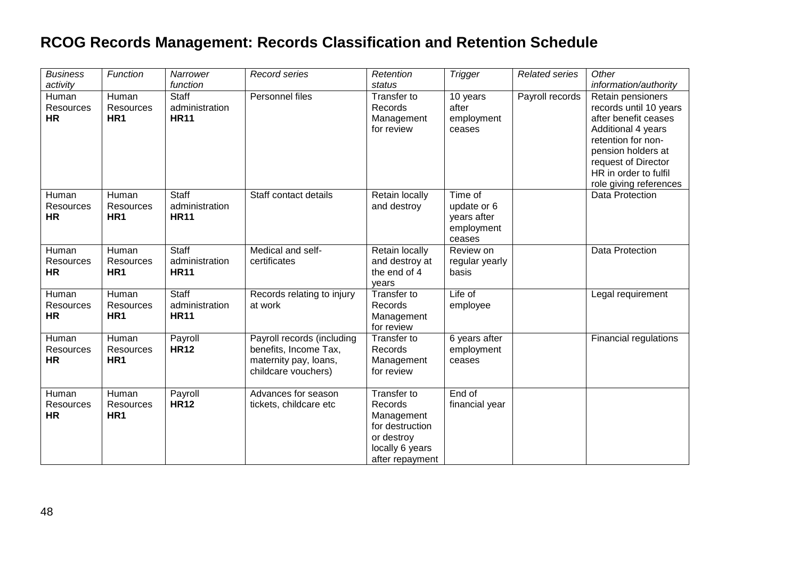| <b>Business</b>                                    | Function                              | Narrower                                           | <b>Record series</b>                                                                                | Retention                                                                                                   | <b>Trigger</b>                                                | Related series  | Other                                                                                                                                                                                                          |
|----------------------------------------------------|---------------------------------------|----------------------------------------------------|-----------------------------------------------------------------------------------------------------|-------------------------------------------------------------------------------------------------------------|---------------------------------------------------------------|-----------------|----------------------------------------------------------------------------------------------------------------------------------------------------------------------------------------------------------------|
| activity<br>Human<br><b>Resources</b><br><b>HR</b> | Human<br>Resources<br>HR <sub>1</sub> | function<br>Staff<br>administration<br><b>HR11</b> | Personnel files                                                                                     | status<br>Transfer to<br>Records<br>Management<br>for review                                                | 10 years<br>after<br>employment<br>ceases                     | Payroll records | information/authority<br>Retain pensioners<br>records until 10 years<br>after benefit ceases<br>Additional 4 years<br>retention for non-<br>pension holders at<br>request of Director<br>HR in order to fulfil |
| Human<br>Resources<br><b>HR</b>                    | Human<br>Resources<br>HR <sub>1</sub> | Staff<br>administration<br><b>HR11</b>             | Staff contact details                                                                               | Retain locally<br>and destroy                                                                               | Time of<br>update or 6<br>years after<br>employment<br>ceases |                 | role giving references<br>Data Protection                                                                                                                                                                      |
| Human<br><b>Resources</b><br><b>HR</b>             | Human<br>Resources<br>HR <sub>1</sub> | Staff<br>administration<br><b>HR11</b>             | Medical and self-<br>certificates                                                                   | Retain locally<br>and destroy at<br>the end of 4<br>years                                                   | Review on<br>regular yearly<br>basis                          |                 | Data Protection                                                                                                                                                                                                |
| Human<br>Resources<br><b>HR</b>                    | Human<br>Resources<br>HR <sub>1</sub> | Staff<br>administration<br><b>HR11</b>             | Records relating to injury<br>at work                                                               | Transfer to<br>Records<br>Management<br>for review                                                          | $Life$ of<br>employee                                         |                 | Legal requirement                                                                                                                                                                                              |
| Human<br>Resources<br><b>HR</b>                    | Human<br>Resources<br>HR <sub>1</sub> | Payroll<br><b>HR12</b>                             | Payroll records (including<br>benefits, Income Tax,<br>maternity pay, loans,<br>childcare vouchers) | Transfer to<br>Records<br>Management<br>for review                                                          | 6 years after<br>employment<br>ceases                         |                 | Financial regulations                                                                                                                                                                                          |
| Human<br><b>Resources</b><br><b>HR</b>             | Human<br>Resources<br>HR <sub>1</sub> | Payroll<br><b>HR12</b>                             | Advances for season<br>tickets, childcare etc                                                       | Transfer to<br>Records<br>Management<br>for destruction<br>or destroy<br>locally 6 years<br>after repayment | End of<br>financial year                                      |                 |                                                                                                                                                                                                                |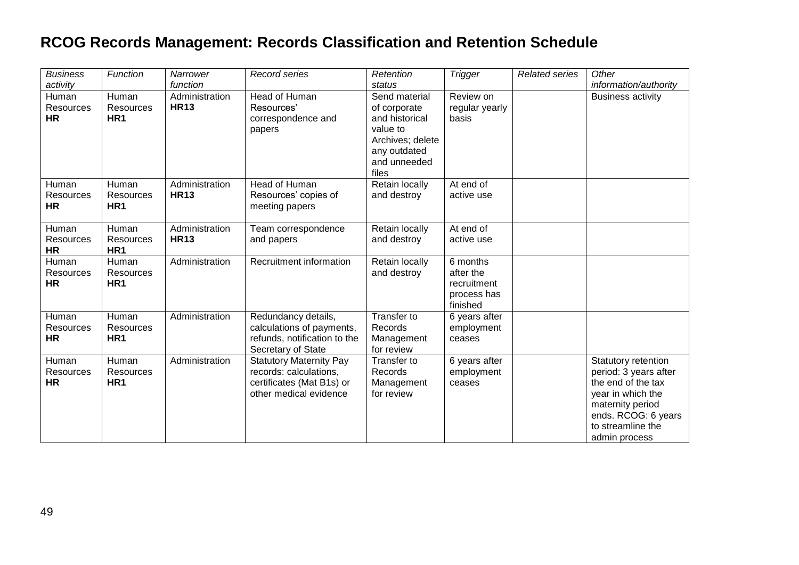| <b>Business</b><br>activity            | Function                              | Narrower<br>function          | Record series                                                                                                   | Retention<br>status                                                                                                      | <b>Trigger</b>                                                  | <b>Related series</b> | Other<br>information/authority                                                                                                                                           |
|----------------------------------------|---------------------------------------|-------------------------------|-----------------------------------------------------------------------------------------------------------------|--------------------------------------------------------------------------------------------------------------------------|-----------------------------------------------------------------|-----------------------|--------------------------------------------------------------------------------------------------------------------------------------------------------------------------|
| Human<br>Resources<br>HR               | Human<br>Resources<br>HR <sub>1</sub> | Administration<br><b>HR13</b> | Head of Human<br>Resources'<br>correspondence and<br>papers                                                     | Send material<br>of corporate<br>and historical<br>value to<br>Archives; delete<br>any outdated<br>and unneeded<br>files | Review on<br>regular yearly<br>basis                            |                       | <b>Business activity</b>                                                                                                                                                 |
| Human<br><b>Resources</b><br><b>HR</b> | Human<br>Resources<br>HR <sub>1</sub> | Administration<br><b>HR13</b> | Head of Human<br>Resources' copies of<br>meeting papers                                                         | Retain locally<br>and destroy                                                                                            | At end of<br>active use                                         |                       |                                                                                                                                                                          |
| Human<br><b>Resources</b><br><b>HR</b> | Human<br>Resources<br>HR <sub>1</sub> | Administration<br><b>HR13</b> | Team correspondence<br>and papers                                                                               | Retain locally<br>and destroy                                                                                            | At end of<br>active use                                         |                       |                                                                                                                                                                          |
| Human<br>Resources<br><b>HR</b>        | Human<br>Resources<br>HR <sub>1</sub> | Administration                | Recruitment information                                                                                         | Retain locally<br>and destroy                                                                                            | 6 months<br>after the<br>recruitment<br>process has<br>finished |                       |                                                                                                                                                                          |
| Human<br><b>Resources</b><br>HR        | Human<br>Resources<br>HR <sub>1</sub> | Administration                | Redundancy details,<br>calculations of payments,<br>refunds, notification to the<br>Secretary of State          | Transfer to<br>Records<br>Management<br>for review                                                                       | 6 years after<br>employment<br>ceases                           |                       |                                                                                                                                                                          |
| Human<br>Resources<br><b>HR</b>        | Human<br>Resources<br>HR <sub>1</sub> | Administration                | <b>Statutory Maternity Pay</b><br>records: calculations,<br>certificates (Mat B1s) or<br>other medical evidence | Transfer to<br>Records<br>Management<br>for review                                                                       | 6 years after<br>employment<br>ceases                           |                       | Statutory retention<br>period: 3 years after<br>the end of the tax<br>year in which the<br>maternity period<br>ends. RCOG: 6 years<br>to streamline the<br>admin process |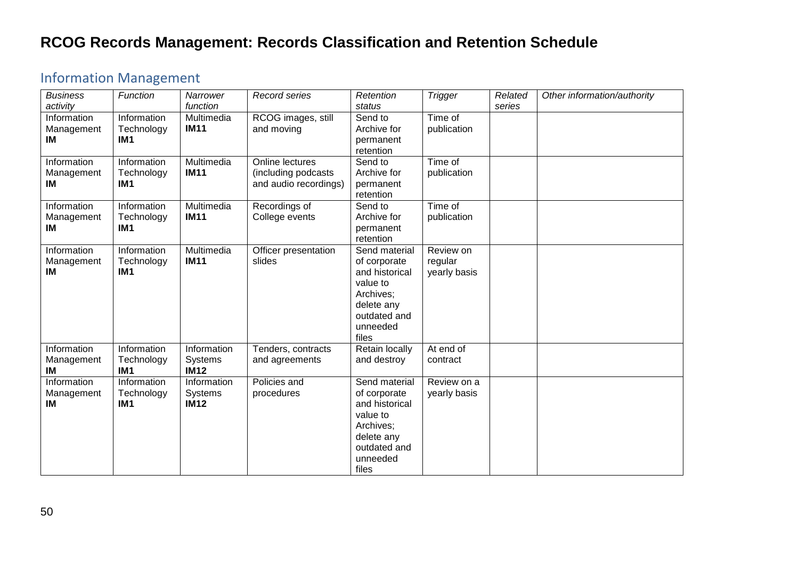#### <span id="page-49-0"></span>Information Management

| <b>Business</b><br>activity     | Function                                     | Narrower<br>function                         | Record series                                                   | Retention<br>status                                                                                                         | <b>Trigger</b>                       | Related<br>series | Other information/authority |
|---------------------------------|----------------------------------------------|----------------------------------------------|-----------------------------------------------------------------|-----------------------------------------------------------------------------------------------------------------------------|--------------------------------------|-------------------|-----------------------------|
| Information<br>Management<br>IM | Information<br>Technology<br>IM <sub>1</sub> | Multimedia<br><b>IM11</b>                    | RCOG images, still<br>and moving                                | Send to<br>Archive for<br>permanent<br>retention                                                                            | Time of<br>publication               |                   |                             |
| Information<br>Management<br>IM | Information<br>Technology<br>IM <sub>1</sub> | Multimedia<br><b>IM11</b>                    | Online lectures<br>(including podcasts<br>and audio recordings) | Send to<br>Archive for<br>permanent<br>retention                                                                            | Time of<br>publication               |                   |                             |
| Information<br>Management<br>IM | Information<br>Technology<br>IM <sub>1</sub> | Multimedia<br><b>IM11</b>                    | Recordings of<br>College events                                 | Send to<br>Archive for<br>permanent<br>retention                                                                            | Time of<br>publication               |                   |                             |
| Information<br>Management<br>IM | Information<br>Technology<br>IM <sub>1</sub> | Multimedia<br><b>IM11</b>                    | Officer presentation<br>slides                                  | Send material<br>of corporate<br>and historical<br>value to<br>Archives;<br>delete any<br>outdated and<br>unneeded<br>files | Review on<br>regular<br>yearly basis |                   |                             |
| Information<br>Management<br>IM | Information<br>Technology<br>IM <sub>1</sub> | Information<br><b>Systems</b><br><b>IM12</b> | Tenders, contracts<br>and agreements                            | Retain locally<br>and destroy                                                                                               | At end of<br>contract                |                   |                             |
| Information<br>Management<br>IM | Information<br>Technology<br>IM <sub>1</sub> | Information<br><b>Systems</b><br><b>IM12</b> | Policies and<br>procedures                                      | Send material<br>of corporate<br>and historical<br>value to<br>Archives;<br>delete any<br>outdated and<br>unneeded<br>files | Review on a<br>yearly basis          |                   |                             |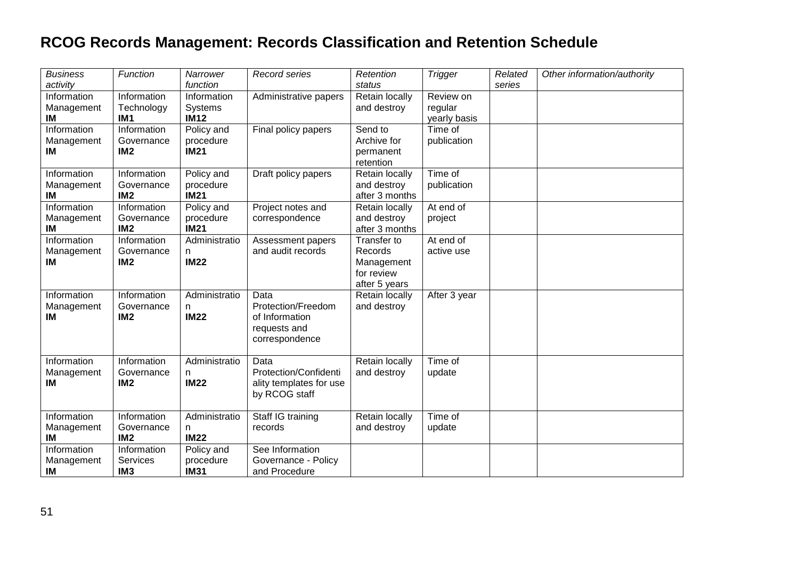| <b>Business</b><br>activity     | Function                                     | Narrower<br>function                   | Record series                                                                  | Retention<br>status                                                        | <b>Trigger</b>                       | Related<br>series | Other information/authority |
|---------------------------------|----------------------------------------------|----------------------------------------|--------------------------------------------------------------------------------|----------------------------------------------------------------------------|--------------------------------------|-------------------|-----------------------------|
| Information<br>Management<br>IM | Information<br>Technology<br>IM <sub>1</sub> | Information<br>Systems<br><b>IM12</b>  | Administrative papers                                                          | Retain locally<br>and destroy                                              | Review on<br>regular<br>yearly basis |                   |                             |
| Information<br>Management<br>IM | Information<br>Governance<br>IM <sub>2</sub> | Policy and<br>procedure<br><b>IM21</b> | Final policy papers                                                            | Send to<br>Archive for<br>permanent<br>retention                           | Time of<br>publication               |                   |                             |
| Information<br>Management<br>IM | Information<br>Governance<br>IM <sub>2</sub> | Policy and<br>procedure<br><b>IM21</b> | Draft policy papers                                                            | Retain locally<br>and destroy<br>after 3 months                            | Time of<br>publication               |                   |                             |
| Information<br>Management<br>ΙM | Information<br>Governance<br>IM <sub>2</sub> | Policy and<br>procedure<br><b>IM21</b> | Project notes and<br>correspondence                                            | Retain locally<br>and destroy<br>after 3 months                            | At end of<br>project                 |                   |                             |
| Information<br>Management<br>IM | Information<br>Governance<br>IM <sub>2</sub> | Administratio<br>n<br><b>IM22</b>      | Assessment papers<br>and audit records                                         | <b>Transfer to</b><br>Records<br>Management<br>for review<br>after 5 years | At end of<br>active use              |                   |                             |
| Information<br>Management<br>IМ | Information<br>Governance<br>IM <sub>2</sub> | Administratio<br>n<br><b>IM22</b>      | Data<br>Protection/Freedom<br>of Information<br>requests and<br>correspondence | Retain locally<br>and destroy                                              | After 3 year                         |                   |                             |
| Information<br>Management<br>IМ | Information<br>Governance<br>IM <sub>2</sub> | Administratio<br>n.<br><b>IM22</b>     | Data<br>Protection/Confidenti<br>ality templates for use<br>by RCOG staff      | Retain locally<br>and destroy                                              | Time of<br>update                    |                   |                             |
| Information<br>Management<br>IM | Information<br>Governance<br>IM <sub>2</sub> | Administratio<br>n.<br><b>IM22</b>     | Staff IG training<br>records                                                   | Retain locally<br>and destroy                                              | Time of<br>update                    |                   |                             |
| Information<br>Management<br>IM | Information<br>Services<br>IM <sub>3</sub>   | Policy and<br>procedure<br><b>IM31</b> | See Information<br>Governance - Policy<br>and Procedure                        |                                                                            |                                      |                   |                             |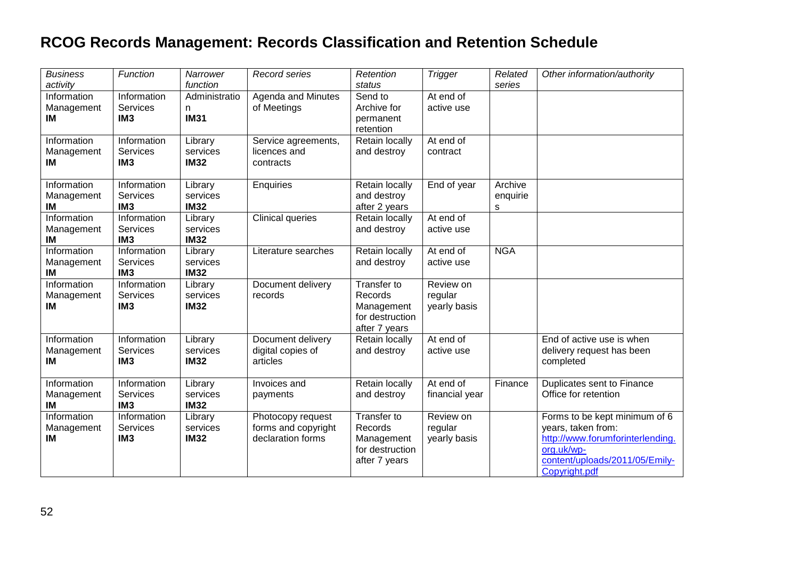| <b>Business</b><br>activity     | Function                                          | Narrower<br>function               | Record series                                                 | Retention<br>status                                                      | <b>Trigger</b>                       | Related<br>series        | Other information/authority                                                                                                                              |
|---------------------------------|---------------------------------------------------|------------------------------------|---------------------------------------------------------------|--------------------------------------------------------------------------|--------------------------------------|--------------------------|----------------------------------------------------------------------------------------------------------------------------------------------------------|
| Information<br>Management<br>IM | Information<br><b>Services</b><br>IM <sub>3</sub> | Administratio<br>n<br><b>IM31</b>  | <b>Agenda and Minutes</b><br>of Meetings                      | Send to<br>Archive for<br>permanent<br>retention                         | At end of<br>active use              |                          |                                                                                                                                                          |
| Information<br>Management<br>ΙM | Information<br><b>Services</b><br>IM <sub>3</sub> | Library<br>services<br><b>IM32</b> | Service agreements,<br>licences and<br>contracts              | Retain locally<br>and destroy                                            | At end of<br>contract                |                          |                                                                                                                                                          |
| Information<br>Management<br>IM | Information<br><b>Services</b><br>IM <sub>3</sub> | Library<br>services<br><b>IM32</b> | Enquiries                                                     | Retain locally<br>and destroy<br>after 2 years                           | End of year                          | Archive<br>enquirie<br>s |                                                                                                                                                          |
| Information<br>Management<br>IM | Information<br><b>Services</b><br>IM <sub>3</sub> | Library<br>services<br><b>IM32</b> | <b>Clinical queries</b>                                       | Retain locally<br>and destroy                                            | At end of<br>active use              |                          |                                                                                                                                                          |
| Information<br>Management<br>IM | Information<br>Services<br>IM <sub>3</sub>        | Library<br>services<br><b>IM32</b> | Literature searches                                           | Retain locally<br>and destroy                                            | At end of<br>active use              | <b>NGA</b>               |                                                                                                                                                          |
| Information<br>Management<br>IM | Information<br><b>Services</b><br>IM <sub>3</sub> | Library<br>services<br><b>IM32</b> | Document delivery<br>records                                  | Transfer to<br>Records<br>Management<br>for destruction<br>after 7 years | Review on<br>regular<br>yearly basis |                          |                                                                                                                                                          |
| Information<br>Management<br>IM | Information<br><b>Services</b><br>IM <sub>3</sub> | Library<br>services<br><b>IM32</b> | Document delivery<br>digital copies of<br>articles            | Retain locally<br>and destroy                                            | At end of<br>active use              |                          | End of active use is when<br>delivery request has been<br>completed                                                                                      |
| Information<br>Management<br>IM | Information<br><b>Services</b><br>IM <sub>3</sub> | Library<br>services<br><b>IM32</b> | Invoices and<br>payments                                      | Retain locally<br>and destroy                                            | At end of<br>financial year          | Finance                  | Duplicates sent to Finance<br>Office for retention                                                                                                       |
| Information<br>Management<br>IM | Information<br>Services<br>IM <sub>3</sub>        | Library<br>services<br><b>IM32</b> | Photocopy request<br>forms and copyright<br>declaration forms | Transfer to<br>Records<br>Management<br>for destruction<br>after 7 years | Review on<br>regular<br>yearly basis |                          | Forms to be kept minimum of 6<br>years, taken from:<br>http://www.forumforinterlending.<br>org.uk/wp-<br>content/uploads/2011/05/Emily-<br>Copyright.pdf |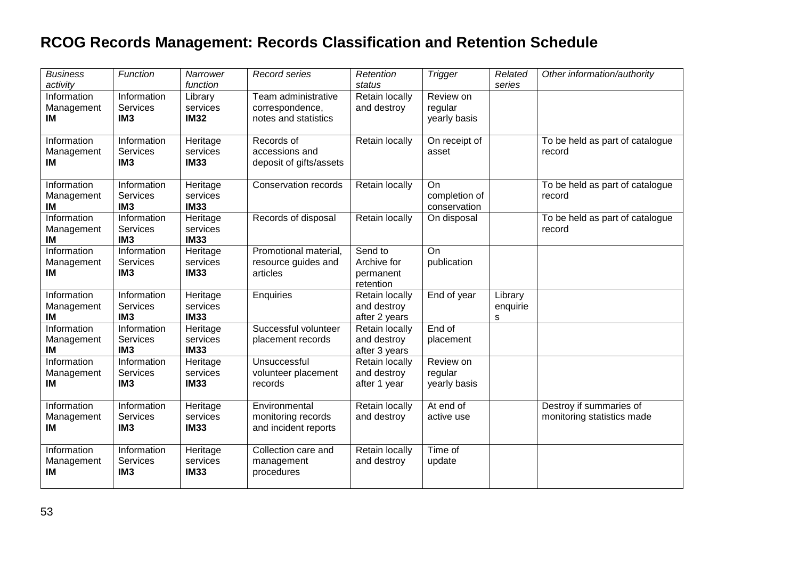| <b>Business</b><br>activity     | Function                                          | Narrower<br>function                | Record series                                                  | Retention<br>status                              | <b>Trigger</b>                             | Related<br>series        | Other information/authority                           |
|---------------------------------|---------------------------------------------------|-------------------------------------|----------------------------------------------------------------|--------------------------------------------------|--------------------------------------------|--------------------------|-------------------------------------------------------|
| Information<br>Management<br>ΙM | Information<br>Services<br>IM <sub>3</sub>        | Library<br>services<br><b>IM32</b>  | Team administrative<br>correspondence,<br>notes and statistics | Retain locally<br>and destroy                    | Review on<br>regular<br>yearly basis       |                          |                                                       |
| Information<br>Management<br>IM | Information<br>Services<br>IM <sub>3</sub>        | Heritage<br>services<br><b>IM33</b> | Records of<br>accessions and<br>deposit of gifts/assets        | Retain locally                                   | On receipt of<br>asset                     |                          | To be held as part of catalogue<br>record             |
| Information<br>Management<br>IM | Information<br>Services<br>IM <sub>3</sub>        | Heritage<br>services<br><b>IM33</b> | <b>Conservation records</b>                                    | Retain locally                                   | <b>On</b><br>completion of<br>conservation |                          | To be held as part of catalogue<br>record             |
| Information<br>Management<br>IM | Information<br>Services<br>IM <sub>3</sub>        | Heritage<br>services<br><b>IM33</b> | Records of disposal                                            | Retain locally                                   | On disposal                                |                          | To be held as part of catalogue<br>record             |
| Information<br>Management<br>IM | Information<br><b>Services</b><br>IM <sub>3</sub> | Heritage<br>services<br><b>IM33</b> | Promotional material,<br>resource guides and<br>articles       | Send to<br>Archive for<br>permanent<br>retention | On<br>publication                          |                          |                                                       |
| Information<br>Management<br>IM | <b>Information</b><br>Services<br>IM <sub>3</sub> | Heritage<br>services<br><b>IM33</b> | Enquiries                                                      | Retain locally<br>and destroy<br>after 2 years   | End of year                                | Library<br>enquirie<br>s |                                                       |
| Information<br>Management<br>IM | Information<br>Services<br>IM <sub>3</sub>        | Heritage<br>services<br><b>IM33</b> | Successful volunteer<br>placement records                      | Retain locally<br>and destroy<br>after 3 years   | End of<br>placement                        |                          |                                                       |
| Information<br>Management<br>IM | Information<br><b>Services</b><br>IM <sub>3</sub> | Heritage<br>services<br><b>IM33</b> | Unsuccessful<br>volunteer placement<br>records                 | Retain locally<br>and destroy<br>after 1 year    | Review on<br>regular<br>yearly basis       |                          |                                                       |
| Information<br>Management<br>IM | Information<br>Services<br>IM <sub>3</sub>        | Heritage<br>services<br><b>IM33</b> | Environmental<br>monitoring records<br>and incident reports    | Retain locally<br>and destroy                    | At end of<br>active use                    |                          | Destroy if summaries of<br>monitoring statistics made |
| Information<br>Management<br>IM | Information<br><b>Services</b><br>IM <sub>3</sub> | Heritage<br>services<br><b>IM33</b> | Collection care and<br>management<br>procedures                | Retain locally<br>and destroy                    | Time of<br>update                          |                          |                                                       |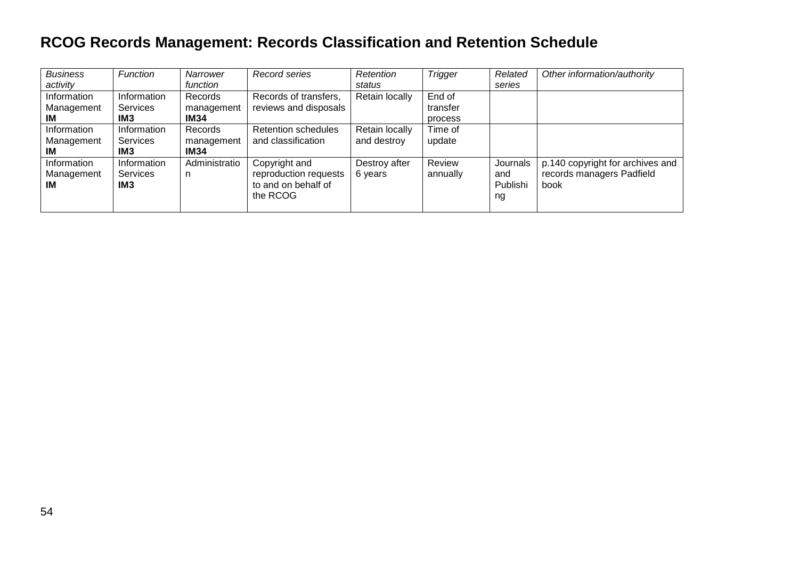| <b>Business</b><br>activity     | Function                                          | Narrower<br>function                 | Record series                                                             | Retention<br>status           | <b>Trigger</b>                | Related<br>series                 | Other information/authority                                           |
|---------------------------------|---------------------------------------------------|--------------------------------------|---------------------------------------------------------------------------|-------------------------------|-------------------------------|-----------------------------------|-----------------------------------------------------------------------|
| Information<br>Management<br>ΙM | Information<br>Services<br>IM <sub>3</sub>        | Records<br>management<br><b>IM34</b> | Records of transfers,<br>reviews and disposals                            | Retain locally                | End of<br>transfer<br>process |                                   |                                                                       |
| Information<br>Management<br>IМ | Information<br>Services<br>IM <sub>3</sub>        | Records<br>management<br><b>IM34</b> | <b>Retention schedules</b><br>and classification                          | Retain locally<br>and destroy | Time of<br>update             |                                   |                                                                       |
| Information<br>Management<br>ΙM | Information<br><b>Services</b><br>IM <sub>3</sub> | Administratio<br>n                   | Copyright and<br>reproduction requests<br>to and on behalf of<br>the RCOG | Destroy after<br>6 years      | Review<br>annually            | Journals<br>and<br>Publishi<br>ng | p.140 copyright for archives and<br>records managers Padfield<br>book |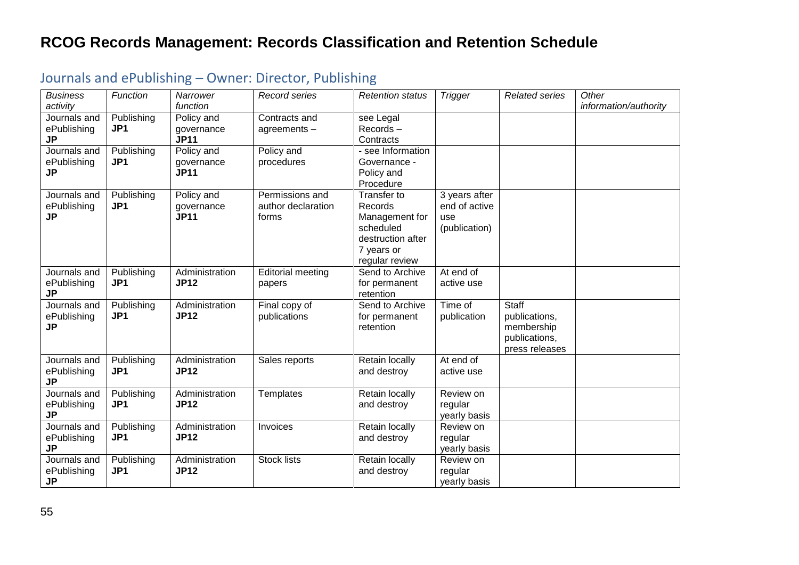| <b>Business</b><br>activity              | Function                      | Narrower<br>function                    | Record series                                  | <b>Retention status</b>                                                                                    | <b>Trigger</b>                                         | <b>Related series</b>                                                          | Other<br>information/authority |
|------------------------------------------|-------------------------------|-----------------------------------------|------------------------------------------------|------------------------------------------------------------------------------------------------------------|--------------------------------------------------------|--------------------------------------------------------------------------------|--------------------------------|
| Journals and<br>ePublishing<br><b>JP</b> | Publishing<br>JP1             | Policy and<br>governance<br><b>JP11</b> | Contracts and<br>agreements-                   | see Legal<br>Records-<br>Contracts                                                                         |                                                        |                                                                                |                                |
| Journals and<br>ePublishing<br>JP        | Publishing<br>JP1             | Policy and<br>governance<br><b>JP11</b> | Policy and<br>procedures                       | - see Information<br>Governance -<br>Policy and<br>Procedure                                               |                                                        |                                                                                |                                |
| Journals and<br>ePublishing<br><b>JP</b> | Publishing<br>JP1             | Policy and<br>governance<br><b>JP11</b> | Permissions and<br>author declaration<br>forms | Transfer to<br>Records<br>Management for<br>scheduled<br>destruction after<br>7 years or<br>regular review | 3 years after<br>end of active<br>use<br>(publication) |                                                                                |                                |
| Journals and<br>ePublishing<br><b>JP</b> | Publishing<br>JP1             | Administration<br><b>JP12</b>           | <b>Editorial meeting</b><br>papers             | Send to Archive<br>for permanent<br>retention                                                              | At end of<br>active use                                |                                                                                |                                |
| Journals and<br>ePublishing<br><b>JP</b> | Publishing<br>JP1             | Administration<br><b>JP12</b>           | Final copy of<br>publications                  | Send to Archive<br>for permanent<br>retention                                                              | Time of<br>publication                                 | <b>Staff</b><br>publications,<br>membership<br>publications,<br>press releases |                                |
| Journals and<br>ePublishing<br>JP        | Publishing<br>JP <sub>1</sub> | Administration<br><b>JP12</b>           | Sales reports                                  | Retain locally<br>and destroy                                                                              | At end of<br>active use                                |                                                                                |                                |
| Journals and<br>ePublishing<br><b>JP</b> | Publishing<br>JP <sub>1</sub> | Administration<br><b>JP12</b>           | Templates                                      | Retain locally<br>and destroy                                                                              | Review on<br>regular<br>yearly basis                   |                                                                                |                                |
| Journals and<br>ePublishing<br><b>JP</b> | Publishing<br>JP1             | Administration<br><b>JP12</b>           | Invoices                                       | Retain locally<br>and destroy                                                                              | Review on<br>regular<br>yearly basis                   |                                                                                |                                |
| Journals and<br>ePublishing<br><b>JP</b> | Publishing<br>JP1             | Administration<br><b>JP12</b>           | <b>Stock lists</b>                             | Retain locally<br>and destroy                                                                              | Review on<br>regular<br>yearly basis                   |                                                                                |                                |

#### <span id="page-54-0"></span>Journals and ePublishing – Owner: Director, Publishing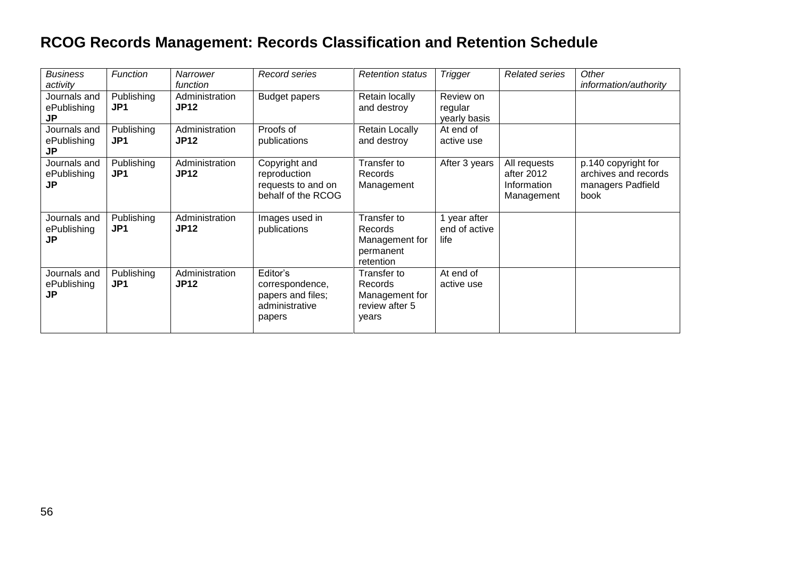| <b>Business</b><br>activity              | <b>Function</b>   | <b>Narrower</b><br>function   | Record series                                                                | <b>Retention status</b>                                             | <b>Trigger</b>                        | <b>Related series</b>                                   | Other<br>information/authority                                           |
|------------------------------------------|-------------------|-------------------------------|------------------------------------------------------------------------------|---------------------------------------------------------------------|---------------------------------------|---------------------------------------------------------|--------------------------------------------------------------------------|
| Journals and<br>ePublishing<br>JP        | Publishing<br>JP1 | Administration<br><b>JP12</b> | <b>Budget papers</b>                                                         | Retain locally<br>and destroy                                       | Review on<br>regular<br>yearly basis  |                                                         |                                                                          |
| Journals and<br>ePublishing<br><b>JP</b> | Publishing<br>JP1 | Administration<br><b>JP12</b> | Proofs of<br>publications                                                    | <b>Retain Locally</b><br>and destroy                                | At end of<br>active use               |                                                         |                                                                          |
| Journals and<br>ePublishing<br>JP        | Publishing<br>JP1 | Administration<br><b>JP12</b> | Copyright and<br>reproduction<br>requests to and on<br>behalf of the RCOG    | Transfer to<br>Records<br>Management                                | After 3 years                         | All requests<br>after 2012<br>Information<br>Management | p.140 copyright for<br>archives and records<br>managers Padfield<br>book |
| Journals and<br>ePublishing<br>JP        | Publishing<br>JP1 | Administration<br><b>JP12</b> | Images used in<br>publications                                               | Transfer to<br>Records<br>Management for<br>permanent<br>retention  | l year after<br>end of active<br>life |                                                         |                                                                          |
| Journals and<br>ePublishing<br>JP        | Publishing<br>JP1 | Administration<br><b>JP12</b> | Editor's<br>correspondence,<br>papers and files;<br>administrative<br>papers | Transfer to<br>Records<br>Management for<br>review after 5<br>years | At end of<br>active use               |                                                         |                                                                          |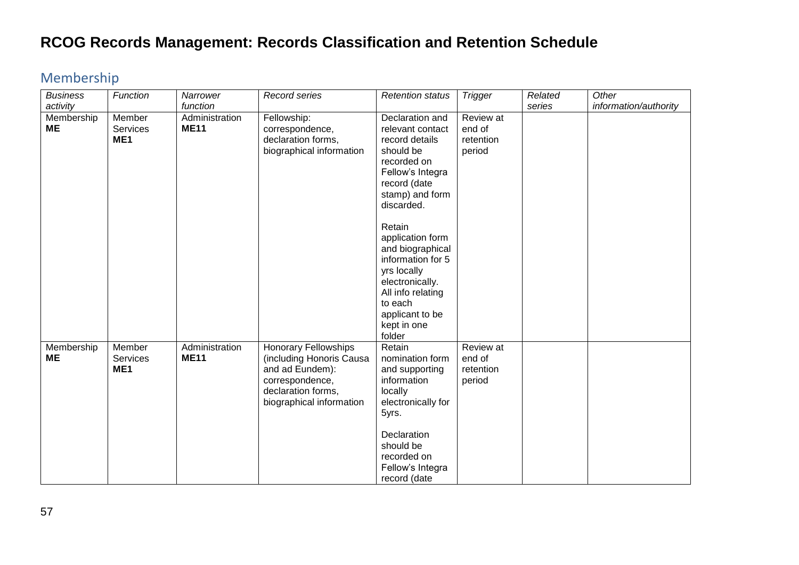#### <span id="page-56-0"></span>Membership

| <b>Business</b><br>activity | Function                                     | Narrower<br>function          | Record series                                                                                                                                   | <b>Retention status</b>                                                                                                                                                             | <b>Trigger</b>                             | Related<br>series | Other<br>information/authority |
|-----------------------------|----------------------------------------------|-------------------------------|-------------------------------------------------------------------------------------------------------------------------------------------------|-------------------------------------------------------------------------------------------------------------------------------------------------------------------------------------|--------------------------------------------|-------------------|--------------------------------|
| Membership<br><b>ME</b>     | Member<br><b>Services</b><br>ME <sub>1</sub> | Administration<br><b>ME11</b> | Fellowship:<br>correspondence,<br>declaration forms,<br>biographical information                                                                | Declaration and<br>relevant contact<br>record details<br>should be<br>recorded on<br>Fellow's Integra<br>record (date<br>stamp) and form<br>discarded.                              | Review at<br>end of<br>retention<br>period |                   |                                |
|                             |                                              |                               |                                                                                                                                                 | Retain<br>application form<br>and biographical<br>information for 5<br>yrs locally<br>electronically.<br>All info relating<br>to each<br>applicant to be<br>kept in one<br>folder   |                                            |                   |                                |
| Membership<br>ME            | Member<br>Services<br>ME <sub>1</sub>        | Administration<br><b>ME11</b> | <b>Honorary Fellowships</b><br>(including Honoris Causa<br>and ad Eundem):<br>correspondence,<br>declaration forms,<br>biographical information | Retain<br>nomination form<br>and supporting<br>information<br>locally<br>electronically for<br>5yrs.<br>Declaration<br>should be<br>recorded on<br>Fellow's Integra<br>record (date | Review at<br>end of<br>retention<br>period |                   |                                |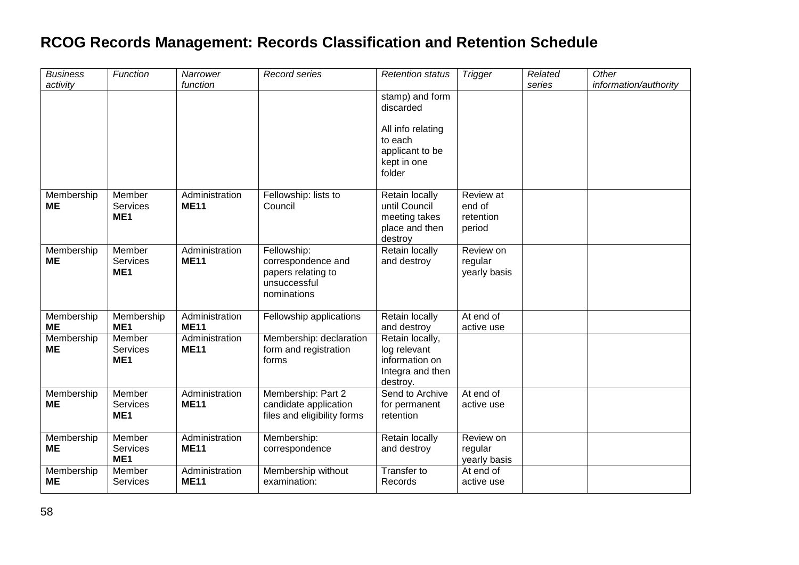| <b>Business</b><br>activity | Function                                     | Narrower<br>function          | Record series                                                                          | <b>Retention status</b>                                                                                  | <b>Trigger</b>                             | Related<br>series | Other<br>information/authority |
|-----------------------------|----------------------------------------------|-------------------------------|----------------------------------------------------------------------------------------|----------------------------------------------------------------------------------------------------------|--------------------------------------------|-------------------|--------------------------------|
|                             |                                              |                               |                                                                                        | stamp) and form<br>discarded<br>All info relating<br>to each<br>applicant to be<br>kept in one<br>folder |                                            |                   |                                |
| Membership<br><b>ME</b>     | Member<br><b>Services</b><br>ME <sub>1</sub> | Administration<br><b>ME11</b> | Fellowship: lists to<br>Council                                                        | Retain locally<br>until Council<br>meeting takes<br>place and then<br>destroy                            | Review at<br>end of<br>retention<br>period |                   |                                |
| Membership<br><b>ME</b>     | Member<br><b>Services</b><br>ME <sub>1</sub> | Administration<br><b>ME11</b> | Fellowship:<br>correspondence and<br>papers relating to<br>unsuccessful<br>nominations | Retain locally<br>and destroy                                                                            | Review on<br>regular<br>yearly basis       |                   |                                |
| Membership<br><b>ME</b>     | Membership<br>ME <sub>1</sub>                | Administration<br><b>ME11</b> | Fellowship applications                                                                | Retain locally<br>and destroy                                                                            | At end of<br>active use                    |                   |                                |
| Membership<br><b>ME</b>     | Member<br><b>Services</b><br>ME1             | Administration<br><b>ME11</b> | Membership: declaration<br>form and registration<br>forms                              | Retain locally,<br>log relevant<br>information on<br>Integra and then<br>destroy.                        |                                            |                   |                                |
| Membership<br>ME            | Member<br><b>Services</b><br>ME <sub>1</sub> | Administration<br><b>ME11</b> | Membership: Part 2<br>candidate application<br>files and eligibility forms             | Send to Archive<br>for permanent<br>retention                                                            | At end of<br>active use                    |                   |                                |
| Membership<br>MЕ            | Member<br>Services<br>ME <sub>1</sub>        | Administration<br><b>ME11</b> | Membership:<br>correspondence                                                          | Retain locally<br>and destroy                                                                            | Review on<br>regular<br>yearly basis       |                   |                                |
| Membership<br><b>ME</b>     | Member<br><b>Services</b>                    | Administration<br><b>ME11</b> | Membership without<br>examination:                                                     | Transfer to<br>Records                                                                                   | At end of<br>active use                    |                   |                                |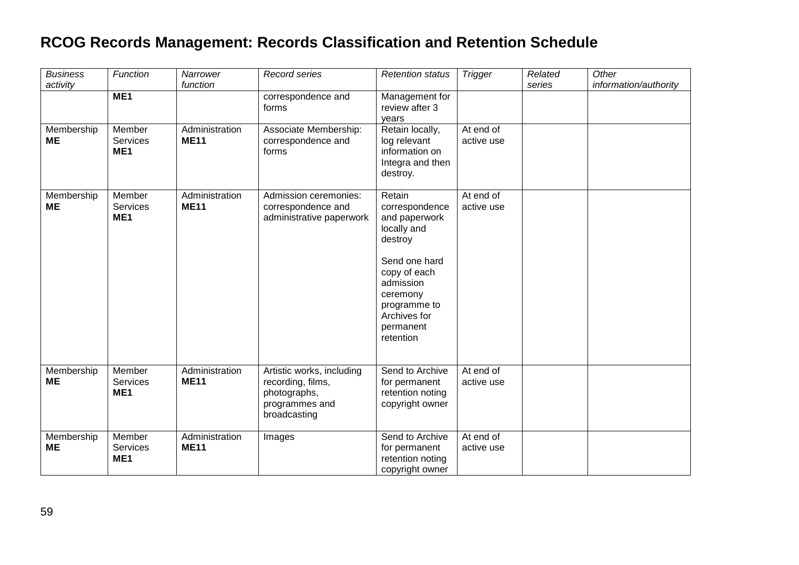| <b>Business</b>         | Function                                     | Narrower<br>function          | <b>Record series</b>                                                                             | <b>Retention status</b>                                                                                          | <b>Trigger</b>          | Related | Other                 |
|-------------------------|----------------------------------------------|-------------------------------|--------------------------------------------------------------------------------------------------|------------------------------------------------------------------------------------------------------------------|-------------------------|---------|-----------------------|
| activity                | ME <sub>1</sub>                              |                               | correspondence and<br>forms                                                                      | Management for<br>review after 3<br>years                                                                        |                         | series  | information/authority |
| Membership<br><b>ME</b> | Member<br><b>Services</b><br>ME <sub>1</sub> | Administration<br><b>ME11</b> | Associate Membership:<br>correspondence and<br>forms                                             | Retain locally,<br>log relevant<br>information on<br>Integra and then<br>destroy.                                | At end of<br>active use |         |                       |
| Membership<br><b>ME</b> | Member<br><b>Services</b><br>ME <sub>1</sub> | Administration<br><b>ME11</b> | Admission ceremonies:<br>correspondence and<br>administrative paperwork                          | Retain<br>correspondence<br>and paperwork<br>locally and<br>destroy                                              | At end of<br>active use |         |                       |
|                         |                                              |                               |                                                                                                  | Send one hard<br>copy of each<br>admission<br>ceremony<br>programme to<br>Archives for<br>permanent<br>retention |                         |         |                       |
| Membership<br><b>ME</b> | Member<br>Services<br>ME <sub>1</sub>        | Administration<br><b>ME11</b> | Artistic works, including<br>recording, films,<br>photographs,<br>programmes and<br>broadcasting | Send to Archive<br>for permanent<br>retention noting<br>copyright owner                                          | At end of<br>active use |         |                       |
| Membership<br><b>ME</b> | Member<br>Services<br>ME <sub>1</sub>        | Administration<br><b>ME11</b> | Images                                                                                           | Send to Archive<br>for permanent<br>retention noting<br>copyright owner                                          | At end of<br>active use |         |                       |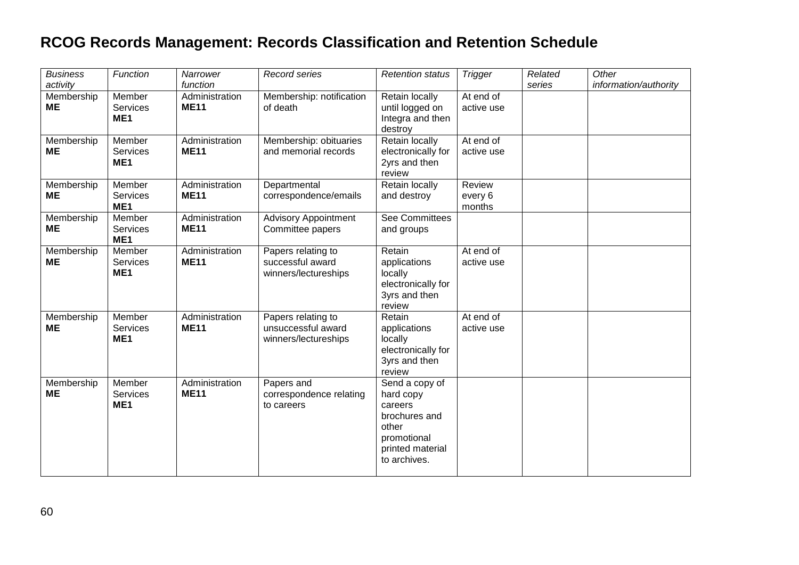| <b>Business</b><br>activity | Function                                     | Narrower<br>function          | <b>Record series</b>                                             | <b>Retention status</b>                                                                                             | <b>Trigger</b>              | Related<br>series | Other<br>information/authority |
|-----------------------------|----------------------------------------------|-------------------------------|------------------------------------------------------------------|---------------------------------------------------------------------------------------------------------------------|-----------------------------|-------------------|--------------------------------|
| Membership<br><b>ME</b>     | Member<br><b>Services</b><br>ME <sub>1</sub> | Administration<br><b>ME11</b> | Membership: notification<br>of death                             | Retain locally<br>until logged on<br>Integra and then<br>destroy                                                    | At end of<br>active use     |                   |                                |
| Membership<br>ME            | Member<br><b>Services</b><br>ME <sub>1</sub> | Administration<br><b>ME11</b> | Membership: obituaries<br>and memorial records                   | Retain locally<br>electronically for<br>2yrs and then<br>review                                                     | At end of<br>active use     |                   |                                |
| Membership<br>ΜE            | Member<br><b>Services</b><br>ME <sub>1</sub> | Administration<br><b>ME11</b> | Departmental<br>correspondence/emails                            | Retain locally<br>and destroy                                                                                       | Review<br>every 6<br>months |                   |                                |
| Membership<br>ME            | Member<br><b>Services</b><br>ME <sub>1</sub> | Administration<br><b>ME11</b> | <b>Advisory Appointment</b><br>Committee papers                  | <b>See Committees</b><br>and groups                                                                                 |                             |                   |                                |
| Membership<br>ME            | Member<br><b>Services</b><br>ME <sub>1</sub> | Administration<br><b>ME11</b> | Papers relating to<br>successful award<br>winners/lectureships   | Retain<br>applications<br>locally<br>electronically for<br>3yrs and then<br>review                                  | At end of<br>active use     |                   |                                |
| Membership<br>ME            | Member<br><b>Services</b><br>ME <sub>1</sub> | Administration<br><b>ME11</b> | Papers relating to<br>unsuccessful award<br>winners/lectureships | Retain<br>applications<br>locally<br>electronically for<br>3yrs and then<br>review                                  | At end of<br>active use     |                   |                                |
| Membership<br>ME            | Member<br><b>Services</b><br>ME <sub>1</sub> | Administration<br><b>ME11</b> | Papers and<br>correspondence relating<br>to careers              | Send a copy of<br>hard copy<br>careers<br>brochures and<br>other<br>promotional<br>printed material<br>to archives. |                             |                   |                                |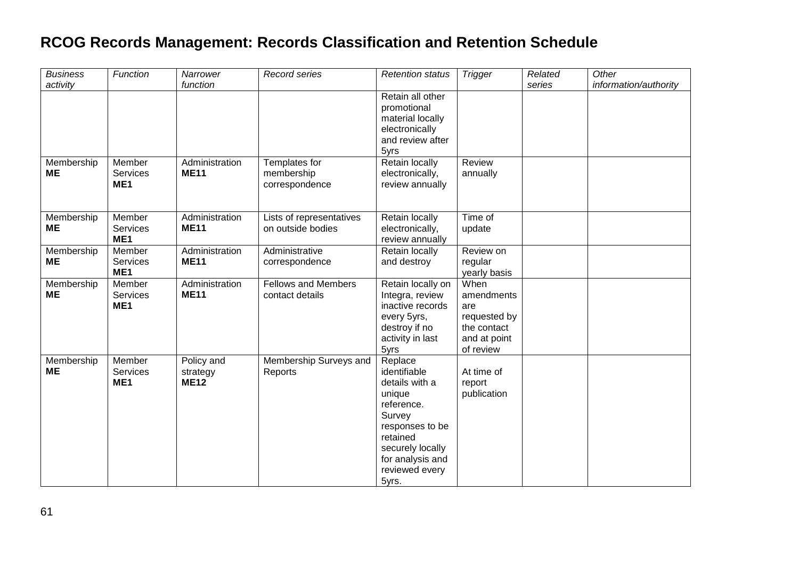| <b>Business</b> | Function        | Narrower       | Record series              | <b>Retention status</b> | <b>Trigger</b> | Related | Other                 |
|-----------------|-----------------|----------------|----------------------------|-------------------------|----------------|---------|-----------------------|
| activity        |                 | function       |                            |                         |                | series  | information/authority |
|                 |                 |                |                            | Retain all other        |                |         |                       |
|                 |                 |                |                            | promotional             |                |         |                       |
|                 |                 |                |                            | material locally        |                |         |                       |
|                 |                 |                |                            | electronically          |                |         |                       |
|                 |                 |                |                            | and review after        |                |         |                       |
|                 |                 |                |                            | 5yrs                    |                |         |                       |
| Membership      | Member          | Administration | Templates for              | Retain locally          | Review         |         |                       |
| ME              | Services        | <b>ME11</b>    | membership                 | electronically,         | annually       |         |                       |
|                 | ME <sub>1</sub> |                | correspondence             | review annually         |                |         |                       |
|                 |                 |                |                            |                         |                |         |                       |
|                 |                 |                |                            |                         |                |         |                       |
| Membership      | Member          | Administration | Lists of representatives   | Retain locally          | Time of        |         |                       |
| <b>ME</b>       | Services        | <b>ME11</b>    | on outside bodies          | electronically,         | update         |         |                       |
|                 | ME1             |                |                            | review annually         |                |         |                       |
| Membership      | Member          | Administration | Administrative             | Retain locally          | Review on      |         |                       |
| ME              | Services        | <b>ME11</b>    | correspondence             | and destroy             | regular        |         |                       |
|                 | ME <sub>1</sub> |                |                            |                         | yearly basis   |         |                       |
| Membership      | Member          | Administration | <b>Fellows and Members</b> | Retain locally on       | When           |         |                       |
| <b>ME</b>       | Services        | <b>ME11</b>    | contact details            | Integra, review         | amendments     |         |                       |
|                 | ME <sub>1</sub> |                |                            | inactive records        | are            |         |                       |
|                 |                 |                |                            | every 5yrs,             | requested by   |         |                       |
|                 |                 |                |                            | destroy if no           | the contact    |         |                       |
|                 |                 |                |                            | activity in last        | and at point   |         |                       |
|                 |                 |                |                            | 5yrs                    | of review      |         |                       |
| Membership      | Member          | Policy and     | Membership Surveys and     | Replace                 |                |         |                       |
| <b>ME</b>       | Services        | strategy       | Reports                    | identifiable            | At time of     |         |                       |
|                 | ME <sub>1</sub> | <b>ME12</b>    |                            | details with a          | report         |         |                       |
|                 |                 |                |                            | unique                  | publication    |         |                       |
|                 |                 |                |                            | reference.              |                |         |                       |
|                 |                 |                |                            | Survey                  |                |         |                       |
|                 |                 |                |                            | responses to be         |                |         |                       |
|                 |                 |                |                            | retained                |                |         |                       |
|                 |                 |                |                            | securely locally        |                |         |                       |
|                 |                 |                |                            | for analysis and        |                |         |                       |
|                 |                 |                |                            | reviewed every          |                |         |                       |
|                 |                 |                |                            | 5yrs.                   |                |         |                       |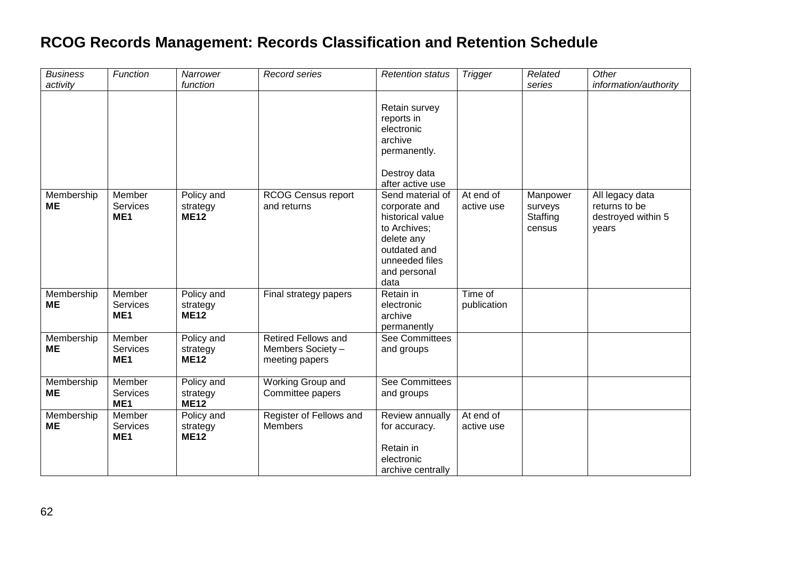| <b>Business</b>         | Function                                     | Narrower                              | Record series                                                     | <b>Retention status</b>                                                                                                                       | <b>Trigger</b>          | Related                                   | Other                                                           |
|-------------------------|----------------------------------------------|---------------------------------------|-------------------------------------------------------------------|-----------------------------------------------------------------------------------------------------------------------------------------------|-------------------------|-------------------------------------------|-----------------------------------------------------------------|
| activity                |                                              | function                              |                                                                   |                                                                                                                                               |                         | series                                    | information/authority                                           |
|                         |                                              |                                       |                                                                   | Retain survey<br>reports in<br>electronic<br>archive<br>permanently.<br>Destroy data<br>after active use                                      |                         |                                           |                                                                 |
| Membership<br><b>ME</b> | Member<br><b>Services</b><br>ME <sub>1</sub> | Policy and<br>strategy<br><b>ME12</b> | <b>RCOG Census report</b><br>and returns                          | Send material of<br>corporate and<br>historical value<br>to Archives;<br>delete any<br>outdated and<br>unneeded files<br>and personal<br>data | At end of<br>active use | Manpower<br>surveys<br>Staffing<br>census | All legacy data<br>returns to be<br>destroyed within 5<br>years |
| Membership<br><b>ME</b> | Member<br><b>Services</b><br>ME <sub>1</sub> | Policy and<br>strategy<br><b>ME12</b> | Final strategy papers                                             | Retain in<br>electronic<br>archive<br>permanently                                                                                             | Time of<br>publication  |                                           |                                                                 |
| Membership<br><b>ME</b> | Member<br>Services<br>ME <sub>1</sub>        | Policy and<br>strategy<br><b>ME12</b> | <b>Retired Fellows and</b><br>Members Society -<br>meeting papers | See Committees<br>and groups                                                                                                                  |                         |                                           |                                                                 |
| Membership<br><b>ME</b> | Member<br>Services<br>ME <sub>1</sub>        | Policy and<br>strategy<br><b>ME12</b> | Working Group and<br>Committee papers                             | See Committees<br>and groups                                                                                                                  |                         |                                           |                                                                 |
| Membership<br><b>ME</b> | Member<br>Services<br>ME <sub>1</sub>        | Policy and<br>strategy<br><b>ME12</b> | Register of Fellows and<br><b>Members</b>                         | Review annually<br>for accuracy.<br>Retain in<br>electronic                                                                                   | At end of<br>active use |                                           |                                                                 |
|                         |                                              |                                       |                                                                   | archive centrally                                                                                                                             |                         |                                           |                                                                 |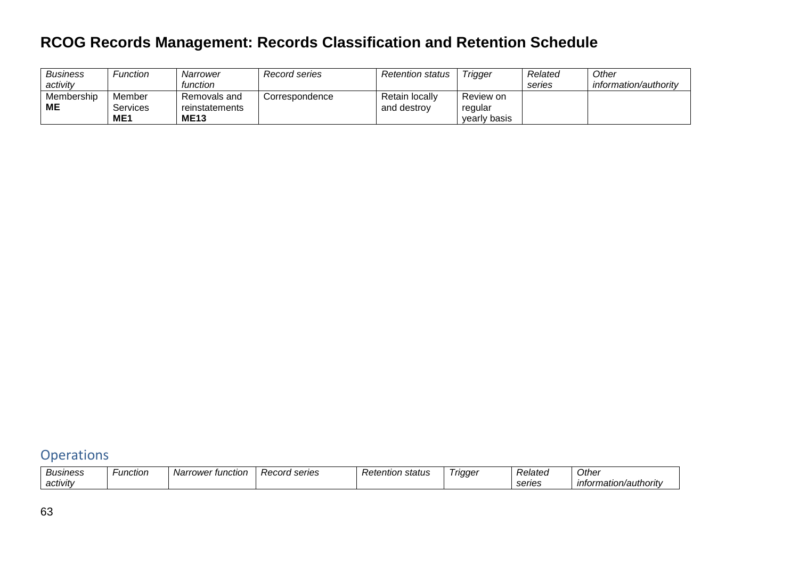| <b>Business</b><br>activity | Function        | Narrower<br>function | Record series  | <b>Retention status</b> | <b>Trigger</b> | Related<br>series | Other<br>information/authority |
|-----------------------------|-----------------|----------------------|----------------|-------------------------|----------------|-------------------|--------------------------------|
|                             |                 |                      |                |                         |                |                   |                                |
| Membership                  | Member          | Removals and         | Correspondence | Retain locally          | Review on      |                   |                                |
| МE                          | Services        | reinstatements       |                | and destroy             | regular        |                   |                                |
|                             | ME <sub>1</sub> | <b>ME13</b>          |                |                         | yearly basis   |                   |                                |

#### <span id="page-62-0"></span>**Operations**

| Business | -unctior | tunctior :<br>Narrower | ' series<br>Record | <i>Retentior ہ</i><br>status | <b>Trigger</b> | Related | Other                 |
|----------|----------|------------------------|--------------------|------------------------------|----------------|---------|-----------------------|
| activity |          |                        |                    |                              |                | series  | intormation/authority |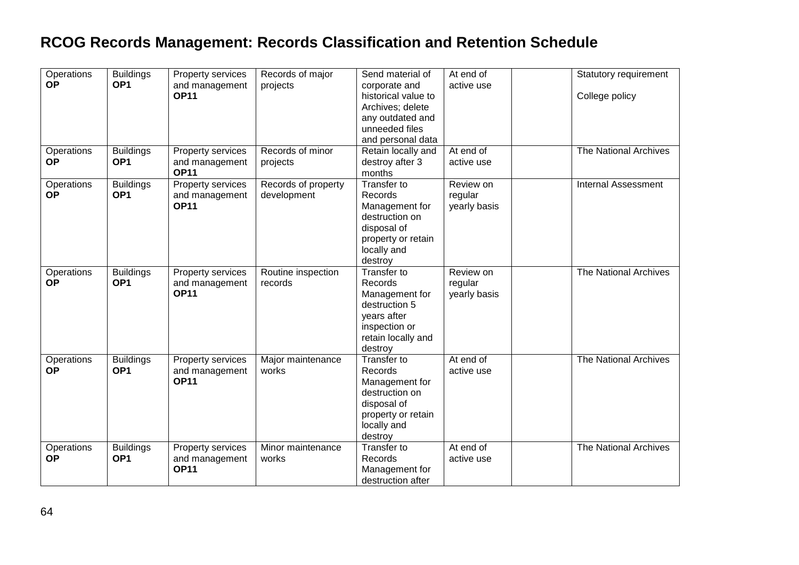| Operations<br><b>OP</b><br>Operations<br><b>OP</b> | <b>Buildings</b><br>OP <sub>1</sub><br><b>Buildings</b><br>OP <sub>1</sub> | Property services<br>and management<br><b>OP11</b><br>Property services<br>and management | Records of major<br>projects<br>Records of minor<br>projects | Send material of<br>corporate and<br>historical value to<br>Archives; delete<br>any outdated and<br>unneeded files<br>and personal data<br>Retain locally and<br>destroy after 3 | At end of<br>active use<br>At end $of$<br>active use | Statutory requirement<br>College policy<br>The National Archives |
|----------------------------------------------------|----------------------------------------------------------------------------|-------------------------------------------------------------------------------------------|--------------------------------------------------------------|----------------------------------------------------------------------------------------------------------------------------------------------------------------------------------|------------------------------------------------------|------------------------------------------------------------------|
| Operations<br><b>OP</b>                            | <b>Buildings</b><br>OP <sub>1</sub>                                        | <b>OP11</b><br>Property services<br>and management<br><b>OP11</b>                         | Records of property<br>development                           | months<br>Transfer to<br>Records<br>Management for<br>destruction on<br>disposal of<br>property or retain<br>locally and<br>destroy                                              | Review on<br>regular<br>yearly basis                 | <b>Internal Assessment</b>                                       |
| Operations<br><b>OP</b>                            | <b>Buildings</b><br>OP <sub>1</sub>                                        | Property services<br>and management<br><b>OP11</b>                                        | Routine inspection<br>records                                | Transfer to<br>Records<br>Management for<br>destruction 5<br>years after<br>inspection or<br>retain locally and<br>destroy                                                       | Review on<br>regular<br>yearly basis                 | The National Archives                                            |
| Operations<br><b>OP</b>                            | <b>Buildings</b><br>OP <sub>1</sub>                                        | Property services<br>and management<br><b>OP11</b>                                        | Major maintenance<br>works                                   | Transfer to<br>Records<br>Management for<br>destruction on<br>disposal of<br>property or retain<br>locally and<br>destroy                                                        | At end of<br>active use                              | The National Archives                                            |
| Operations<br><b>OP</b>                            | <b>Buildings</b><br>OP <sub>1</sub>                                        | Property services<br>and management<br><b>OP11</b>                                        | Minor maintenance<br>works                                   | Transfer to<br>Records<br>Management for<br>destruction after                                                                                                                    | At end of<br>active use                              | The National Archives                                            |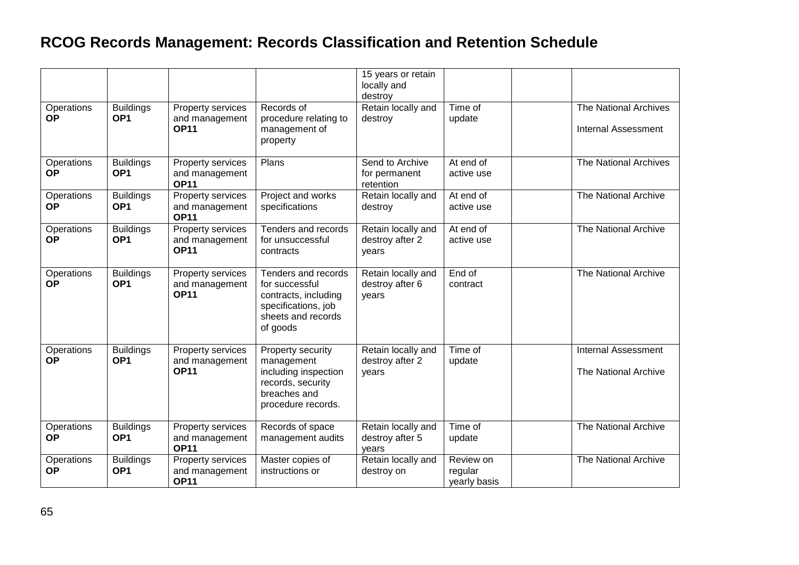|                         |                                     |                                                    |                                                                                                                        | 15 years or retain<br>locally and<br>destroy   |                                      |                                                     |
|-------------------------|-------------------------------------|----------------------------------------------------|------------------------------------------------------------------------------------------------------------------------|------------------------------------------------|--------------------------------------|-----------------------------------------------------|
| Operations<br><b>OP</b> | <b>Buildings</b><br>OP <sub>1</sub> | Property services<br>and management<br><b>OP11</b> | Records of<br>procedure relating to<br>management of<br>property                                                       | Retain locally and<br>destroy                  | Time of<br>update                    | The National Archives<br><b>Internal Assessment</b> |
| Operations<br><b>OP</b> | <b>Buildings</b><br>OP <sub>1</sub> | Property services<br>and management<br><b>OP11</b> | Plans                                                                                                                  | Send to Archive<br>for permanent<br>retention  | At end of<br>active use              | <b>The National Archives</b>                        |
| Operations<br><b>OP</b> | <b>Buildings</b><br>OP <sub>1</sub> | Property services<br>and management<br><b>OP11</b> | Project and works<br>specifications                                                                                    | Retain locally and<br>destroy                  | At end of<br>active use              | The National Archive                                |
| Operations<br><b>OP</b> | <b>Buildings</b><br>OP <sub>1</sub> | Property services<br>and management<br><b>OP11</b> | Tenders and records<br>for unsuccessful<br>contracts                                                                   | Retain locally and<br>destroy after 2<br>years | At end of<br>active use              | The National Archive                                |
| Operations<br><b>OP</b> | <b>Buildings</b><br>OP <sub>1</sub> | Property services<br>and management<br><b>OP11</b> | Tenders and records<br>for successful<br>contracts, including<br>specifications, job<br>sheets and records<br>of goods | Retain locally and<br>destroy after 6<br>years | End of<br>contract                   | The National Archive                                |
| Operations<br><b>OP</b> | <b>Buildings</b><br>OP <sub>1</sub> | Property services<br>and management<br><b>OP11</b> | Property security<br>management<br>including inspection<br>records, security<br>breaches and<br>procedure records.     | Retain locally and<br>destroy after 2<br>years | $\overline{T}$ ime of<br>update      | <b>Internal Assessment</b><br>The National Archive  |
| Operations<br><b>OP</b> | <b>Buildings</b><br>OP <sub>1</sub> | Property services<br>and management<br><b>OP11</b> | Records of space<br>management audits                                                                                  | Retain locally and<br>destroy after 5<br>years | Time of<br>update                    | The National Archive                                |
| Operations<br><b>OP</b> | <b>Buildings</b><br>OP <sub>1</sub> | Property services<br>and management<br><b>OP11</b> | Master copies of<br>instructions or                                                                                    | Retain locally and<br>destroy on               | Review on<br>regular<br>yearly basis | The National Archive                                |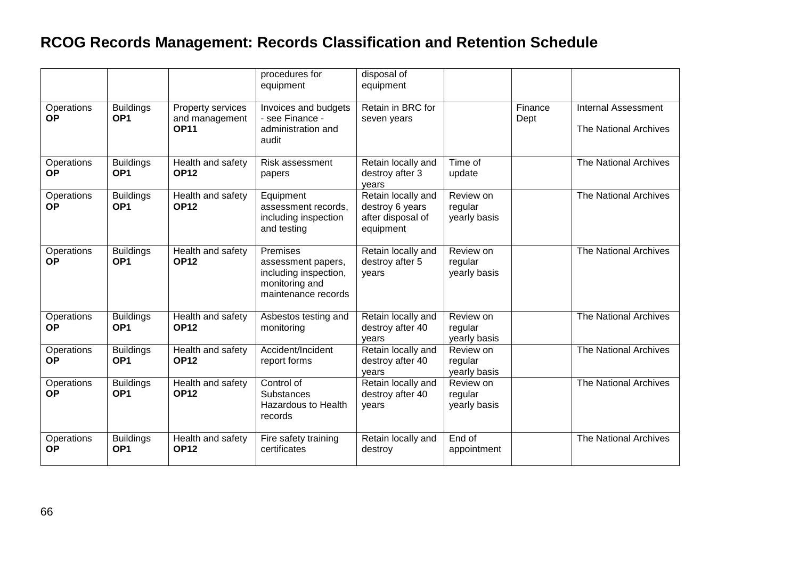|                         |                                     |                                                    | procedures for<br>equipment                                                                      | disposal of<br>equipment                                                |                                      |                 |                                                     |
|-------------------------|-------------------------------------|----------------------------------------------------|--------------------------------------------------------------------------------------------------|-------------------------------------------------------------------------|--------------------------------------|-----------------|-----------------------------------------------------|
| Operations<br><b>OP</b> | <b>Buildings</b><br>OP <sub>1</sub> | Property services<br>and management<br><b>OP11</b> | Invoices and budgets<br>- see Finance -<br>administration and<br>audit                           | Retain in BRC for<br>seven years                                        |                                      | Finance<br>Dept | <b>Internal Assessment</b><br>The National Archives |
| Operations<br><b>OP</b> | <b>Buildings</b><br>OP <sub>1</sub> | Health and safety<br><b>OP12</b>                   | Risk assessment<br>papers                                                                        | Retain locally and<br>destroy after 3<br>years                          | Time of<br>update                    |                 | <b>The National Archives</b>                        |
| Operations<br><b>OP</b> | <b>Buildings</b><br>OP <sub>1</sub> | Health and safety<br><b>OP12</b>                   | Equipment<br>assessment records,<br>including inspection<br>and testing                          | Retain locally and<br>destroy 6 years<br>after disposal of<br>equipment | Review on<br>regular<br>yearly basis |                 | The National Archives                               |
| Operations<br><b>OP</b> | <b>Buildings</b><br>OP <sub>1</sub> | Health and safety<br><b>OP12</b>                   | Premises<br>assessment papers,<br>including inspection,<br>monitoring and<br>maintenance records | Retain locally and<br>destroy after 5<br>years                          | Review on<br>regular<br>yearly basis |                 | The National Archives                               |
| Operations<br><b>OP</b> | <b>Buildings</b><br>OP <sub>1</sub> | Health and safety<br><b>OP12</b>                   | Asbestos testing and<br>monitoring                                                               | Retain locally and<br>destroy after 40<br>vears                         | Review on<br>regular<br>yearly basis |                 | The National Archives                               |
| Operations<br><b>OP</b> | <b>Buildings</b><br>OP <sub>1</sub> | Health and safety<br><b>OP12</b>                   | Accident/Incident<br>report forms                                                                | Retain locally and<br>destroy after 40<br>vears                         | Review on<br>regular<br>yearly basis |                 | The National Archives                               |
| Operations<br><b>OP</b> | <b>Buildings</b><br>OP <sub>1</sub> | Health and safety<br><b>OP12</b>                   | Control of<br><b>Substances</b><br><b>Hazardous to Health</b><br>records                         | Retain locally and<br>destroy after 40<br>years                         | Review on<br>regular<br>yearly basis |                 | The National Archives                               |
| Operations<br><b>OP</b> | <b>Buildings</b><br>OP <sub>1</sub> | Health and safety<br><b>OP12</b>                   | Fire safety training<br>certificates                                                             | Retain locally and<br>destroy                                           | End of<br>appointment                |                 | <b>The National Archives</b>                        |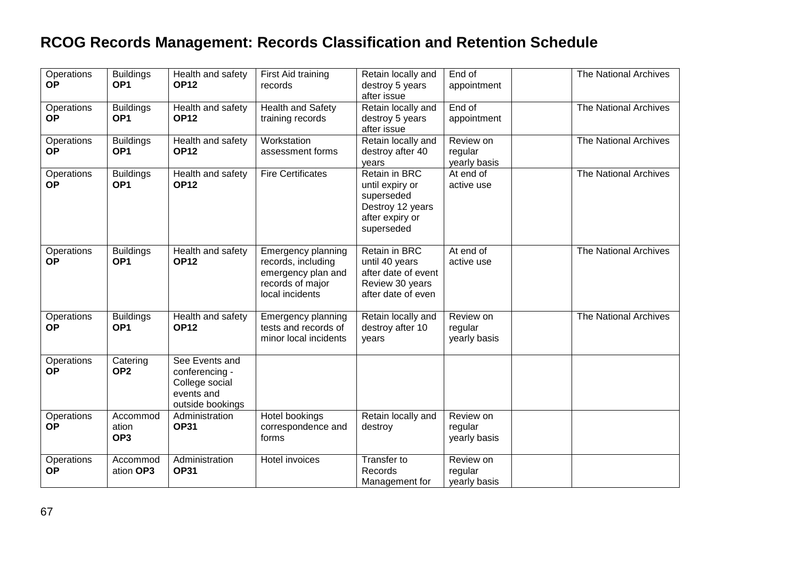| Operations<br><b>OP</b> | <b>Buildings</b><br>OP <sub>1</sub>  | Health and safety<br><b>OP12</b>                                                     | First Aid training<br>records                                                                                | Retain locally and<br>destroy 5 years<br>after issue                                                | End of<br>appointment                | The National Archives        |
|-------------------------|--------------------------------------|--------------------------------------------------------------------------------------|--------------------------------------------------------------------------------------------------------------|-----------------------------------------------------------------------------------------------------|--------------------------------------|------------------------------|
| Operations<br><b>OP</b> | <b>Buildings</b><br>OP <sub>1</sub>  | Health and safety<br><b>OP12</b>                                                     | <b>Health and Safety</b><br>training records                                                                 | Retain locally and<br>destroy 5 years<br>after issue                                                | End of<br>appointment                | The National Archives        |
| Operations<br><b>OP</b> | <b>Buildings</b><br>OP <sub>1</sub>  | Health and safety<br><b>OP12</b>                                                     | Workstation<br>assessment forms                                                                              | Retain locally and<br>destroy after 40<br>years                                                     | Review on<br>regular<br>yearly basis | The National Archives        |
| Operations<br><b>OP</b> | <b>Buildings</b><br>OP <sub>1</sub>  | Health and safety<br><b>OP12</b>                                                     | <b>Fire Certificates</b>                                                                                     | Retain in BRC<br>until expiry or<br>superseded<br>Destroy 12 years<br>after expiry or<br>superseded | At end of<br>active use              | The National Archives        |
| Operations<br><b>OP</b> | <b>Buildings</b><br>OP <sub>1</sub>  | Health and safety<br><b>OP12</b>                                                     | <b>Emergency planning</b><br>records, including<br>emergency plan and<br>records of major<br>local incidents | Retain in BRC<br>until 40 years<br>after date of event<br>Review 30 years<br>after date of even     | At end of<br>active use              | The National Archives        |
| Operations<br><b>OP</b> | <b>Buildings</b><br>OP <sub>1</sub>  | Health and safety<br><b>OP12</b>                                                     | <b>Emergency planning</b><br>tests and records of<br>minor local incidents                                   | Retain locally and<br>destroy after 10<br>years                                                     | Review on<br>regular<br>yearly basis | <b>The National Archives</b> |
| Operations<br><b>OP</b> | Catering<br>OP <sub>2</sub>          | See Events and<br>conferencing -<br>College social<br>events and<br>outside bookings |                                                                                                              |                                                                                                     |                                      |                              |
| Operations<br><b>OP</b> | Accommod<br>ation<br>OP <sub>3</sub> | Administration<br><b>OP31</b>                                                        | Hotel bookings<br>correspondence and<br>forms                                                                | Retain locally and<br>destroy                                                                       | Review on<br>regular<br>yearly basis |                              |
| Operations<br><b>OP</b> | Accommod<br>ation OP3                | Administration<br><b>OP31</b>                                                        | Hotel invoices                                                                                               | Transfer to<br>Records<br>Management for                                                            | Review on<br>regular<br>yearly basis |                              |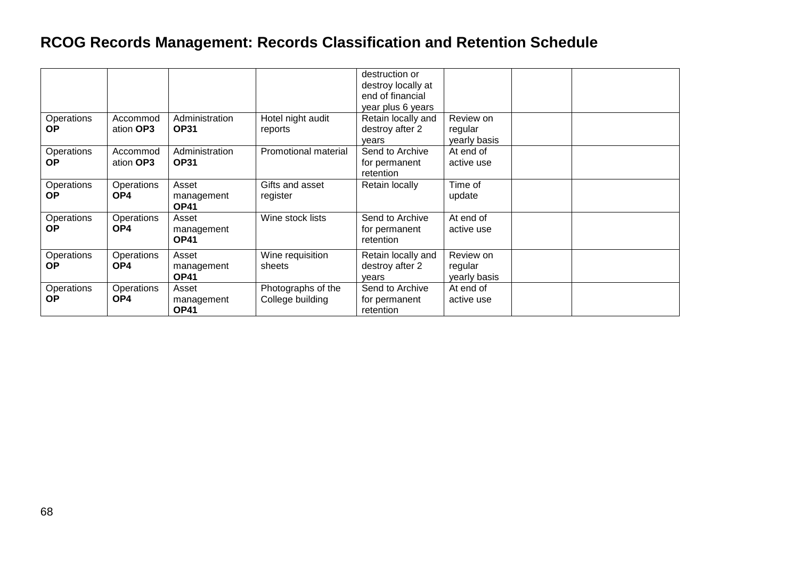|                         |                       |                                    |                                        | destruction or<br>destroy locally at<br>end of financial<br>year plus 6 years |                                      |  |
|-------------------------|-----------------------|------------------------------------|----------------------------------------|-------------------------------------------------------------------------------|--------------------------------------|--|
| Operations<br><b>OP</b> | Accommod<br>ation OP3 | Administration<br><b>OP31</b>      | Hotel night audit<br>reports           | Retain locally and<br>destroy after 2<br>vears                                | Review on<br>regular<br>yearly basis |  |
| Operations<br><b>OP</b> | Accommod<br>ation OP3 | Administration<br><b>OP31</b>      | <b>Promotional material</b>            | Send to Archive<br>for permanent<br>retention                                 | At end of<br>active use              |  |
| Operations<br><b>OP</b> | Operations<br>OP4     | Asset<br>management<br><b>OP41</b> | Gifts and asset<br>register            | Retain locally                                                                | Time of<br>update                    |  |
| Operations<br><b>OP</b> | Operations<br>OP4     | Asset<br>management<br><b>OP41</b> | Wine stock lists                       | Send to Archive<br>for permanent<br>retention                                 | At end of<br>active use              |  |
| Operations<br><b>OP</b> | Operations<br>OP4     | Asset<br>management<br><b>OP41</b> | Wine requisition<br>sheets             | Retain locally and<br>destroy after 2<br>vears                                | Review on<br>regular<br>yearly basis |  |
| Operations<br><b>OP</b> | Operations<br>OP4     | Asset<br>management<br><b>OP41</b> | Photographs of the<br>College building | Send to Archive<br>for permanent<br>retention                                 | At end of<br>active use              |  |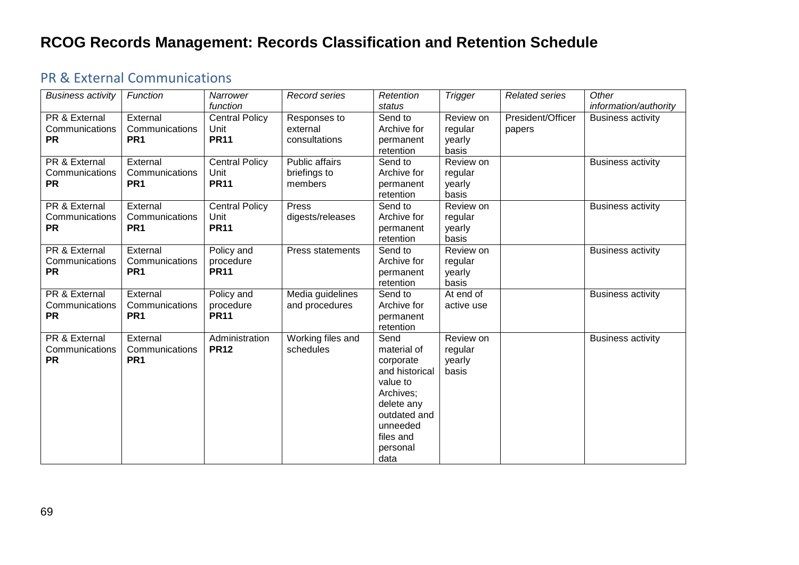#### <span id="page-68-0"></span>PR & External Communications

| <b>Business activity</b>                     | Function                                      | Narrower                                     | Record series                             | Retention                                                                                                                                              | <b>Trigger</b>                          | <b>Related series</b>       | Other                    |
|----------------------------------------------|-----------------------------------------------|----------------------------------------------|-------------------------------------------|--------------------------------------------------------------------------------------------------------------------------------------------------------|-----------------------------------------|-----------------------------|--------------------------|
|                                              |                                               | function                                     |                                           | status                                                                                                                                                 |                                         |                             | information/authority    |
| PR & External<br>Communications<br><b>PR</b> | External<br>Communications<br>PR <sub>1</sub> | <b>Central Policy</b><br>Unit<br><b>PR11</b> | Responses to<br>external<br>consultations | Send to<br>Archive for<br>permanent<br>retention                                                                                                       | Review on<br>regular<br>yearly<br>basis | President/Officer<br>papers | <b>Business activity</b> |
| PR & External<br>Communications<br><b>PR</b> | External<br>Communications<br>PR <sub>1</sub> | <b>Central Policy</b><br>Unit<br><b>PR11</b> | Public affairs<br>briefings to<br>members | Send to<br>Archive for<br>permanent<br>retention                                                                                                       | Review on<br>regular<br>yearly<br>basis |                             | <b>Business activity</b> |
| PR & External<br>Communications<br><b>PR</b> | External<br>Communications<br>PR <sub>1</sub> | <b>Central Policy</b><br>Unit<br><b>PR11</b> | Press<br>digests/releases                 | Send to<br>Archive for<br>permanent<br>retention                                                                                                       | Review on<br>regular<br>yearly<br>basis |                             | <b>Business activity</b> |
| PR & External<br>Communications<br><b>PR</b> | External<br>Communications<br>PR <sub>1</sub> | Policy and<br>procedure<br><b>PR11</b>       | Press statements                          | Send to<br>Archive for<br>permanent<br>retention                                                                                                       | Review on<br>regular<br>yearly<br>basis |                             | <b>Business activity</b> |
| PR & External<br>Communications<br><b>PR</b> | External<br>Communications<br>PR <sub>1</sub> | Policy and<br>procedure<br><b>PR11</b>       | Media guidelines<br>and procedures        | Send to<br>Archive for<br>permanent<br>retention                                                                                                       | At end of<br>active use                 |                             | <b>Business activity</b> |
| PR & External<br>Communications<br><b>PR</b> | External<br>Communications<br>PR <sub>1</sub> | Administration<br><b>PR12</b>                | Working files and<br>schedules            | Send<br>material of<br>corporate<br>and historical<br>value to<br>Archives;<br>delete any<br>outdated and<br>unneeded<br>files and<br>personal<br>data | Review on<br>regular<br>yearly<br>basis |                             | <b>Business activity</b> |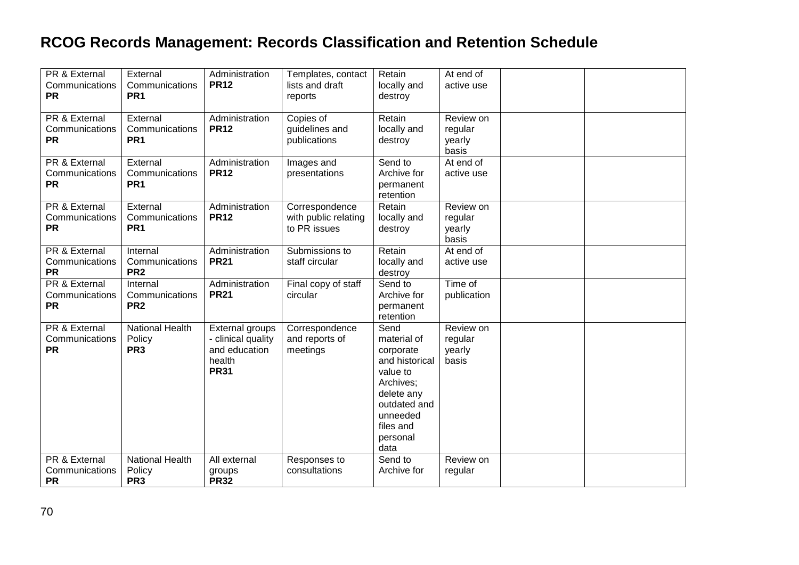| PR & External            | External               | Administration     | Templates, contact   | Retain         | At end of   |  |
|--------------------------|------------------------|--------------------|----------------------|----------------|-------------|--|
| Communications           | Communications         | <b>PR12</b>        | lists and draft      | locally and    | active use  |  |
| <b>PR</b>                | PR <sub>1</sub>        |                    | reports              | destroy        |             |  |
|                          |                        |                    |                      |                |             |  |
| PR & External            | External               | Administration     | Copies of            | Retain         | Review on   |  |
| Communications           | Communications         | <b>PR12</b>        | guidelines and       | locally and    | regular     |  |
| <b>PR</b>                | PR <sub>1</sub>        |                    | publications         | destroy        | yearly      |  |
|                          |                        |                    |                      |                | basis       |  |
| <b>PR &amp; External</b> | External               | Administration     | Images and           | Send to        | At end of   |  |
| Communications           | Communications         | <b>PR12</b>        | presentations        | Archive for    | active use  |  |
| <b>PR</b>                | PR <sub>1</sub>        |                    |                      | permanent      |             |  |
|                          |                        |                    |                      | retention      |             |  |
| <b>PR &amp; External</b> | External               | Administration     | Correspondence       | Retain         | Review on   |  |
| Communications           | Communications         | <b>PR12</b>        | with public relating | locally and    | regular     |  |
| <b>PR</b>                | PR <sub>1</sub>        |                    | to PR issues         | destroy        | yearly      |  |
|                          |                        |                    |                      |                | basis       |  |
| <b>PR &amp; External</b> | Internal               | Administration     | Submissions to       | Retain         | At end of   |  |
| Communications           | Communications         | <b>PR21</b>        | staff circular       | locally and    | active use  |  |
| <b>PR</b>                | PR <sub>2</sub>        |                    |                      | destroy        |             |  |
| <b>PR &amp; External</b> | Internal               | Administration     | Final copy of staff  | Send to        | Time of     |  |
| Communications           | Communications         | <b>PR21</b>        | circular             | Archive for    | publication |  |
| <b>PR</b>                | PR <sub>2</sub>        |                    |                      | permanent      |             |  |
|                          |                        |                    |                      | retention      |             |  |
| PR & External            | <b>National Health</b> | External groups    | Correspondence       | Send           | Review on   |  |
| Communications           | Policy                 | - clinical quality | and reports of       | material of    | regular     |  |
| <b>PR</b>                | PR <sub>3</sub>        | and education      | meetings             | corporate      | yearly      |  |
|                          |                        | health             |                      | and historical | basis       |  |
|                          |                        | <b>PR31</b>        |                      | value to       |             |  |
|                          |                        |                    |                      | Archives;      |             |  |
|                          |                        |                    |                      | delete any     |             |  |
|                          |                        |                    |                      | outdated and   |             |  |
|                          |                        |                    |                      | unneeded       |             |  |
|                          |                        |                    |                      | files and      |             |  |
|                          |                        |                    |                      | personal       |             |  |
|                          |                        |                    |                      | data           |             |  |
| PR & External            | <b>National Health</b> | All external       | Responses to         | Send to        | Review on   |  |
| Communications           | Policy                 | groups             | consultations        | Archive for    | regular     |  |
| <b>PR</b>                | PR <sub>3</sub>        | <b>PR32</b>        |                      |                |             |  |